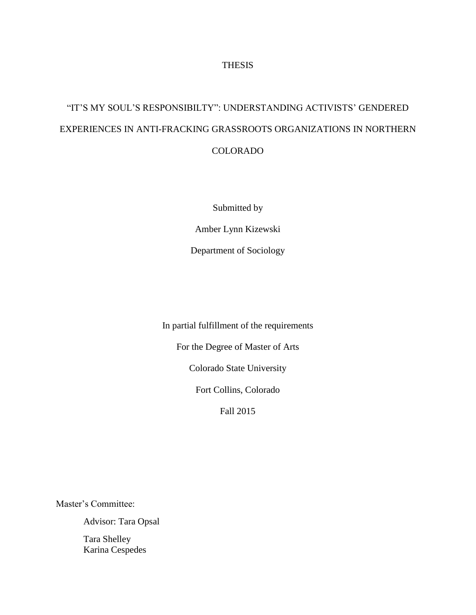## THESIS

# "IT'S MY SOUL'S RESPONSIBILTY": UNDERSTANDING ACTIVISTS' GENDERED EXPERIENCES IN ANTI-FRACKING GRASSROOTS ORGANIZATIONS IN NORTHERN COLORADO

Submitted by

Amber Lynn Kizewski

Department of Sociology

In partial fulfillment of the requirements

For the Degree of Master of Arts

Colorado State University

Fort Collins, Colorado

Fall 2015

Master's Committee:

Advisor: Tara Opsal

Tara Shelley Karina Cespedes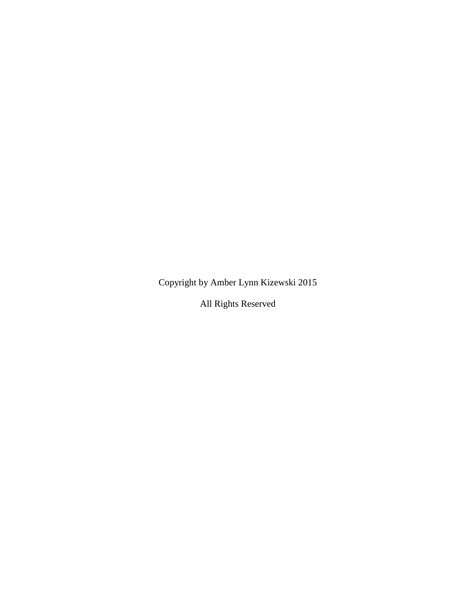Copyright by Amber Lynn Kizewski 2015

All Rights Reserved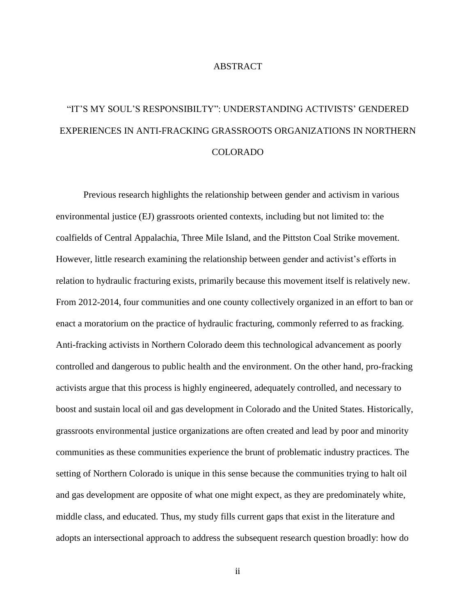## ABSTRACT

# "IT'S MY SOUL'S RESPONSIBILTY": UNDERSTANDING ACTIVISTS' GENDERED EXPERIENCES IN ANTI-FRACKING GRASSROOTS ORGANIZATIONS IN NORTHERN COLORADO

Previous research highlights the relationship between gender and activism in various environmental justice (EJ) grassroots oriented contexts, including but not limited to: the coalfields of Central Appalachia, Three Mile Island, and the Pittston Coal Strike movement. However, little research examining the relationship between gender and activist's efforts in relation to hydraulic fracturing exists, primarily because this movement itself is relatively new. From 2012-2014, four communities and one county collectively organized in an effort to ban or enact a moratorium on the practice of hydraulic fracturing, commonly referred to as fracking. Anti-fracking activists in Northern Colorado deem this technological advancement as poorly controlled and dangerous to public health and the environment. On the other hand, pro-fracking activists argue that this process is highly engineered, adequately controlled, and necessary to boost and sustain local oil and gas development in Colorado and the United States. Historically, grassroots environmental justice organizations are often created and lead by poor and minority communities as these communities experience the brunt of problematic industry practices. The setting of Northern Colorado is unique in this sense because the communities trying to halt oil and gas development are opposite of what one might expect, as they are predominately white, middle class, and educated. Thus, my study fills current gaps that exist in the literature and adopts an intersectional approach to address the subsequent research question broadly: how do

ii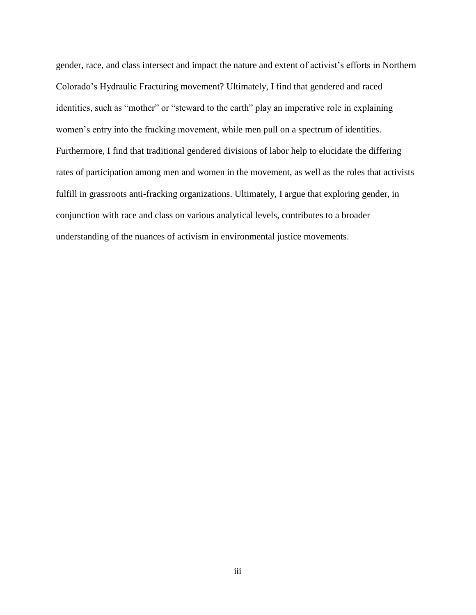gender, race, and class intersect and impact the nature and extent of activist's efforts in Northern Colorado's Hydraulic Fracturing movement? Ultimately, I find that gendered and raced identities, such as "mother" or "steward to the earth" play an imperative role in explaining women's entry into the fracking movement, while men pull on a spectrum of identities. Furthermore, I find that traditional gendered divisions of labor help to elucidate the differing rates of participation among men and women in the movement, as well as the roles that activists fulfill in grassroots anti-fracking organizations. Ultimately, I argue that exploring gender, in conjunction with race and class on various analytical levels, contributes to a broader understanding of the nuances of activism in environmental justice movements.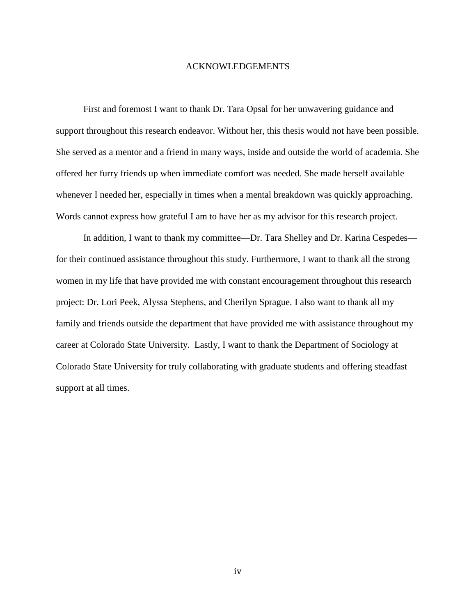## ACKNOWLEDGEMENTS

First and foremost I want to thank Dr. Tara Opsal for her unwavering guidance and support throughout this research endeavor. Without her, this thesis would not have been possible. She served as a mentor and a friend in many ways, inside and outside the world of academia. She offered her furry friends up when immediate comfort was needed. She made herself available whenever I needed her, especially in times when a mental breakdown was quickly approaching. Words cannot express how grateful I am to have her as my advisor for this research project.

In addition, I want to thank my committee—Dr. Tara Shelley and Dr. Karina Cespedes for their continued assistance throughout this study. Furthermore, I want to thank all the strong women in my life that have provided me with constant encouragement throughout this research project: Dr. Lori Peek, Alyssa Stephens, and Cherilyn Sprague. I also want to thank all my family and friends outside the department that have provided me with assistance throughout my career at Colorado State University. Lastly, I want to thank the Department of Sociology at Colorado State University for truly collaborating with graduate students and offering steadfast support at all times.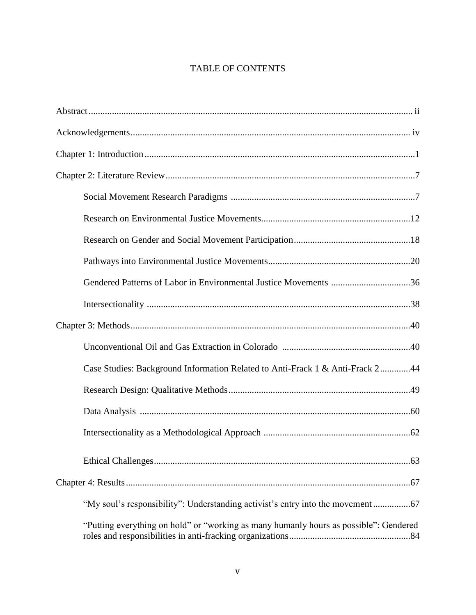## TABLE OF CONTENTS

| Gendered Patterns of Labor in Environmental Justice Movements 36                      |
|---------------------------------------------------------------------------------------|
|                                                                                       |
|                                                                                       |
|                                                                                       |
| Case Studies: Background Information Related to Anti-Frack 1 & Anti-Frack 244         |
|                                                                                       |
|                                                                                       |
|                                                                                       |
|                                                                                       |
|                                                                                       |
| "My soul's responsibility": Understanding activist's entry into the movement          |
| "Putting everything on hold" or "working as many humanly hours as possible": Gendered |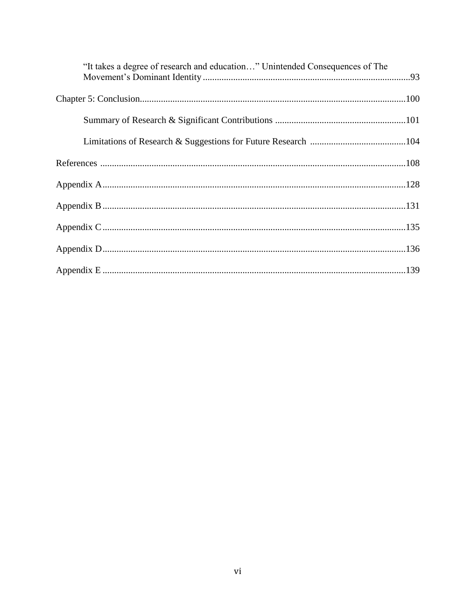| "It takes a degree of research and education" Unintended Consequences of The |  |
|------------------------------------------------------------------------------|--|
|                                                                              |  |
|                                                                              |  |
|                                                                              |  |
|                                                                              |  |
|                                                                              |  |
|                                                                              |  |
|                                                                              |  |
|                                                                              |  |
|                                                                              |  |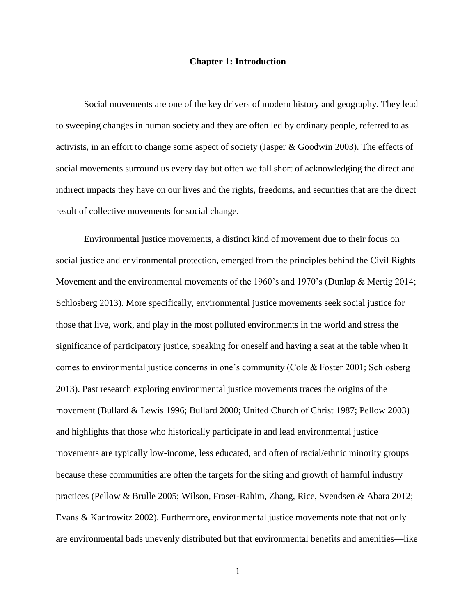#### **Chapter 1: Introduction**

Social movements are one of the key drivers of modern history and geography. They lead to sweeping changes in human society and they are often led by ordinary people, referred to as activists, in an effort to change some aspect of society (Jasper & Goodwin 2003). The effects of social movements surround us every day but often we fall short of acknowledging the direct and indirect impacts they have on our lives and the rights, freedoms, and securities that are the direct result of collective movements for social change.

Environmental justice movements, a distinct kind of movement due to their focus on social justice and environmental protection, emerged from the principles behind the Civil Rights Movement and the environmental movements of the 1960's and 1970's (Dunlap & Mertig 2014; Schlosberg 2013). More specifically, environmental justice movements seek social justice for those that live, work, and play in the most polluted environments in the world and stress the significance of participatory justice, speaking for oneself and having a seat at the table when it comes to environmental justice concerns in one's community (Cole & Foster 2001; Schlosberg 2013). Past research exploring environmental justice movements traces the origins of the movement (Bullard & Lewis 1996; Bullard 2000; United Church of Christ 1987; Pellow 2003) and highlights that those who historically participate in and lead environmental justice movements are typically low-income, less educated, and often of racial/ethnic minority groups because these communities are often the targets for the siting and growth of harmful industry practices (Pellow & Brulle 2005; Wilson, Fraser-Rahim, Zhang, Rice, Svendsen & Abara 2012; Evans & Kantrowitz 2002). Furthermore, environmental justice movements note that not only are environmental bads unevenly distributed but that environmental benefits and amenities—like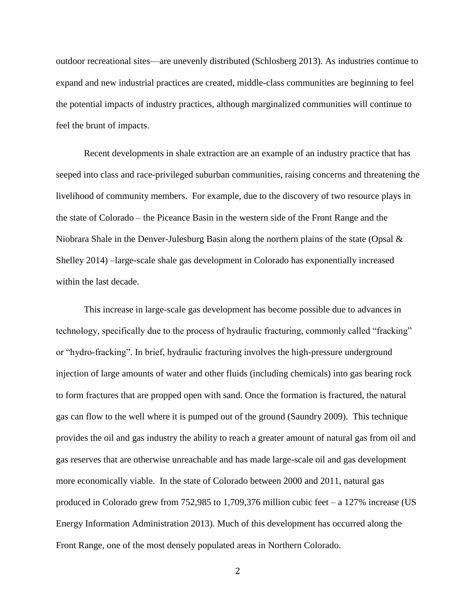outdoor recreational sites—are unevenly distributed (Schlosberg 2013). As industries continue to expand and new industrial practices are created, middle-class communities are beginning to feel the potential impacts of industry practices, although marginalized communities will continue to feel the brunt of impacts.

Recent developments in shale extraction are an example of an industry practice that has seeped into class and race-privileged suburban communities, raising concerns and threatening the livelihood of community members. For example, due to the discovery of two resource plays in the state of Colorado – the Piceance Basin in the western side of the Front Range and the Niobrara Shale in the Denver-Julesburg Basin along the northern plains of the state (Opsal & Shelley 2014) –large-scale shale gas development in Colorado has exponentially increased within the last decade.

This increase in large-scale gas development has become possible due to advances in technology, specifically due to the process of hydraulic fracturing, commonly called "fracking" or "hydro-fracking". In brief, hydraulic fracturing involves the high-pressure underground injection of large amounts of water and other fluids (including chemicals) into gas bearing rock to form fractures that are propped open with sand. Once the formation is fractured, the natural gas can flow to the well where it is pumped out of the ground (Saundry 2009). This technique provides the oil and gas industry the ability to reach a greater amount of natural gas from oil and gas reserves that are otherwise unreachable and has made large-scale oil and gas development more economically viable. In the state of Colorado between 2000 and 2011, natural gas produced in Colorado grew from 752,985 to 1,709,376 million cubic feet – a 127% increase (US Energy Information Administration 2013). Much of this development has occurred along the Front Range, one of the most densely populated areas in Northern Colorado.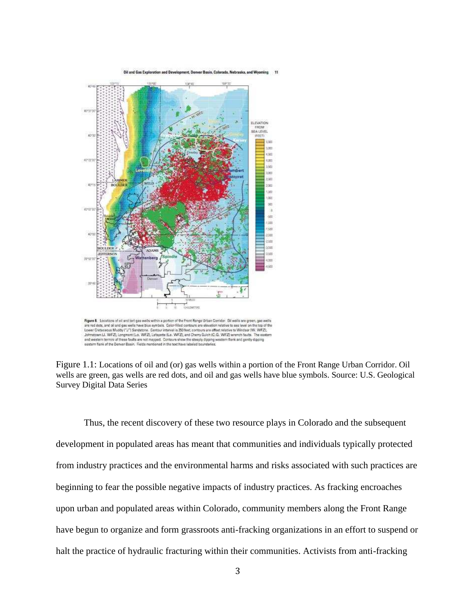Oil and Gas Exploration and Development, Denver Basin, Colorado, Nebraska, and Wyoming



Figure & Locations of oil and lor) gas wells within a portion of the Front Renge Urban Corridor. Dil wells are green, gas wells For the distance of a and gas wells have blue symbols. Color-filled contours are elevation relative to see level on the top of the<br>Lower Cretacsous Muddy ("J") Sendstone. Contour interval is 250 feet, contours are offset r end western termini of these feults are not mapped. Contours show the steeply dipping western flenk and gently dipping<br>eastern flank of the Demer Basin. Relds mentioned in the text have labeled boundaries.

Figure 1.1: Locations of oil and (or) gas wells within a portion of the Front Range Urban Corridor. Oil wells are green, gas wells are red dots, and oil and gas wells have blue symbols. Source: U.S. Geological Survey Digital Data Series

Thus, the recent discovery of these two resource plays in Colorado and the subsequent development in populated areas has meant that communities and individuals typically protected from industry practices and the environmental harms and risks associated with such practices are beginning to fear the possible negative impacts of industry practices. As fracking encroaches upon urban and populated areas within Colorado, community members along the Front Range have begun to organize and form grassroots anti-fracking organizations in an effort to suspend or halt the practice of hydraulic fracturing within their communities. Activists from anti-fracking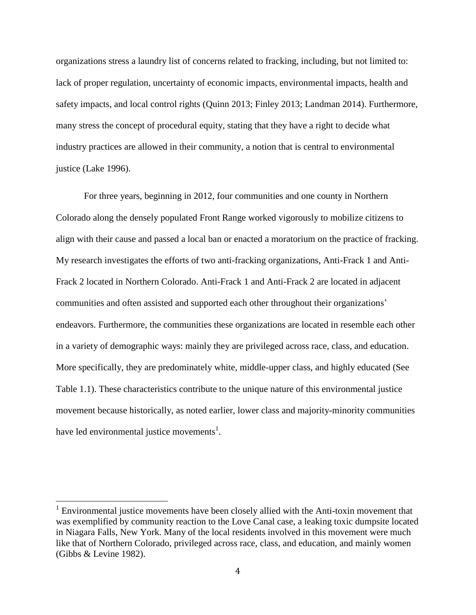organizations stress a laundry list of concerns related to fracking, including, but not limited to: lack of proper regulation, uncertainty of economic impacts, environmental impacts, health and safety impacts, and local control rights (Quinn 2013; Finley 2013; Landman 2014). Furthermore, many stress the concept of procedural equity, stating that they have a right to decide what industry practices are allowed in their community, a notion that is central to environmental justice (Lake 1996).

For three years, beginning in 2012, four communities and one county in Northern Colorado along the densely populated Front Range worked vigorously to mobilize citizens to align with their cause and passed a local ban or enacted a moratorium on the practice of fracking. My research investigates the efforts of two anti-fracking organizations, Anti-Frack 1 and Anti-Frack 2 located in Northern Colorado. Anti-Frack 1 and Anti-Frack 2 are located in adjacent communities and often assisted and supported each other throughout their organizations' endeavors. Furthermore, the communities these organizations are located in resemble each other in a variety of demographic ways: mainly they are privileged across race, class, and education. More specifically, they are predominately white, middle-upper class, and highly educated (See Table 1.1). These characteristics contribute to the unique nature of this environmental justice movement because historically, as noted earlier, lower class and majority-minority communities have led environmental justice movements<sup>1</sup>.

 $\overline{\phantom{0}}$ 

 $1$  Environmental justice movements have been closely allied with the Anti-toxin movement that was exemplified by community reaction to the Love Canal case, a leaking toxic dumpsite located in Niagara Falls, New York. Many of the local residents involved in this movement were much like that of Northern Colorado, privileged across race, class, and education, and mainly women (Gibbs & Levine 1982).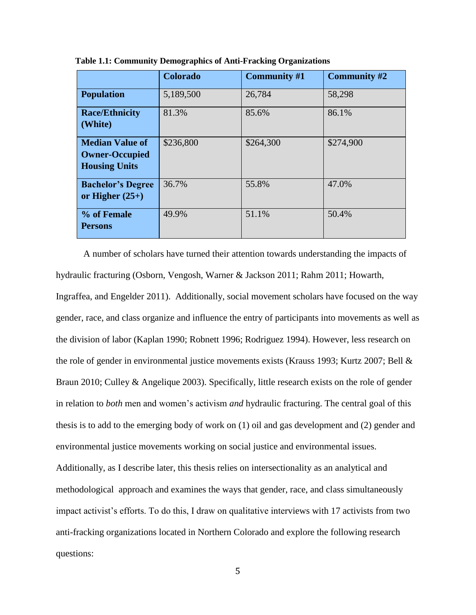|                                                                         | Colorado  | <b>Community #1</b> | <b>Community #2</b> |
|-------------------------------------------------------------------------|-----------|---------------------|---------------------|
| <b>Population</b>                                                       | 5,189,500 | 26,784              | 58,298              |
| <b>Race/Ethnicity</b><br>(White)                                        | 81.3%     | 85.6%               | 86.1%               |
| <b>Median Value of</b><br><b>Owner-Occupied</b><br><b>Housing Units</b> | \$236,800 | \$264,300           | \$274,900           |
| <b>Bachelor's Degree</b><br>or Higher $(25+)$                           | 36.7%     | 55.8%               | 47.0%               |
| % of Female<br><b>Persons</b>                                           | 49.9%     | 51.1%               | 50.4%               |

 **Table 1.1: Community Demographics of Anti-Fracking Organizations** 

A number of scholars have turned their attention towards understanding the impacts of hydraulic fracturing (Osborn, Vengosh, Warner & Jackson 2011; Rahm 2011; Howarth, Ingraffea, and Engelder 2011). Additionally, social movement scholars have focused on the way gender, race, and class organize and influence the entry of participants into movements as well as the division of labor (Kaplan 1990; Robnett 1996; Rodriguez 1994). However, less research on the role of gender in environmental justice movements exists (Krauss 1993; Kurtz 2007; Bell & Braun 2010; Culley & Angelique 2003). Specifically, little research exists on the role of gender in relation to *both* men and women's activism *and* hydraulic fracturing. The central goal of this thesis is to add to the emerging body of work on (1) oil and gas development and (2) gender and environmental justice movements working on social justice and environmental issues. Additionally, as I describe later, this thesis relies on intersectionality as an analytical and methodological approach and examines the ways that gender, race, and class simultaneously impact activist's efforts. To do this, I draw on qualitative interviews with 17 activists from two anti-fracking organizations located in Northern Colorado and explore the following research questions: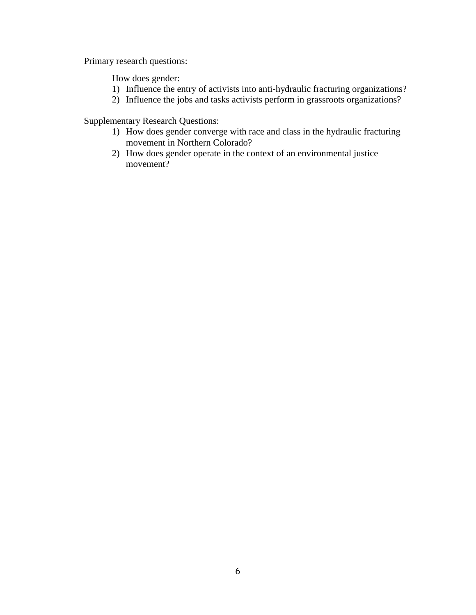Primary research questions:

How does gender:

- 1) Influence the entry of activists into anti-hydraulic fracturing organizations?
- 2) Influence the jobs and tasks activists perform in grassroots organizations?

Supplementary Research Questions:

- 1) How does gender converge with race and class in the hydraulic fracturing movement in Northern Colorado?
- 2) How does gender operate in the context of an environmental justice movement?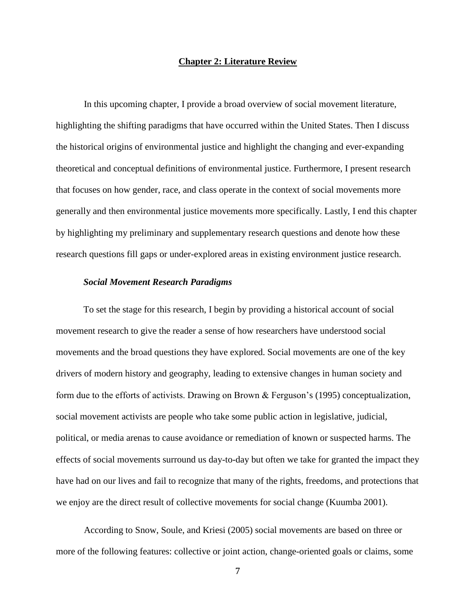#### **Chapter 2: Literature Review**

In this upcoming chapter, I provide a broad overview of social movement literature, highlighting the shifting paradigms that have occurred within the United States. Then I discuss the historical origins of environmental justice and highlight the changing and ever-expanding theoretical and conceptual definitions of environmental justice. Furthermore, I present research that focuses on how gender, race, and class operate in the context of social movements more generally and then environmental justice movements more specifically. Lastly, I end this chapter by highlighting my preliminary and supplementary research questions and denote how these research questions fill gaps or under-explored areas in existing environment justice research.

## *Social Movement Research Paradigms*

To set the stage for this research, I begin by providing a historical account of social movement research to give the reader a sense of how researchers have understood social movements and the broad questions they have explored. Social movements are one of the key drivers of modern history and geography, leading to extensive changes in human society and form due to the efforts of activists. Drawing on Brown & Ferguson's (1995) conceptualization, social movement activists are people who take some public action in legislative, judicial, political, or media arenas to cause avoidance or remediation of known or suspected harms. The effects of social movements surround us day-to-day but often we take for granted the impact they have had on our lives and fail to recognize that many of the rights, freedoms, and protections that we enjoy are the direct result of collective movements for social change (Kuumba 2001).

According to Snow, Soule, and Kriesi (2005) social movements are based on three or more of the following features: collective or joint action, change-oriented goals or claims, some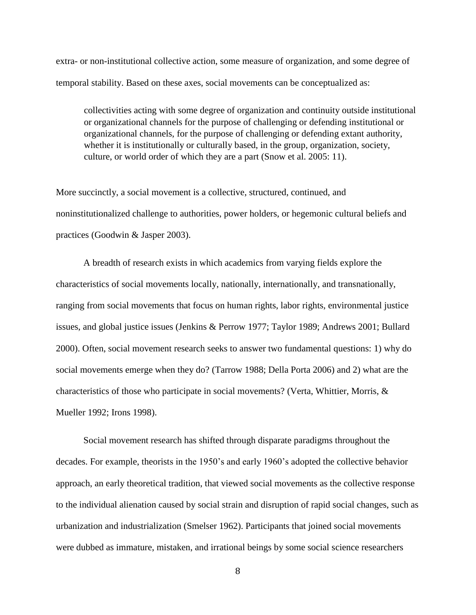extra- or non-institutional collective action, some measure of organization, and some degree of temporal stability. Based on these axes, social movements can be conceptualized as:

collectivities acting with some degree of organization and continuity outside institutional or organizational channels for the purpose of challenging or defending institutional or organizational channels, for the purpose of challenging or defending extant authority, whether it is institutionally or culturally based, in the group, organization, society, culture, or world order of which they are a part (Snow et al. 2005: 11).

More succinctly, a social movement is a collective, structured, continued, and noninstitutionalized challenge to authorities, power holders, or hegemonic cultural beliefs and practices (Goodwin & Jasper 2003).

A breadth of research exists in which academics from varying fields explore the characteristics of social movements locally, nationally, internationally, and transnationally, ranging from social movements that focus on human rights, labor rights, environmental justice issues, and global justice issues (Jenkins & Perrow 1977; Taylor 1989; Andrews 2001; Bullard 2000). Often, social movement research seeks to answer two fundamental questions: 1) why do social movements emerge when they do? (Tarrow 1988; Della Porta 2006) and 2) what are the characteristics of those who participate in social movements? (Verta, Whittier, Morris, & Mueller 1992; Irons 1998).

Social movement research has shifted through disparate paradigms throughout the decades. For example, theorists in the 1950's and early 1960's adopted the collective behavior approach, an early theoretical tradition, that viewed social movements as the collective response to the individual alienation caused by social strain and disruption of rapid social changes, such as urbanization and industrialization (Smelser 1962). Participants that joined social movements were dubbed as immature, mistaken, and irrational beings by some social science researchers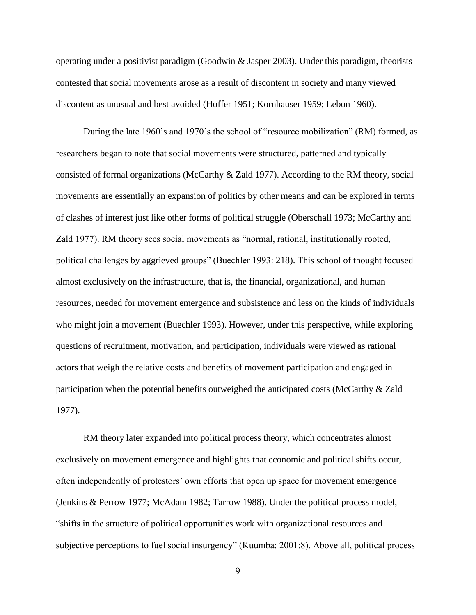operating under a positivist paradigm (Goodwin & Jasper 2003). Under this paradigm, theorists contested that social movements arose as a result of discontent in society and many viewed discontent as unusual and best avoided (Hoffer 1951; Kornhauser 1959; Lebon 1960).

During the late 1960's and 1970's the school of "resource mobilization" (RM) formed, as researchers began to note that social movements were structured, patterned and typically consisted of formal organizations (McCarthy & Zald 1977). According to the RM theory, social movements are essentially an expansion of politics by other means and can be explored in terms of clashes of interest just like other forms of political struggle (Oberschall 1973; McCarthy and Zald 1977). RM theory sees social movements as "normal, rational, institutionally rooted, political challenges by aggrieved groups" (Buechler 1993: 218). This school of thought focused almost exclusively on the infrastructure, that is, the financial, organizational, and human resources, needed for movement emergence and subsistence and less on the kinds of individuals who might join a movement (Buechler 1993). However, under this perspective, while exploring questions of recruitment, motivation, and participation, individuals were viewed as rational actors that weigh the relative costs and benefits of movement participation and engaged in participation when the potential benefits outweighed the anticipated costs (McCarthy & Zald 1977).

RM theory later expanded into political process theory, which concentrates almost exclusively on movement emergence and highlights that economic and political shifts occur, often independently of protestors' own efforts that open up space for movement emergence (Jenkins & Perrow 1977; McAdam 1982; Tarrow 1988). Under the political process model, "shifts in the structure of political opportunities work with organizational resources and subjective perceptions to fuel social insurgency" (Kuumba: 2001:8). Above all, political process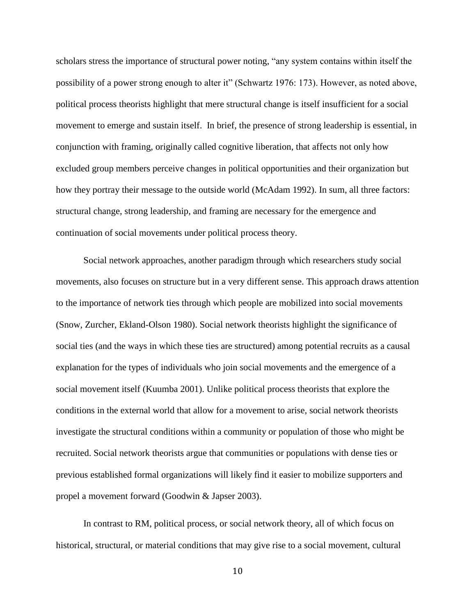scholars stress the importance of structural power noting, "any system contains within itself the possibility of a power strong enough to alter it" (Schwartz 1976: 173). However, as noted above, political process theorists highlight that mere structural change is itself insufficient for a social movement to emerge and sustain itself. In brief, the presence of strong leadership is essential, in conjunction with framing, originally called cognitive liberation, that affects not only how excluded group members perceive changes in political opportunities and their organization but how they portray their message to the outside world (McAdam 1992). In sum, all three factors: structural change, strong leadership, and framing are necessary for the emergence and continuation of social movements under political process theory.

Social network approaches, another paradigm through which researchers study social movements, also focuses on structure but in a very different sense. This approach draws attention to the importance of network ties through which people are mobilized into social movements (Snow, Zurcher, Ekland-Olson 1980). Social network theorists highlight the significance of social ties (and the ways in which these ties are structured) among potential recruits as a causal explanation for the types of individuals who join social movements and the emergence of a social movement itself (Kuumba 2001). Unlike political process theorists that explore the conditions in the external world that allow for a movement to arise, social network theorists investigate the structural conditions within a community or population of those who might be recruited. Social network theorists argue that communities or populations with dense ties or previous established formal organizations will likely find it easier to mobilize supporters and propel a movement forward (Goodwin & Japser 2003).

 In contrast to RM, political process, or social network theory, all of which focus on historical, structural, or material conditions that may give rise to a social movement, cultural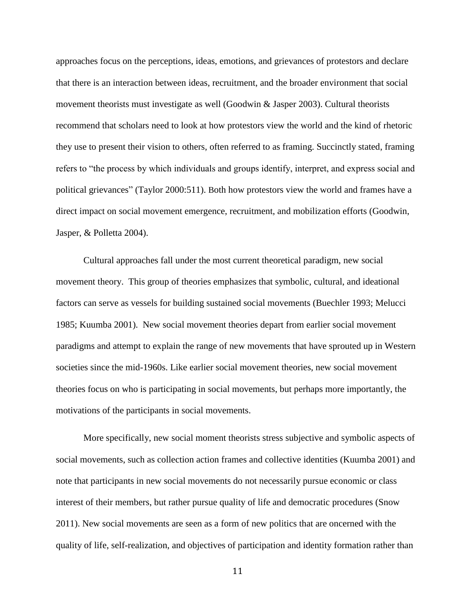approaches focus on the perceptions, ideas, emotions, and grievances of protestors and declare that there is an interaction between ideas, recruitment, and the broader environment that social movement theorists must investigate as well (Goodwin & Jasper 2003). Cultural theorists recommend that scholars need to look at how protestors view the world and the kind of rhetoric they use to present their vision to others, often referred to as framing. Succinctly stated, framing refers to "the process by which individuals and groups identify, interpret, and express social and political grievances" (Taylor 2000:511). Both how protestors view the world and frames have a direct impact on social movement emergence, recruitment, and mobilization efforts (Goodwin, Jasper, & Polletta 2004).

Cultural approaches fall under the most current theoretical paradigm, new social movement theory. This group of theories emphasizes that symbolic, cultural, and ideational factors can serve as vessels for building sustained social movements (Buechler 1993; Melucci 1985; Kuumba 2001). New social movement theories depart from earlier social movement paradigms and attempt to explain the range of new movements that have sprouted up in Western societies since the mid-1960s. Like earlier social movement theories, new social movement theories focus on who is participating in social movements, but perhaps more importantly, the motivations of the participants in social movements.

More specifically, new social moment theorists stress subjective and symbolic aspects of social movements, such as collection action frames and collective identities (Kuumba 2001) and note that participants in new social movements do not necessarily pursue economic or class interest of their members, but rather pursue quality of life and democratic procedures (Snow 2011). New social movements are seen as a form of new politics that are oncerned with the quality of life, self-realization, and objectives of participation and identity formation rather than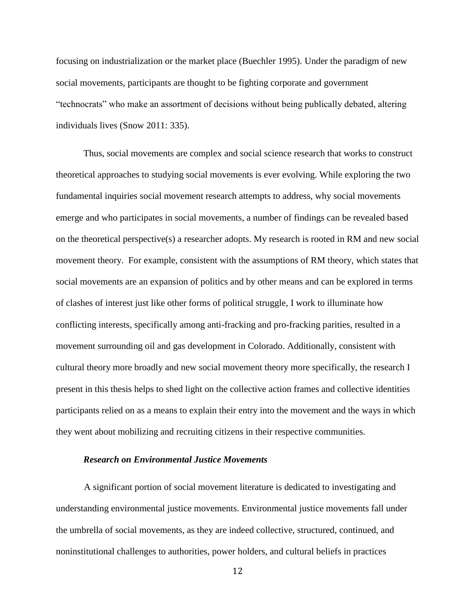focusing on industrialization or the market place (Buechler 1995). Under the paradigm of new social movements, participants are thought to be fighting corporate and government "technocrats" who make an assortment of decisions without being publically debated, altering individuals lives (Snow 2011: 335).

Thus, social movements are complex and social science research that works to construct theoretical approaches to studying social movements is ever evolving. While exploring the two fundamental inquiries social movement research attempts to address, why social movements emerge and who participates in social movements, a number of findings can be revealed based on the theoretical perspective(s) a researcher adopts. My research is rooted in RM and new social movement theory. For example, consistent with the assumptions of RM theory, which states that social movements are an expansion of politics and by other means and can be explored in terms of clashes of interest just like other forms of political struggle, I work to illuminate how conflicting interests, specifically among anti-fracking and pro-fracking parities, resulted in a movement surrounding oil and gas development in Colorado. Additionally, consistent with cultural theory more broadly and new social movement theory more specifically, the research I present in this thesis helps to shed light on the collective action frames and collective identities participants relied on as a means to explain their entry into the movement and the ways in which they went about mobilizing and recruiting citizens in their respective communities.

### *Research on Environmental Justice Movements*

A significant portion of social movement literature is dedicated to investigating and understanding environmental justice movements. Environmental justice movements fall under the umbrella of social movements, as they are indeed collective, structured, continued, and noninstitutional challenges to authorities, power holders, and cultural beliefs in practices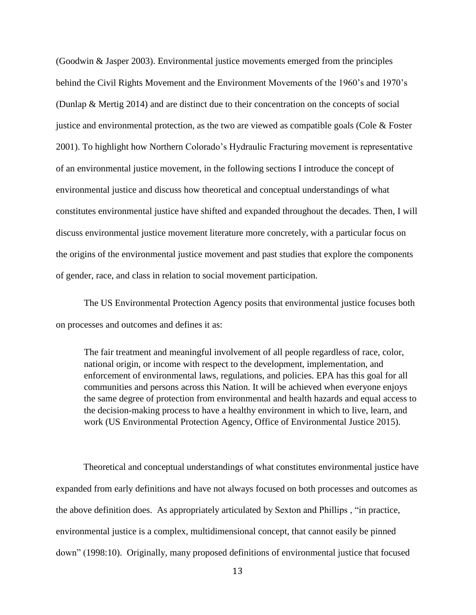(Goodwin & Jasper 2003). Environmental justice movements emerged from the principles behind the Civil Rights Movement and the Environment Movements of the 1960's and 1970's (Dunlap & Mertig 2014) and are distinct due to their concentration on the concepts of social justice and environmental protection, as the two are viewed as compatible goals (Cole  $& Foster$ 2001). To highlight how Northern Colorado's Hydraulic Fracturing movement is representative of an environmental justice movement, in the following sections I introduce the concept of environmental justice and discuss how theoretical and conceptual understandings of what constitutes environmental justice have shifted and expanded throughout the decades. Then, I will discuss environmental justice movement literature more concretely, with a particular focus on the origins of the environmental justice movement and past studies that explore the components of gender, race, and class in relation to social movement participation.

The US Environmental Protection Agency posits that environmental justice focuses both on processes and outcomes and defines it as:

The fair treatment and meaningful involvement of all people regardless of race, color, national origin, or income with respect to the development, implementation, and enforcement of environmental laws, regulations, and policies. EPA has this goal for all communities and persons across this Nation. It will be achieved when everyone enjoys the same degree of protection from environmental and health hazards and equal access to the decision-making process to have a healthy environment in which to live, learn, and work (US Environmental Protection Agency, Office of Environmental Justice 2015).

Theoretical and conceptual understandings of what constitutes environmental justice have expanded from early definitions and have not always focused on both processes and outcomes as the above definition does. As appropriately articulated by Sexton and Phillips , "in practice, environmental justice is a complex, multidimensional concept, that cannot easily be pinned down" (1998:10). Originally, many proposed definitions of environmental justice that focused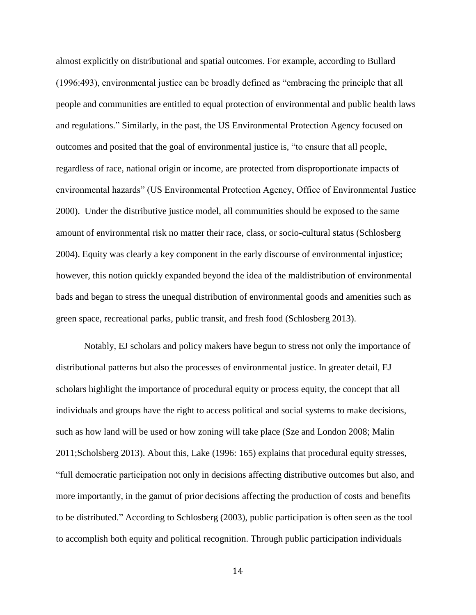almost explicitly on distributional and spatial outcomes. For example, according to Bullard (1996:493), environmental justice can be broadly defined as "embracing the principle that all people and communities are entitled to equal protection of environmental and public health laws and regulations." Similarly, in the past, the US Environmental Protection Agency focused on outcomes and posited that the goal of environmental justice is, "to ensure that all people, regardless of race, national origin or income, are protected from disproportionate impacts of environmental hazards" (US Environmental Protection Agency, Office of Environmental Justice 2000). Under the distributive justice model, all communities should be exposed to the same amount of environmental risk no matter their race, class, or socio-cultural status (Schlosberg 2004). Equity was clearly a key component in the early discourse of environmental injustice; however, this notion quickly expanded beyond the idea of the maldistribution of environmental bads and began to stress the unequal distribution of environmental goods and amenities such as green space, recreational parks, public transit, and fresh food (Schlosberg 2013).

Notably, EJ scholars and policy makers have begun to stress not only the importance of distributional patterns but also the processes of environmental justice. In greater detail, EJ scholars highlight the importance of procedural equity or process equity, the concept that all individuals and groups have the right to access political and social systems to make decisions, such as how land will be used or how zoning will take place (Sze and London 2008; Malin 2011;Scholsberg 2013). About this, Lake (1996: 165) explains that procedural equity stresses, "full democratic participation not only in decisions affecting distributive outcomes but also, and more importantly, in the gamut of prior decisions affecting the production of costs and benefits to be distributed." According to Schlosberg (2003), public participation is often seen as the tool to accomplish both equity and political recognition. Through public participation individuals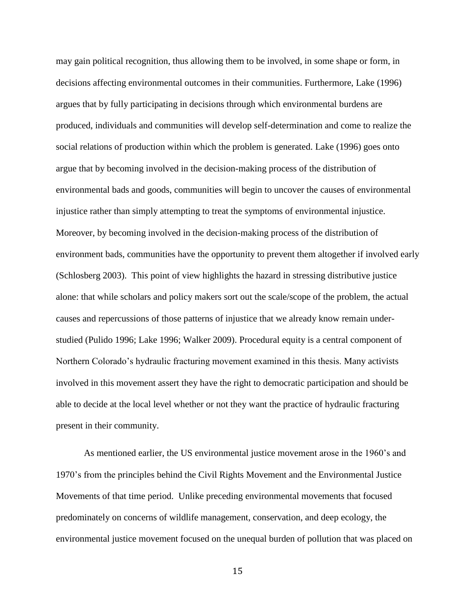may gain political recognition, thus allowing them to be involved, in some shape or form, in decisions affecting environmental outcomes in their communities. Furthermore, Lake (1996) argues that by fully participating in decisions through which environmental burdens are produced, individuals and communities will develop self-determination and come to realize the social relations of production within which the problem is generated. Lake (1996) goes onto argue that by becoming involved in the decision-making process of the distribution of environmental bads and goods, communities will begin to uncover the causes of environmental injustice rather than simply attempting to treat the symptoms of environmental injustice. Moreover, by becoming involved in the decision-making process of the distribution of environment bads, communities have the opportunity to prevent them altogether if involved early (Schlosberg 2003). This point of view highlights the hazard in stressing distributive justice alone: that while scholars and policy makers sort out the scale/scope of the problem, the actual causes and repercussions of those patterns of injustice that we already know remain understudied (Pulido 1996; Lake 1996; Walker 2009). Procedural equity is a central component of Northern Colorado's hydraulic fracturing movement examined in this thesis. Many activists involved in this movement assert they have the right to democratic participation and should be able to decide at the local level whether or not they want the practice of hydraulic fracturing present in their community.

As mentioned earlier, the US environmental justice movement arose in the 1960's and 1970's from the principles behind the Civil Rights Movement and the Environmental Justice Movements of that time period. Unlike preceding environmental movements that focused predominately on concerns of wildlife management, conservation, and deep ecology, the environmental justice movement focused on the unequal burden of pollution that was placed on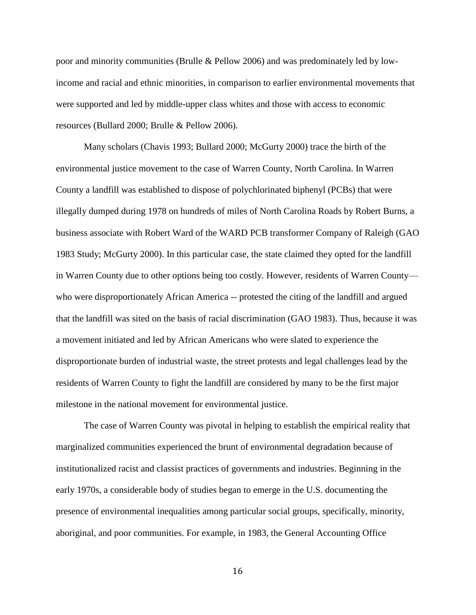poor and minority communities (Brulle & Pellow 2006) and was predominately led by lowincome and racial and ethnic minorities, in comparison to earlier environmental movements that were supported and led by middle-upper class whites and those with access to economic resources (Bullard 2000; Brulle & Pellow 2006).

Many scholars (Chavis 1993; Bullard 2000; McGurty 2000) trace the birth of the environmental justice movement to the case of Warren County, North Carolina. In Warren County a landfill was established to dispose of polychlorinated biphenyl (PCBs) that were illegally dumped during 1978 on hundreds of miles of North Carolina Roads by Robert Burns, a business associate with Robert Ward of the WARD PCB transformer Company of Raleigh (GAO 1983 Study; McGurty 2000). In this particular case, the state claimed they opted for the landfill in Warren County due to other options being too costly. However, residents of Warren County who were disproportionately African America -- protested the citing of the landfill and argued that the landfill was sited on the basis of racial discrimination (GAO 1983). Thus, because it was a movement initiated and led by African Americans who were slated to experience the disproportionate burden of industrial waste, the street protests and legal challenges lead by the residents of Warren County to fight the landfill are considered by many to be the first major milestone in the national movement for environmental justice.

The case of Warren County was pivotal in helping to establish the empirical reality that marginalized communities experienced the brunt of environmental degradation because of institutionalized racist and classist practices of governments and industries. Beginning in the early 1970s, a considerable body of studies began to emerge in the U.S. documenting the presence of environmental inequalities among particular social groups, specifically, minority, aboriginal, and poor communities. For example, in 1983, the General Accounting Office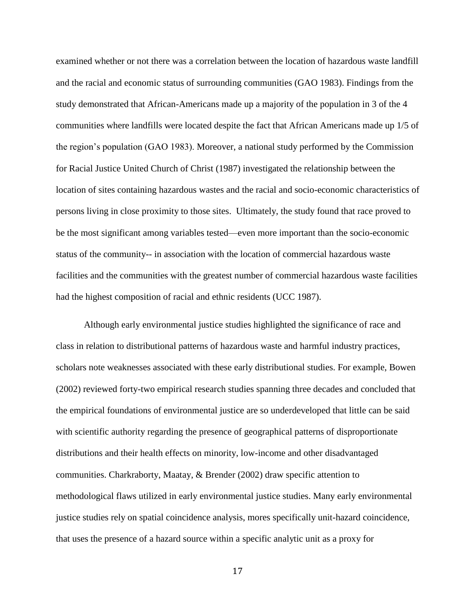examined whether or not there was a correlation between the location of hazardous waste landfill and the racial and economic status of surrounding communities (GAO 1983). Findings from the study demonstrated that African-Americans made up a majority of the population in 3 of the 4 communities where landfills were located despite the fact that African Americans made up 1/5 of the region's population (GAO 1983). Moreover, a national study performed by the Commission for Racial Justice United Church of Christ (1987) investigated the relationship between the location of sites containing hazardous wastes and the racial and socio-economic characteristics of persons living in close proximity to those sites. Ultimately, the study found that race proved to be the most significant among variables tested—even more important than the socio-economic status of the community-- in association with the location of commercial hazardous waste facilities and the communities with the greatest number of commercial hazardous waste facilities had the highest composition of racial and ethnic residents (UCC 1987).

Although early environmental justice studies highlighted the significance of race and class in relation to distributional patterns of hazardous waste and harmful industry practices, scholars note weaknesses associated with these early distributional studies. For example, Bowen (2002) reviewed forty-two empirical research studies spanning three decades and concluded that the empirical foundations of environmental justice are so underdeveloped that little can be said with scientific authority regarding the presence of geographical patterns of disproportionate distributions and their health effects on minority, low-income and other disadvantaged communities. Charkraborty, Maatay, & Brender (2002) draw specific attention to methodological flaws utilized in early environmental justice studies. Many early environmental justice studies rely on spatial coincidence analysis, mores specifically unit-hazard coincidence, that uses the presence of a hazard source within a specific analytic unit as a proxy for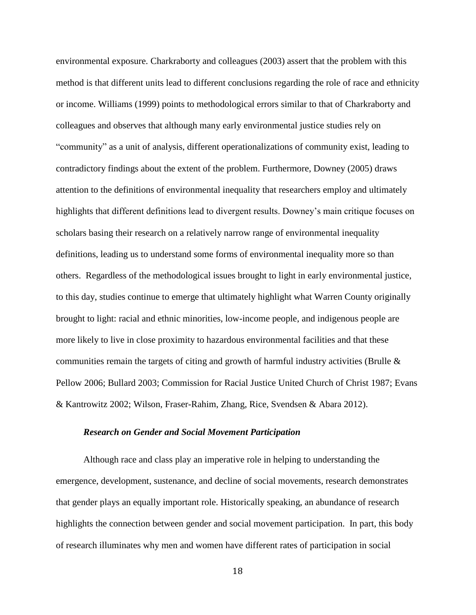environmental exposure. Charkraborty and colleagues (2003) assert that the problem with this method is that different units lead to different conclusions regarding the role of race and ethnicity or income. Williams (1999) points to methodological errors similar to that of Charkraborty and colleagues and observes that although many early environmental justice studies rely on "community" as a unit of analysis, different operationalizations of community exist, leading to contradictory findings about the extent of the problem. Furthermore, Downey (2005) draws attention to the definitions of environmental inequality that researchers employ and ultimately highlights that different definitions lead to divergent results. Downey's main critique focuses on scholars basing their research on a relatively narrow range of environmental inequality definitions, leading us to understand some forms of environmental inequality more so than others. Regardless of the methodological issues brought to light in early environmental justice, to this day, studies continue to emerge that ultimately highlight what Warren County originally brought to light: racial and ethnic minorities, low-income people, and indigenous people are more likely to live in close proximity to hazardous environmental facilities and that these communities remain the targets of citing and growth of harmful industry activities (Brulle & Pellow 2006; Bullard 2003; Commission for Racial Justice United Church of Christ 1987; Evans & Kantrowitz 2002; Wilson, Fraser-Rahim, Zhang, Rice, Svendsen & Abara 2012).

#### *Research on Gender and Social Movement Participation*

 Although race and class play an imperative role in helping to understanding the emergence, development, sustenance, and decline of social movements, research demonstrates that gender plays an equally important role. Historically speaking, an abundance of research highlights the connection between gender and social movement participation. In part, this body of research illuminates why men and women have different rates of participation in social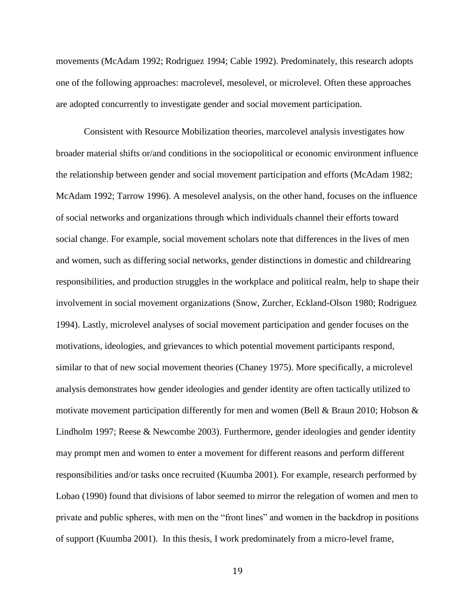movements (McAdam 1992; Rodriguez 1994; Cable 1992). Predominately, this research adopts one of the following approaches: macrolevel, mesolevel, or microlevel. Often these approaches are adopted concurrently to investigate gender and social movement participation.

Consistent with Resource Mobilization theories, marcolevel analysis investigates how broader material shifts or/and conditions in the sociopolitical or economic environment influence the relationship between gender and social movement participation and efforts (McAdam 1982; McAdam 1992; Tarrow 1996). A mesolevel analysis, on the other hand, focuses on the influence of social networks and organizations through which individuals channel their efforts toward social change. For example, social movement scholars note that differences in the lives of men and women, such as differing social networks, gender distinctions in domestic and childrearing responsibilities, and production struggles in the workplace and political realm, help to shape their involvement in social movement organizations (Snow, Zurcher, Eckland-Olson 1980; Rodriguez 1994). Lastly, microlevel analyses of social movement participation and gender focuses on the motivations, ideologies, and grievances to which potential movement participants respond, similar to that of new social movement theories (Chaney 1975). More specifically, a microlevel analysis demonstrates how gender ideologies and gender identity are often tactically utilized to motivate movement participation differently for men and women (Bell & Braun 2010; Hobson  $\&$ Lindholm 1997; Reese & Newcombe 2003). Furthermore, gender ideologies and gender identity may prompt men and women to enter a movement for different reasons and perform different responsibilities and/or tasks once recruited (Kuumba 2001). For example, research performed by Lobao (1990) found that divisions of labor seemed to mirror the relegation of women and men to private and public spheres, with men on the "front lines" and women in the backdrop in positions of support (Kuumba 2001). In this thesis, I work predominately from a micro-level frame,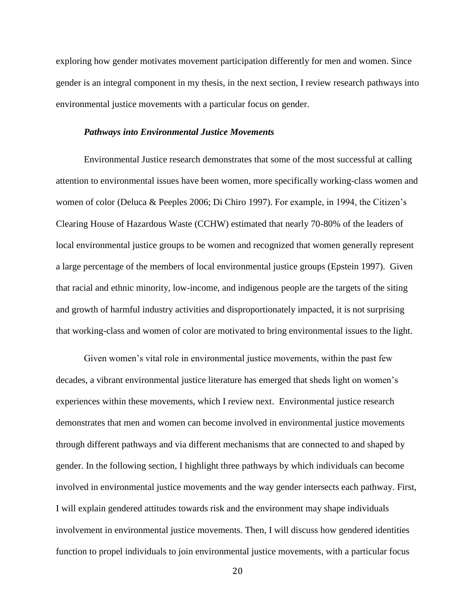exploring how gender motivates movement participation differently for men and women. Since gender is an integral component in my thesis, in the next section, I review research pathways into environmental justice movements with a particular focus on gender.

## *Pathways into Environmental Justice Movements*

Environmental Justice research demonstrates that some of the most successful at calling attention to environmental issues have been women, more specifically working-class women and women of color (Deluca & Peeples 2006; Di Chiro 1997). For example, in 1994, the Citizen's Clearing House of Hazardous Waste (CCHW) estimated that nearly 70-80% of the leaders of local environmental justice groups to be women and recognized that women generally represent a large percentage of the members of local environmental justice groups (Epstein 1997). Given that racial and ethnic minority, low-income, and indigenous people are the targets of the siting and growth of harmful industry activities and disproportionately impacted, it is not surprising that working-class and women of color are motivated to bring environmental issues to the light.

Given women's vital role in environmental justice movements, within the past few decades, a vibrant environmental justice literature has emerged that sheds light on women's experiences within these movements, which I review next. Environmental justice research demonstrates that men and women can become involved in environmental justice movements through different pathways and via different mechanisms that are connected to and shaped by gender. In the following section, I highlight three pathways by which individuals can become involved in environmental justice movements and the way gender intersects each pathway. First, I will explain gendered attitudes towards risk and the environment may shape individuals involvement in environmental justice movements. Then, I will discuss how gendered identities function to propel individuals to join environmental justice movements, with a particular focus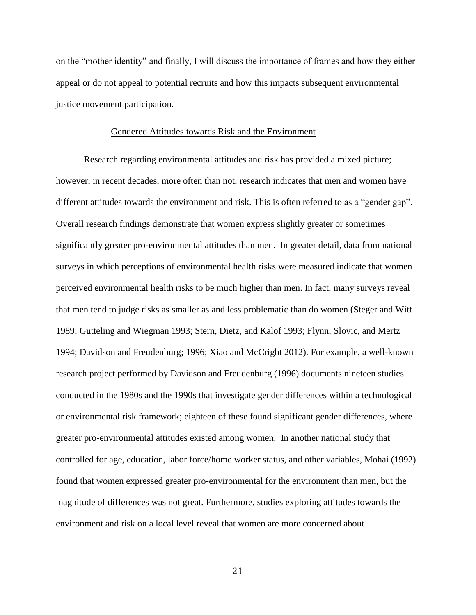on the "mother identity" and finally, I will discuss the importance of frames and how they either appeal or do not appeal to potential recruits and how this impacts subsequent environmental justice movement participation.

## Gendered Attitudes towards Risk and the Environment

Research regarding environmental attitudes and risk has provided a mixed picture; however, in recent decades, more often than not, research indicates that men and women have different attitudes towards the environment and risk. This is often referred to as a "gender gap". Overall research findings demonstrate that women express slightly greater or sometimes significantly greater pro-environmental attitudes than men. In greater detail, data from national surveys in which perceptions of environmental health risks were measured indicate that women perceived environmental health risks to be much higher than men. In fact, many surveys reveal that men tend to judge risks as smaller as and less problematic than do women (Steger and Witt 1989; Gutteling and Wiegman 1993; Stern, Dietz, and Kalof 1993; Flynn, Slovic, and Mertz 1994; Davidson and Freudenburg; 1996; Xiao and McCright 2012). For example, a well-known research project performed by Davidson and Freudenburg (1996) documents nineteen studies conducted in the 1980s and the 1990s that investigate gender differences within a technological or environmental risk framework; eighteen of these found significant gender differences, where greater pro-environmental attitudes existed among women. In another national study that controlled for age, education, labor force/home worker status, and other variables, Mohai (1992) found that women expressed greater pro-environmental for the environment than men, but the magnitude of differences was not great. Furthermore, studies exploring attitudes towards the environment and risk on a local level reveal that women are more concerned about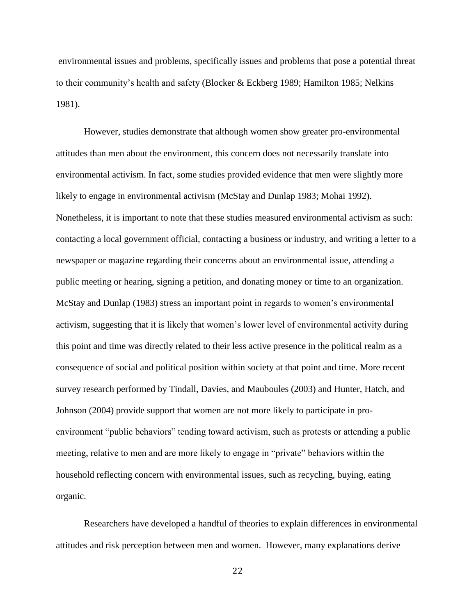environmental issues and problems, specifically issues and problems that pose a potential threat to their community's health and safety (Blocker & Eckberg 1989; Hamilton 1985; Nelkins 1981).

However, studies demonstrate that although women show greater pro-environmental attitudes than men about the environment, this concern does not necessarily translate into environmental activism. In fact, some studies provided evidence that men were slightly more likely to engage in environmental activism (McStay and Dunlap 1983; Mohai 1992). Nonetheless, it is important to note that these studies measured environmental activism as such: contacting a local government official, contacting a business or industry, and writing a letter to a newspaper or magazine regarding their concerns about an environmental issue, attending a public meeting or hearing, signing a petition, and donating money or time to an organization. McStay and Dunlap (1983) stress an important point in regards to women's environmental activism, suggesting that it is likely that women's lower level of environmental activity during this point and time was directly related to their less active presence in the political realm as a consequence of social and political position within society at that point and time. More recent survey research performed by Tindall, Davies, and Mauboules (2003) and Hunter, Hatch, and Johnson (2004) provide support that women are not more likely to participate in proenvironment "public behaviors" tending toward activism, such as protests or attending a public meeting, relative to men and are more likely to engage in "private" behaviors within the household reflecting concern with environmental issues, such as recycling, buying, eating organic.

Researchers have developed a handful of theories to explain differences in environmental attitudes and risk perception between men and women. However, many explanations derive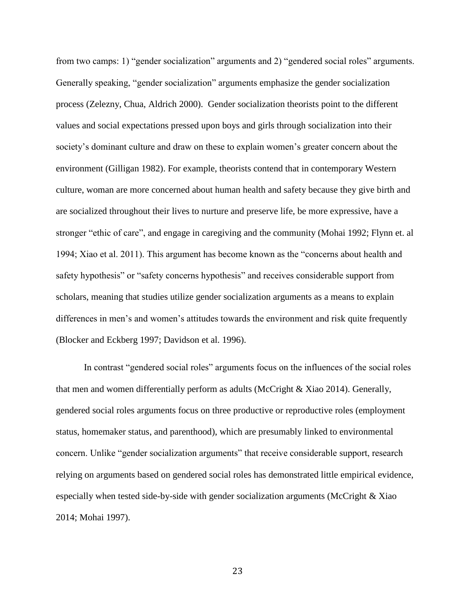from two camps: 1) "gender socialization" arguments and 2) "gendered social roles" arguments. Generally speaking, "gender socialization" arguments emphasize the gender socialization process (Zelezny, Chua, Aldrich 2000). Gender socialization theorists point to the different values and social expectations pressed upon boys and girls through socialization into their society's dominant culture and draw on these to explain women's greater concern about the environment (Gilligan 1982). For example, theorists contend that in contemporary Western culture, woman are more concerned about human health and safety because they give birth and are socialized throughout their lives to nurture and preserve life, be more expressive, have a stronger "ethic of care", and engage in caregiving and the community (Mohai 1992; Flynn et. al 1994; Xiao et al. 2011). This argument has become known as the "concerns about health and safety hypothesis" or "safety concerns hypothesis" and receives considerable support from scholars, meaning that studies utilize gender socialization arguments as a means to explain differences in men's and women's attitudes towards the environment and risk quite frequently (Blocker and Eckberg 1997; Davidson et al. 1996).

In contrast "gendered social roles" arguments focus on the influences of the social roles that men and women differentially perform as adults (McCright & Xiao 2014). Generally, gendered social roles arguments focus on three productive or reproductive roles (employment status, homemaker status, and parenthood), which are presumably linked to environmental concern. Unlike "gender socialization arguments" that receive considerable support, research relying on arguments based on gendered social roles has demonstrated little empirical evidence, especially when tested side-by-side with gender socialization arguments (McCright  $\&$  Xiao 2014; Mohai 1997).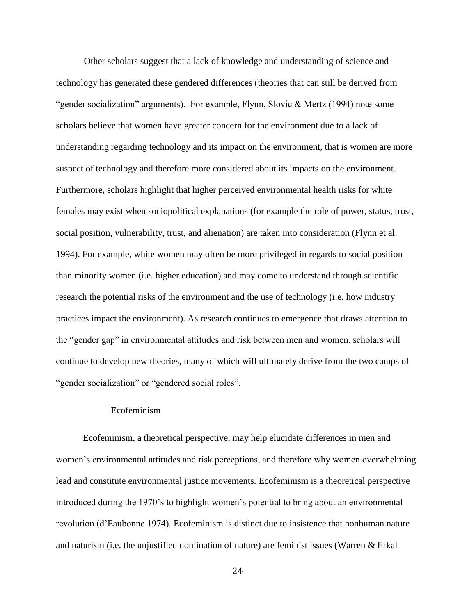Other scholars suggest that a lack of knowledge and understanding of science and technology has generated these gendered differences (theories that can still be derived from "gender socialization" arguments). For example, Flynn, Slovic & Mertz (1994) note some scholars believe that women have greater concern for the environment due to a lack of understanding regarding technology and its impact on the environment, that is women are more suspect of technology and therefore more considered about its impacts on the environment. Furthermore, scholars highlight that higher perceived environmental health risks for white females may exist when sociopolitical explanations (for example the role of power, status, trust, social position, vulnerability, trust, and alienation) are taken into consideration (Flynn et al. 1994). For example, white women may often be more privileged in regards to social position than minority women (i.e. higher education) and may come to understand through scientific research the potential risks of the environment and the use of technology (i.e. how industry practices impact the environment). As research continues to emergence that draws attention to the "gender gap" in environmental attitudes and risk between men and women, scholars will continue to develop new theories, many of which will ultimately derive from the two camps of "gender socialization" or "gendered social roles".

## Ecofeminism

Ecofeminism, a theoretical perspective, may help elucidate differences in men and women's environmental attitudes and risk perceptions, and therefore why women overwhelming lead and constitute environmental justice movements. Ecofeminism is a theoretical perspective introduced during the 1970's to highlight women's potential to bring about an environmental revolution (d'Eaubonne 1974). Ecofeminism is distinct due to insistence that nonhuman nature and naturism (i.e. the unjustified domination of nature) are feminist issues (Warren & Erkal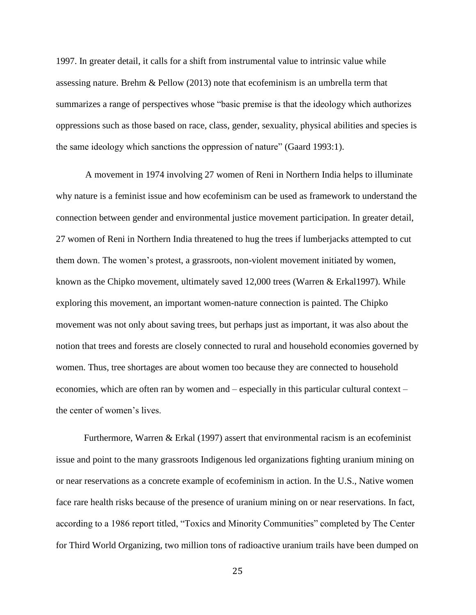1997. In greater detail, it calls for a shift from instrumental value to intrinsic value while assessing nature. Brehm & Pellow (2013) note that ecofeminism is an umbrella term that summarizes a range of perspectives whose "basic premise is that the ideology which authorizes oppressions such as those based on race, class, gender, sexuality, physical abilities and species is the same ideology which sanctions the oppression of nature" (Gaard 1993:1).

A movement in 1974 involving 27 women of Reni in Northern India helps to illuminate why nature is a feminist issue and how ecofeminism can be used as framework to understand the connection between gender and environmental justice movement participation. In greater detail, 27 women of Reni in Northern India threatened to hug the trees if lumberjacks attempted to cut them down. The women's protest, a grassroots, non-violent movement initiated by women, known as the Chipko movement, ultimately saved 12,000 trees (Warren & Erkal1997). While exploring this movement, an important women-nature connection is painted. The Chipko movement was not only about saving trees, but perhaps just as important, it was also about the notion that trees and forests are closely connected to rural and household economies governed by women. Thus, tree shortages are about women too because they are connected to household economies, which are often ran by women and – especially in this particular cultural context – the center of women's lives.

Furthermore, Warren & Erkal (1997) assert that environmental racism is an ecofeminist issue and point to the many grassroots Indigenous led organizations fighting uranium mining on or near reservations as a concrete example of ecofeminism in action. In the U.S., Native women face rare health risks because of the presence of uranium mining on or near reservations. In fact, according to a 1986 report titled, "Toxics and Minority Communities" completed by The Center for Third World Organizing, two million tons of radioactive uranium trails have been dumped on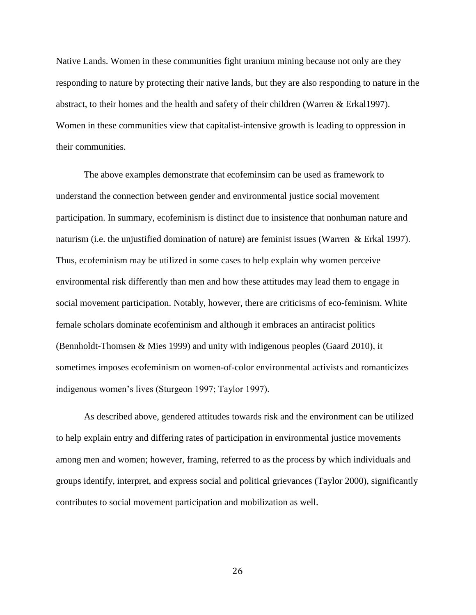Native Lands. Women in these communities fight uranium mining because not only are they responding to nature by protecting their native lands, but they are also responding to nature in the abstract, to their homes and the health and safety of their children (Warren & Erkal1997). Women in these communities view that capitalist-intensive growth is leading to oppression in their communities.

The above examples demonstrate that ecofeminsim can be used as framework to understand the connection between gender and environmental justice social movement participation. In summary, ecofeminism is distinct due to insistence that nonhuman nature and naturism (i.e. the unjustified domination of nature) are feminist issues (Warren & Erkal 1997). Thus, ecofeminism may be utilized in some cases to help explain why women perceive environmental risk differently than men and how these attitudes may lead them to engage in social movement participation. Notably, however, there are criticisms of eco-feminism. White female scholars dominate ecofeminism and although it embraces an antiracist politics (Bennholdt-Thomsen & Mies 1999) and unity with indigenous peoples (Gaard 2010), it sometimes imposes ecofeminism on women-of-color environmental activists and romanticizes indigenous women's lives (Sturgeon 1997; Taylor 1997).

As described above, gendered attitudes towards risk and the environment can be utilized to help explain entry and differing rates of participation in environmental justice movements among men and women; however, framing, referred to as the process by which individuals and groups identify, interpret, and express social and political grievances (Taylor 2000), significantly contributes to social movement participation and mobilization as well.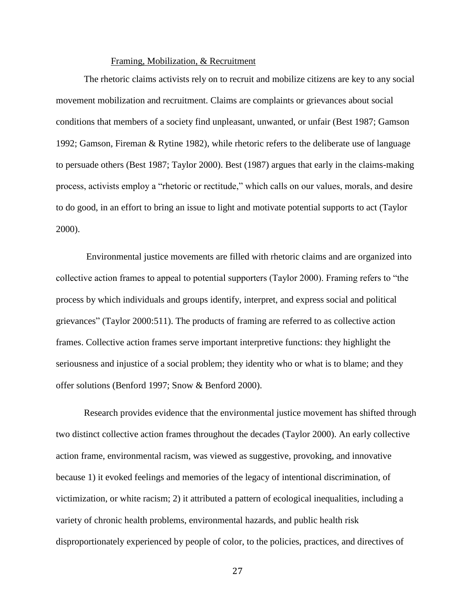## Framing, Mobilization, & Recruitment

The rhetoric claims activists rely on to recruit and mobilize citizens are key to any social movement mobilization and recruitment. Claims are complaints or grievances about social conditions that members of a society find unpleasant, unwanted, or unfair (Best 1987; Gamson 1992; Gamson, Fireman & Rytine 1982), while rhetoric refers to the deliberate use of language to persuade others (Best 1987; Taylor 2000). Best (1987) argues that early in the claims-making process, activists employ a "rhetoric or rectitude," which calls on our values, morals, and desire to do good, in an effort to bring an issue to light and motivate potential supports to act (Taylor 2000).

 Environmental justice movements are filled with rhetoric claims and are organized into collective action frames to appeal to potential supporters (Taylor 2000). Framing refers to "the process by which individuals and groups identify, interpret, and express social and political grievances" (Taylor 2000:511). The products of framing are referred to as collective action frames. Collective action frames serve important interpretive functions: they highlight the seriousness and injustice of a social problem; they identity who or what is to blame; and they offer solutions (Benford 1997; Snow & Benford 2000).

Research provides evidence that the environmental justice movement has shifted through two distinct collective action frames throughout the decades (Taylor 2000). An early collective action frame, environmental racism, was viewed as suggestive, provoking, and innovative because 1) it evoked feelings and memories of the legacy of intentional discrimination, of victimization, or white racism; 2) it attributed a pattern of ecological inequalities, including a variety of chronic health problems, environmental hazards, and public health risk disproportionately experienced by people of color, to the policies, practices, and directives of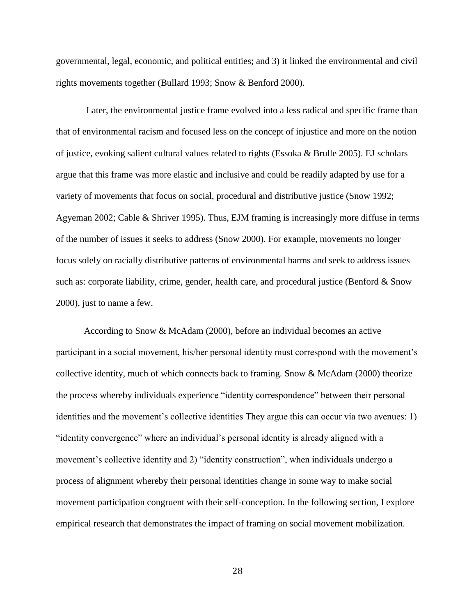governmental, legal, economic, and political entities; and 3) it linked the environmental and civil rights movements together (Bullard 1993; Snow & Benford 2000).

 Later, the environmental justice frame evolved into a less radical and specific frame than that of environmental racism and focused less on the concept of injustice and more on the notion of justice, evoking salient cultural values related to rights (Essoka & Brulle 2005). EJ scholars argue that this frame was more elastic and inclusive and could be readily adapted by use for a variety of movements that focus on social, procedural and distributive justice (Snow 1992; Agyeman 2002; Cable & Shriver 1995). Thus, EJM framing is increasingly more diffuse in terms of the number of issues it seeks to address (Snow 2000). For example, movements no longer focus solely on racially distributive patterns of environmental harms and seek to address issues such as: corporate liability, crime, gender, health care, and procedural justice (Benford & Snow 2000), just to name a few.

According to Snow & McAdam (2000), before an individual becomes an active participant in a social movement, his/her personal identity must correspond with the movement's collective identity, much of which connects back to framing. Snow & McAdam (2000) theorize the process whereby individuals experience "identity correspondence" between their personal identities and the movement's collective identities They argue this can occur via two avenues: 1) "identity convergence" where an individual's personal identity is already aligned with a movement's collective identity and 2) "identity construction", when individuals undergo a process of alignment whereby their personal identities change in some way to make social movement participation congruent with their self-conception. In the following section, I explore empirical research that demonstrates the impact of framing on social movement mobilization.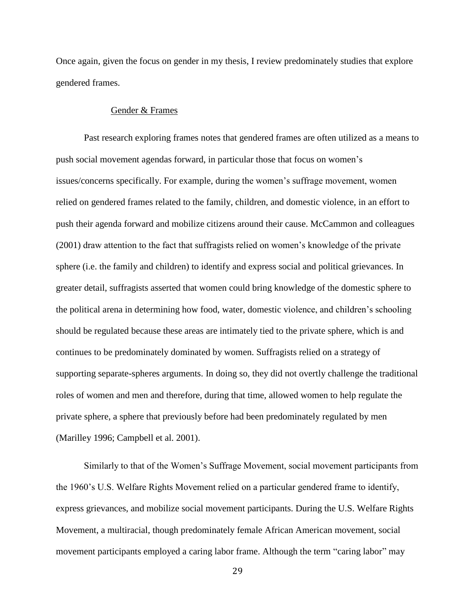Once again, given the focus on gender in my thesis, I review predominately studies that explore gendered frames.

## Gender & Frames

Past research exploring frames notes that gendered frames are often utilized as a means to push social movement agendas forward, in particular those that focus on women's issues/concerns specifically. For example, during the women's suffrage movement, women relied on gendered frames related to the family, children, and domestic violence, in an effort to push their agenda forward and mobilize citizens around their cause. McCammon and colleagues (2001) draw attention to the fact that suffragists relied on women's knowledge of the private sphere (i.e. the family and children) to identify and express social and political grievances. In greater detail, suffragists asserted that women could bring knowledge of the domestic sphere to the political arena in determining how food, water, domestic violence, and children's schooling should be regulated because these areas are intimately tied to the private sphere, which is and continues to be predominately dominated by women. Suffragists relied on a strategy of supporting separate-spheres arguments. In doing so, they did not overtly challenge the traditional roles of women and men and therefore, during that time, allowed women to help regulate the private sphere, a sphere that previously before had been predominately regulated by men (Marilley 1996; Campbell et al. 2001).

Similarly to that of the Women's Suffrage Movement, social movement participants from the 1960's U.S. Welfare Rights Movement relied on a particular gendered frame to identify, express grievances, and mobilize social movement participants. During the U.S. Welfare Rights Movement, a multiracial, though predominately female African American movement, social movement participants employed a caring labor frame. Although the term "caring labor" may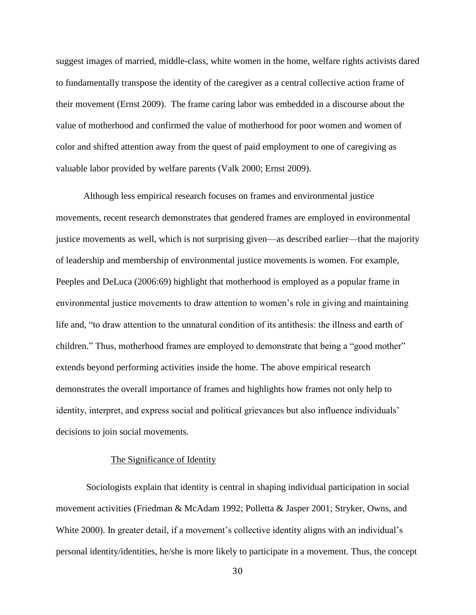suggest images of married, middle-class, white women in the home, welfare rights activists dared to fundamentally transpose the identity of the caregiver as a central collective action frame of their movement (Ernst 2009). The frame caring labor was embedded in a discourse about the value of motherhood and confirmed the value of motherhood for poor women and women of color and shifted attention away from the quest of paid employment to one of caregiving as valuable labor provided by welfare parents (Valk 2000; Ernst 2009).

 Although less empirical research focuses on frames and environmental justice movements, recent research demonstrates that gendered frames are employed in environmental justice movements as well, which is not surprising given—as described earlier—that the majority of leadership and membership of environmental justice movements is women. For example, Peeples and DeLuca (2006:69) highlight that motherhood is employed as a popular frame in environmental justice movements to draw attention to women's role in giving and maintaining life and, "to draw attention to the unnatural condition of its antithesis: the illness and earth of children." Thus, motherhood frames are employed to demonstrate that being a "good mother" extends beyond performing activities inside the home. The above empirical research demonstrates the overall importance of frames and highlights how frames not only help to identity, interpret, and express social and political grievances but also influence individuals' decisions to join social movements.

# The Significance of Identity

 Sociologists explain that identity is central in shaping individual participation in social movement activities (Friedman & McAdam 1992; Polletta & Jasper 2001; Stryker, Owns, and White 2000). In greater detail, if a movement's collective identity aligns with an individual's personal identity/identities, he/she is more likely to participate in a movement. Thus, the concept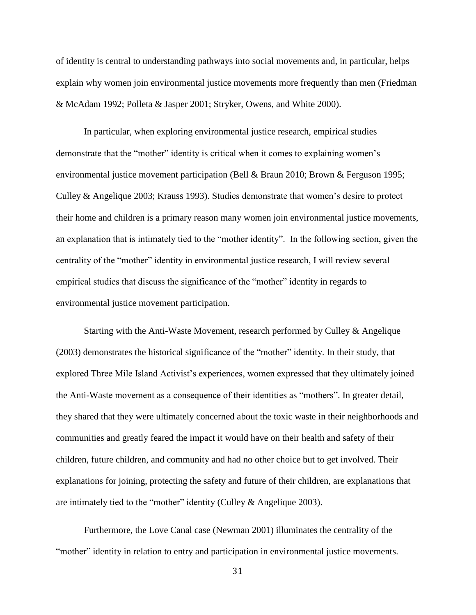of identity is central to understanding pathways into social movements and, in particular, helps explain why women join environmental justice movements more frequently than men (Friedman & McAdam 1992; Polleta & Jasper 2001; Stryker, Owens, and White 2000).

In particular, when exploring environmental justice research, empirical studies demonstrate that the "mother" identity is critical when it comes to explaining women's environmental justice movement participation (Bell & Braun 2010; Brown & Ferguson 1995; Culley & Angelique 2003; Krauss 1993). Studies demonstrate that women's desire to protect their home and children is a primary reason many women join environmental justice movements, an explanation that is intimately tied to the "mother identity". In the following section, given the centrality of the "mother" identity in environmental justice research, I will review several empirical studies that discuss the significance of the "mother" identity in regards to environmental justice movement participation.

Starting with the Anti-Waste Movement, research performed by Culley & Angelique (2003) demonstrates the historical significance of the "mother" identity. In their study, that explored Three Mile Island Activist's experiences, women expressed that they ultimately joined the Anti-Waste movement as a consequence of their identities as "mothers". In greater detail, they shared that they were ultimately concerned about the toxic waste in their neighborhoods and communities and greatly feared the impact it would have on their health and safety of their children, future children, and community and had no other choice but to get involved. Their explanations for joining, protecting the safety and future of their children, are explanations that are intimately tied to the "mother" identity (Culley & Angelique 2003).

Furthermore, the Love Canal case (Newman 2001) illuminates the centrality of the "mother" identity in relation to entry and participation in environmental justice movements.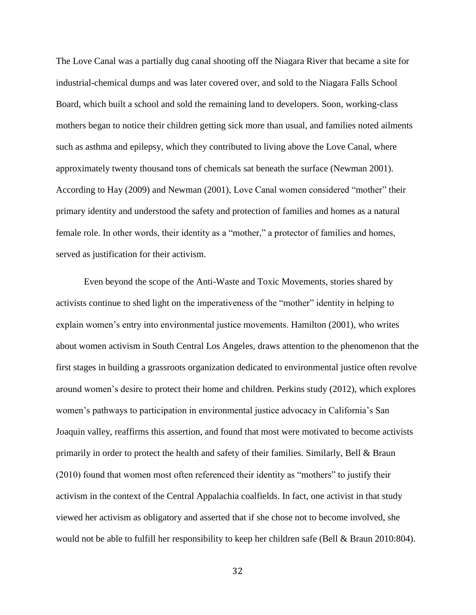The Love Canal was a partially dug canal shooting off the Niagara River that became a site for industrial-chemical dumps and was later covered over, and sold to the Niagara Falls School Board, which built a school and sold the remaining land to developers. Soon, working-class mothers began to notice their children getting sick more than usual, and families noted ailments such as asthma and epilepsy, which they contributed to living above the Love Canal, where approximately twenty thousand tons of chemicals sat beneath the surface (Newman 2001). According to Hay (2009) and Newman (2001), Love Canal women considered "mother" their primary identity and understood the safety and protection of families and homes as a natural female role. In other words, their identity as a "mother," a protector of families and homes, served as justification for their activism.

Even beyond the scope of the Anti-Waste and Toxic Movements, stories shared by activists continue to shed light on the imperativeness of the "mother" identity in helping to explain women's entry into environmental justice movements. Hamilton (2001), who writes about women activism in South Central Los Angeles, draws attention to the phenomenon that the first stages in building a grassroots organization dedicated to environmental justice often revolve around women's desire to protect their home and children. Perkins study (2012), which explores women's pathways to participation in environmental justice advocacy in California's San Joaquin valley, reaffirms this assertion, and found that most were motivated to become activists primarily in order to protect the health and safety of their families. Similarly, Bell & Braun (2010) found that women most often referenced their identity as "mothers" to justify their activism in the context of the Central Appalachia coalfields. In fact, one activist in that study viewed her activism as obligatory and asserted that if she chose not to become involved, she would not be able to fulfill her responsibility to keep her children safe (Bell & Braun 2010:804).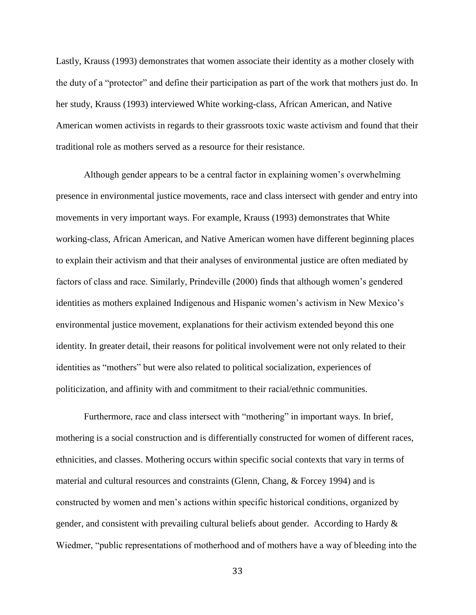Lastly, Krauss (1993) demonstrates that women associate their identity as a mother closely with the duty of a "protector" and define their participation as part of the work that mothers just do. In her study, Krauss (1993) interviewed White working-class, African American, and Native American women activists in regards to their grassroots toxic waste activism and found that their traditional role as mothers served as a resource for their resistance.

Although gender appears to be a central factor in explaining women's overwhelming presence in environmental justice movements, race and class intersect with gender and entry into movements in very important ways. For example, Krauss (1993) demonstrates that White working-class, African American, and Native American women have different beginning places to explain their activism and that their analyses of environmental justice are often mediated by factors of class and race. Similarly, Prindeville (2000) finds that although women's gendered identities as mothers explained Indigenous and Hispanic women's activism in New Mexico's environmental justice movement, explanations for their activism extended beyond this one identity. In greater detail, their reasons for political involvement were not only related to their identities as "mothers" but were also related to political socialization, experiences of politicization, and affinity with and commitment to their racial/ethnic communities.

Furthermore, race and class intersect with "mothering" in important ways. In brief, mothering is a social construction and is differentially constructed for women of different races, ethnicities, and classes. Mothering occurs within specific social contexts that vary in terms of material and cultural resources and constraints (Glenn, Chang, & Forcey 1994) and is constructed by women and men's actions within specific historical conditions, organized by gender, and consistent with prevailing cultural beliefs about gender. According to Hardy & Wiedmer, "public representations of motherhood and of mothers have a way of bleeding into the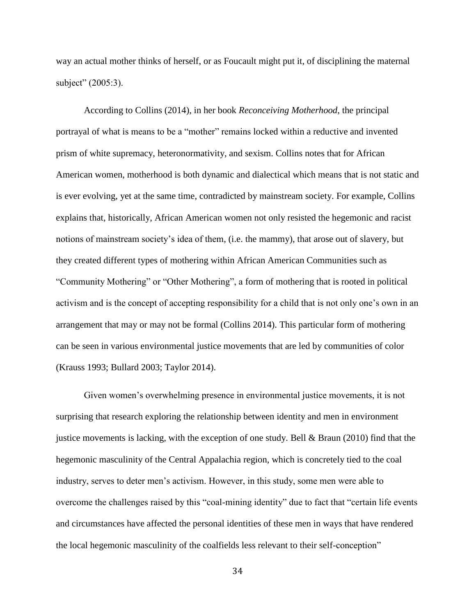way an actual mother thinks of herself, or as Foucault might put it, of disciplining the maternal subject" (2005:3).

According to Collins (2014), in her book *Reconceiving Motherhood*, the principal portrayal of what is means to be a "mother" remains locked within a reductive and invented prism of white supremacy, heteronormativity, and sexism. Collins notes that for African American women, motherhood is both dynamic and dialectical which means that is not static and is ever evolving, yet at the same time, contradicted by mainstream society. For example, Collins explains that, historically, African American women not only resisted the hegemonic and racist notions of mainstream society's idea of them, (i.e. the mammy), that arose out of slavery, but they created different types of mothering within African American Communities such as "Community Mothering" or "Other Mothering", a form of mothering that is rooted in political activism and is the concept of accepting responsibility for a child that is not only one's own in an arrangement that may or may not be formal (Collins 2014). This particular form of mothering can be seen in various environmental justice movements that are led by communities of color (Krauss 1993; Bullard 2003; Taylor 2014).

Given women's overwhelming presence in environmental justice movements, it is not surprising that research exploring the relationship between identity and men in environment justice movements is lacking, with the exception of one study. Bell  $& Braun (2010)$  find that the hegemonic masculinity of the Central Appalachia region, which is concretely tied to the coal industry, serves to deter men's activism. However, in this study, some men were able to overcome the challenges raised by this "coal-mining identity" due to fact that "certain life events and circumstances have affected the personal identities of these men in ways that have rendered the local hegemonic masculinity of the coalfields less relevant to their self-conception"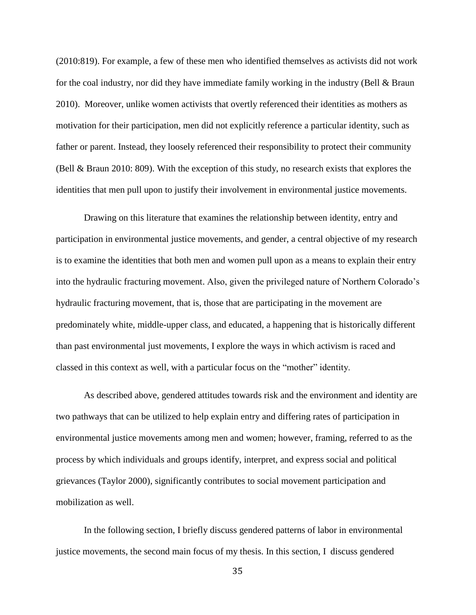(2010:819). For example, a few of these men who identified themselves as activists did not work for the coal industry, nor did they have immediate family working in the industry (Bell & Braun 2010). Moreover, unlike women activists that overtly referenced their identities as mothers as motivation for their participation, men did not explicitly reference a particular identity, such as father or parent. Instead, they loosely referenced their responsibility to protect their community (Bell & Braun 2010: 809). With the exception of this study, no research exists that explores the identities that men pull upon to justify their involvement in environmental justice movements.

Drawing on this literature that examines the relationship between identity, entry and participation in environmental justice movements, and gender, a central objective of my research is to examine the identities that both men and women pull upon as a means to explain their entry into the hydraulic fracturing movement. Also, given the privileged nature of Northern Colorado's hydraulic fracturing movement, that is, those that are participating in the movement are predominately white, middle-upper class, and educated, a happening that is historically different than past environmental just movements, I explore the ways in which activism is raced and classed in this context as well, with a particular focus on the "mother" identity.

As described above, gendered attitudes towards risk and the environment and identity are two pathways that can be utilized to help explain entry and differing rates of participation in environmental justice movements among men and women; however, framing, referred to as the process by which individuals and groups identify, interpret, and express social and political grievances (Taylor 2000), significantly contributes to social movement participation and mobilization as well.

In the following section, I briefly discuss gendered patterns of labor in environmental justice movements, the second main focus of my thesis. In this section, I discuss gendered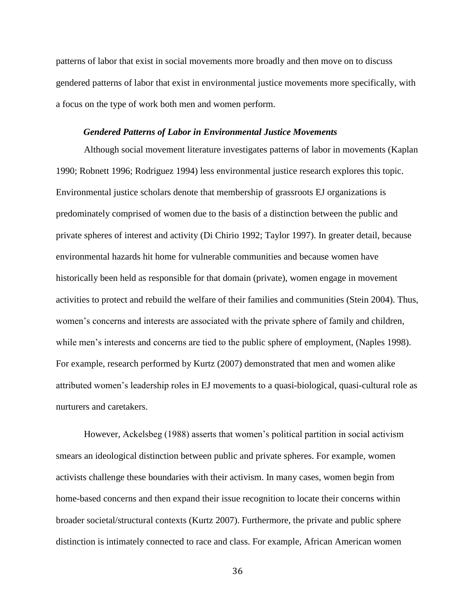patterns of labor that exist in social movements more broadly and then move on to discuss gendered patterns of labor that exist in environmental justice movements more specifically, with a focus on the type of work both men and women perform.

#### *Gendered Patterns of Labor in Environmental Justice Movements*

Although social movement literature investigates patterns of labor in movements (Kaplan 1990; Robnett 1996; Rodriguez 1994) less environmental justice research explores this topic. Environmental justice scholars denote that membership of grassroots EJ organizations is predominately comprised of women due to the basis of a distinction between the public and private spheres of interest and activity (Di Chirio 1992; Taylor 1997). In greater detail, because environmental hazards hit home for vulnerable communities and because women have historically been held as responsible for that domain (private), women engage in movement activities to protect and rebuild the welfare of their families and communities (Stein 2004). Thus, women's concerns and interests are associated with the private sphere of family and children, while men's interests and concerns are tied to the public sphere of employment, (Naples 1998). For example, research performed by Kurtz (2007) demonstrated that men and women alike attributed women's leadership roles in EJ movements to a quasi-biological, quasi-cultural role as nurturers and caretakers.

However, Ackelsbeg (1988) asserts that women's political partition in social activism smears an ideological distinction between public and private spheres. For example, women activists challenge these boundaries with their activism. In many cases, women begin from home-based concerns and then expand their issue recognition to locate their concerns within broader societal/structural contexts (Kurtz 2007). Furthermore, the private and public sphere distinction is intimately connected to race and class. For example, African American women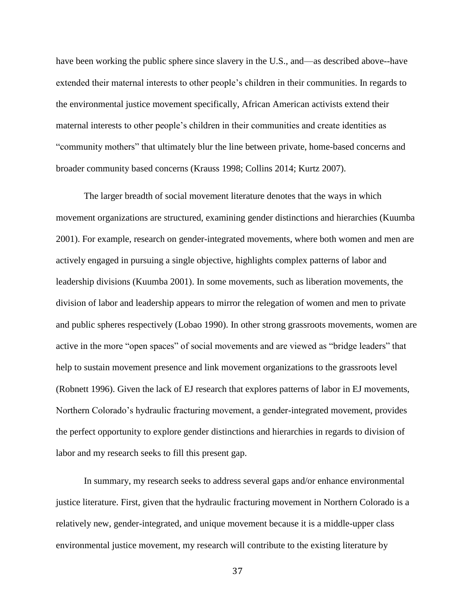have been working the public sphere since slavery in the U.S., and—as described above--have extended their maternal interests to other people's children in their communities. In regards to the environmental justice movement specifically, African American activists extend their maternal interests to other people's children in their communities and create identities as "community mothers" that ultimately blur the line between private, home-based concerns and broader community based concerns (Krauss 1998; Collins 2014; Kurtz 2007).

The larger breadth of social movement literature denotes that the ways in which movement organizations are structured, examining gender distinctions and hierarchies (Kuumba 2001). For example, research on gender-integrated movements, where both women and men are actively engaged in pursuing a single objective, highlights complex patterns of labor and leadership divisions (Kuumba 2001). In some movements, such as liberation movements, the division of labor and leadership appears to mirror the relegation of women and men to private and public spheres respectively (Lobao 1990). In other strong grassroots movements, women are active in the more "open spaces" of social movements and are viewed as "bridge leaders" that help to sustain movement presence and link movement organizations to the grassroots level (Robnett 1996). Given the lack of EJ research that explores patterns of labor in EJ movements, Northern Colorado's hydraulic fracturing movement, a gender-integrated movement, provides the perfect opportunity to explore gender distinctions and hierarchies in regards to division of labor and my research seeks to fill this present gap.

In summary, my research seeks to address several gaps and/or enhance environmental justice literature. First, given that the hydraulic fracturing movement in Northern Colorado is a relatively new, gender-integrated, and unique movement because it is a middle-upper class environmental justice movement, my research will contribute to the existing literature by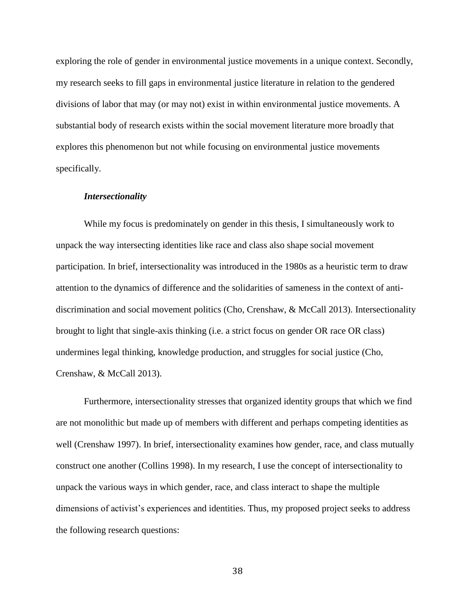exploring the role of gender in environmental justice movements in a unique context. Secondly, my research seeks to fill gaps in environmental justice literature in relation to the gendered divisions of labor that may (or may not) exist in within environmental justice movements. A substantial body of research exists within the social movement literature more broadly that explores this phenomenon but not while focusing on environmental justice movements specifically.

# *Intersectionality*

While my focus is predominately on gender in this thesis, I simultaneously work to unpack the way intersecting identities like race and class also shape social movement participation. In brief, intersectionality was introduced in the 1980s as a heuristic term to draw attention to the dynamics of difference and the solidarities of sameness in the context of antidiscrimination and social movement politics (Cho, Crenshaw, & McCall 2013). Intersectionality brought to light that single-axis thinking (i.e. a strict focus on gender OR race OR class) undermines legal thinking, knowledge production, and struggles for social justice (Cho, Crenshaw, & McCall 2013).

Furthermore, intersectionality stresses that organized identity groups that which we find are not monolithic but made up of members with different and perhaps competing identities as well (Crenshaw 1997). In brief, intersectionality examines how gender, race, and class mutually construct one another (Collins 1998). In my research, I use the concept of intersectionality to unpack the various ways in which gender, race, and class interact to shape the multiple dimensions of activist's experiences and identities. Thus, my proposed project seeks to address the following research questions: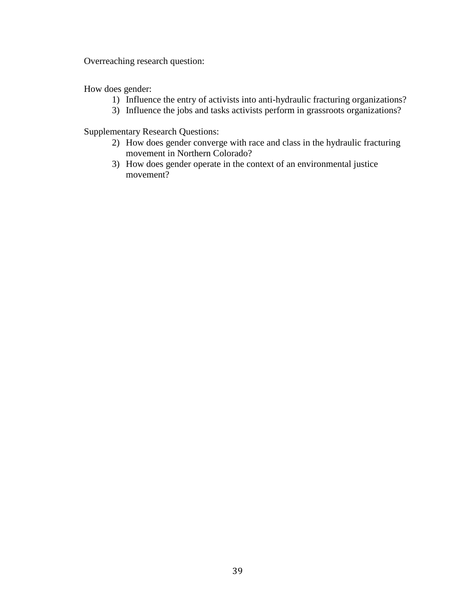Overreaching research question:

How does gender:

- 1) Influence the entry of activists into anti-hydraulic fracturing organizations?
- 3) Influence the jobs and tasks activists perform in grassroots organizations?

Supplementary Research Questions:

- 2) How does gender converge with race and class in the hydraulic fracturing movement in Northern Colorado?
- 3) How does gender operate in the context of an environmental justice movement?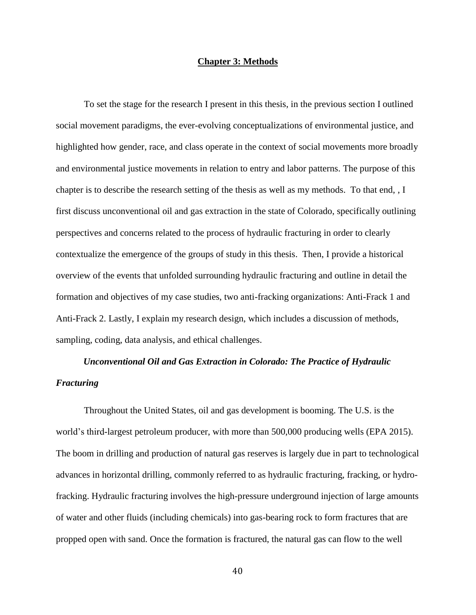# **Chapter 3: Methods**

To set the stage for the research I present in this thesis, in the previous section I outlined social movement paradigms, the ever-evolving conceptualizations of environmental justice, and highlighted how gender, race, and class operate in the context of social movements more broadly and environmental justice movements in relation to entry and labor patterns. The purpose of this chapter is to describe the research setting of the thesis as well as my methods. To that end, , I first discuss unconventional oil and gas extraction in the state of Colorado, specifically outlining perspectives and concerns related to the process of hydraulic fracturing in order to clearly contextualize the emergence of the groups of study in this thesis. Then, I provide a historical overview of the events that unfolded surrounding hydraulic fracturing and outline in detail the formation and objectives of my case studies, two anti-fracking organizations: Anti-Frack 1 and Anti-Frack 2. Lastly, I explain my research design, which includes a discussion of methods, sampling, coding, data analysis, and ethical challenges.

# *Unconventional Oil and Gas Extraction in Colorado: The Practice of Hydraulic Fracturing*

Throughout the United States, oil and gas development is booming. The U.S. is the world's third-largest petroleum producer, with more than 500,000 producing wells (EPA 2015). The boom in drilling and production of natural gas reserves is largely due in part to technological advances in horizontal drilling, commonly referred to as hydraulic fracturing, fracking, or hydrofracking. Hydraulic fracturing involves the high-pressure underground injection of large amounts of water and other fluids (including chemicals) into gas-bearing rock to form fractures that are propped open with sand. Once the formation is fractured, the natural gas can flow to the well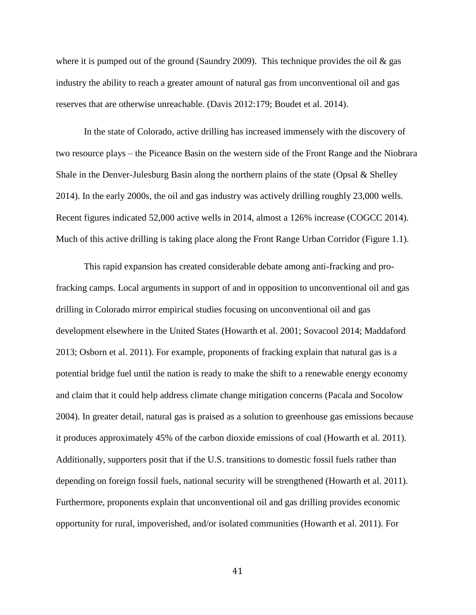where it is pumped out of the ground (Saundry 2009). This technique provides the oil  $\&$  gas industry the ability to reach a greater amount of natural gas from unconventional oil and gas reserves that are otherwise unreachable. (Davis 2012:179; Boudet et al. 2014).

In the state of Colorado, active drilling has increased immensely with the discovery of two resource plays – the Piceance Basin on the western side of the Front Range and the Niobrara Shale in the Denver-Julesburg Basin along the northern plains of the state (Opsal & Shelley 2014). In the early 2000s, the oil and gas industry was actively drilling roughly 23,000 wells. Recent figures indicated 52,000 active wells in 2014, almost a 126% increase (COGCC 2014). Much of this active drilling is taking place along the Front Range Urban Corridor (Figure 1.1).

This rapid expansion has created considerable debate among anti-fracking and profracking camps. Local arguments in support of and in opposition to unconventional oil and gas drilling in Colorado mirror empirical studies focusing on unconventional oil and gas development elsewhere in the United States (Howarth et al. 2001; Sovacool 2014; Maddaford 2013; Osborn et al. 2011). For example, proponents of fracking explain that natural gas is a potential bridge fuel until the nation is ready to make the shift to a renewable energy economy and claim that it could help address climate change mitigation concerns (Pacala and Socolow 2004). In greater detail, natural gas is praised as a solution to greenhouse gas emissions because it produces approximately 45% of the carbon dioxide emissions of coal (Howarth et al. 2011). Additionally, supporters posit that if the U.S. transitions to domestic fossil fuels rather than depending on foreign fossil fuels, national security will be strengthened (Howarth et al. 2011). Furthermore, proponents explain that unconventional oil and gas drilling provides economic opportunity for rural, impoverished, and/or isolated communities (Howarth et al. 2011). For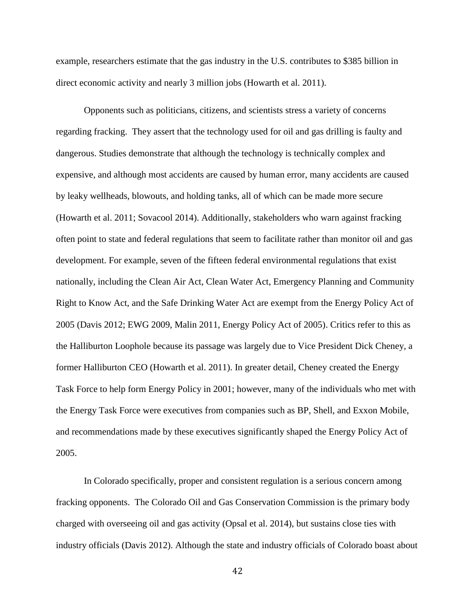example, researchers estimate that the gas industry in the U.S. contributes to \$385 billion in direct economic activity and nearly 3 million jobs (Howarth et al. 2011).

Opponents such as politicians, citizens, and scientists stress a variety of concerns regarding fracking. They assert that the technology used for oil and gas drilling is faulty and dangerous. Studies demonstrate that although the technology is technically complex and expensive, and although most accidents are caused by human error, many accidents are caused by leaky wellheads, blowouts, and holding tanks, all of which can be made more secure (Howarth et al. 2011; Sovacool 2014). Additionally, stakeholders who warn against fracking often point to state and federal regulations that seem to facilitate rather than monitor oil and gas development. For example, seven of the fifteen federal environmental regulations that exist nationally, including the Clean Air Act, Clean Water Act, Emergency Planning and Community Right to Know Act, and the Safe Drinking Water Act are exempt from the Energy Policy Act of 2005 (Davis 2012; EWG 2009, Malin 2011, Energy Policy Act of 2005). Critics refer to this as the Halliburton Loophole because its passage was largely due to Vice President Dick Cheney, a former Halliburton CEO (Howarth et al. 2011). In greater detail, Cheney created the Energy Task Force to help form Energy Policy in 2001; however, many of the individuals who met with the Energy Task Force were executives from companies such as BP, Shell, and Exxon Mobile, and recommendations made by these executives significantly shaped the Energy Policy Act of 2005.

In Colorado specifically, proper and consistent regulation is a serious concern among fracking opponents. The Colorado Oil and Gas Conservation Commission is the primary body charged with overseeing oil and gas activity (Opsal et al. 2014), but sustains close ties with industry officials (Davis 2012). Although the state and industry officials of Colorado boast about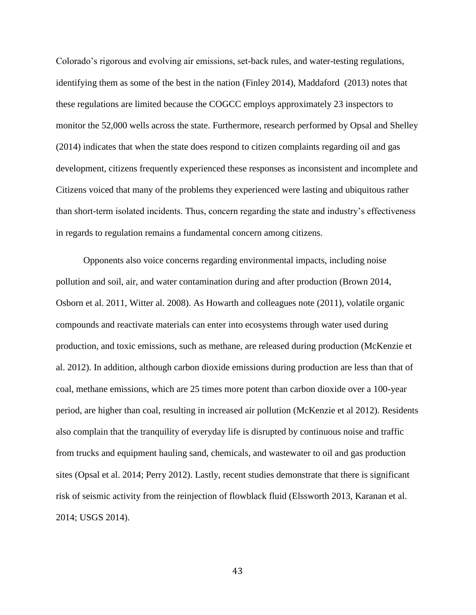Colorado's rigorous and evolving air emissions, set-back rules, and water-testing regulations, identifying them as some of the best in the nation (Finley 2014), Maddaford (2013) notes that these regulations are limited because the COGCC employs approximately 23 inspectors to monitor the 52,000 wells across the state. Furthermore, research performed by Opsal and Shelley (2014) indicates that when the state does respond to citizen complaints regarding oil and gas development, citizens frequently experienced these responses as inconsistent and incomplete and Citizens voiced that many of the problems they experienced were lasting and ubiquitous rather than short-term isolated incidents. Thus, concern regarding the state and industry's effectiveness in regards to regulation remains a fundamental concern among citizens.

Opponents also voice concerns regarding environmental impacts, including noise pollution and soil, air, and water contamination during and after production (Brown 2014, Osborn et al. 2011, Witter al. 2008). As Howarth and colleagues note (2011), volatile organic compounds and reactivate materials can enter into ecosystems through water used during production, and toxic emissions, such as methane, are released during production (McKenzie et al. 2012). In addition, although carbon dioxide emissions during production are less than that of coal, methane emissions, which are 25 times more potent than carbon dioxide over a 100-year period, are higher than coal, resulting in increased air pollution (McKenzie et al 2012). Residents also complain that the tranquility of everyday life is disrupted by continuous noise and traffic from trucks and equipment hauling sand, chemicals, and wastewater to oil and gas production sites (Opsal et al. 2014; Perry 2012). Lastly, recent studies demonstrate that there is significant risk of seismic activity from the reinjection of flowblack fluid (Elssworth 2013, Karanan et al. 2014; USGS 2014).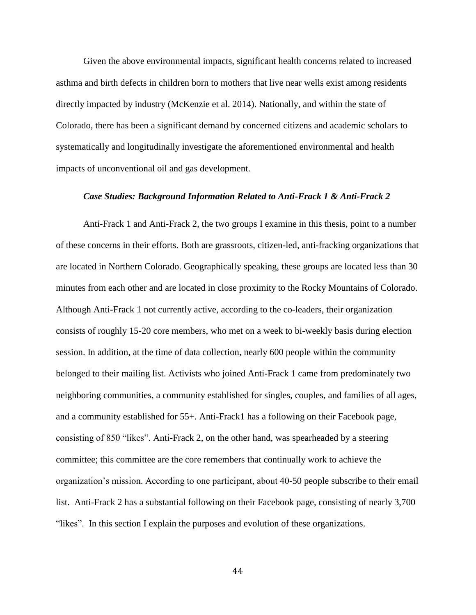Given the above environmental impacts, significant health concerns related to increased asthma and birth defects in children born to mothers that live near wells exist among residents directly impacted by industry (McKenzie et al. 2014). Nationally, and within the state of Colorado, there has been a significant demand by concerned citizens and academic scholars to systematically and longitudinally investigate the aforementioned environmental and health impacts of unconventional oil and gas development.

#### *Case Studies: Background Information Related to Anti-Frack 1 & Anti-Frack 2*

Anti-Frack 1 and Anti-Frack 2, the two groups I examine in this thesis, point to a number of these concerns in their efforts. Both are grassroots, citizen-led, anti-fracking organizations that are located in Northern Colorado. Geographically speaking, these groups are located less than 30 minutes from each other and are located in close proximity to the Rocky Mountains of Colorado. Although Anti-Frack 1 not currently active, according to the co-leaders, their organization consists of roughly 15-20 core members, who met on a week to bi-weekly basis during election session. In addition, at the time of data collection, nearly 600 people within the community belonged to their mailing list. Activists who joined Anti-Frack 1 came from predominately two neighboring communities, a community established for singles, couples, and families of all ages, and a community established for 55+. Anti-Frack1 has a following on their Facebook page, consisting of 850 "likes". Anti-Frack 2, on the other hand, was spearheaded by a steering committee; this committee are the core remembers that continually work to achieve the organization's mission. According to one participant, about 40-50 people subscribe to their email list. Anti-Frack 2 has a substantial following on their Facebook page, consisting of nearly 3,700 "likes". In this section I explain the purposes and evolution of these organizations.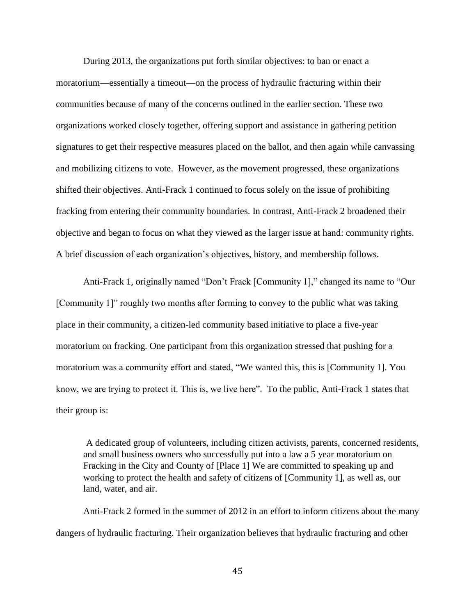During 2013, the organizations put forth similar objectives: to ban or enact a moratorium—essentially a timeout—on the process of hydraulic fracturing within their communities because of many of the concerns outlined in the earlier section. These two organizations worked closely together, offering support and assistance in gathering petition signatures to get their respective measures placed on the ballot, and then again while canvassing and mobilizing citizens to vote. However, as the movement progressed, these organizations shifted their objectives. Anti-Frack 1 continued to focus solely on the issue of prohibiting fracking from entering their community boundaries. In contrast, Anti-Frack 2 broadened their objective and began to focus on what they viewed as the larger issue at hand: community rights. A brief discussion of each organization's objectives, history, and membership follows.

Anti-Frack 1, originally named "Don't Frack [Community 1]," changed its name to "Our [Community 1]" roughly two months after forming to convey to the public what was taking place in their community, a citizen-led community based initiative to place a five-year moratorium on fracking. One participant from this organization stressed that pushing for a moratorium was a community effort and stated, "We wanted this, this is [Community 1]. You know, we are trying to protect it. This is, we live here". To the public, Anti-Frack 1 states that their group is:

A dedicated group of volunteers, including citizen activists, parents, concerned residents, and small business owners who successfully put into a law a 5 year moratorium on Fracking in the City and County of [Place 1] We are committed to speaking up and working to protect the health and safety of citizens of [Community 1], as well as, our land, water, and air.

Anti-Frack 2 formed in the summer of 2012 in an effort to inform citizens about the many dangers of hydraulic fracturing. Their organization believes that hydraulic fracturing and other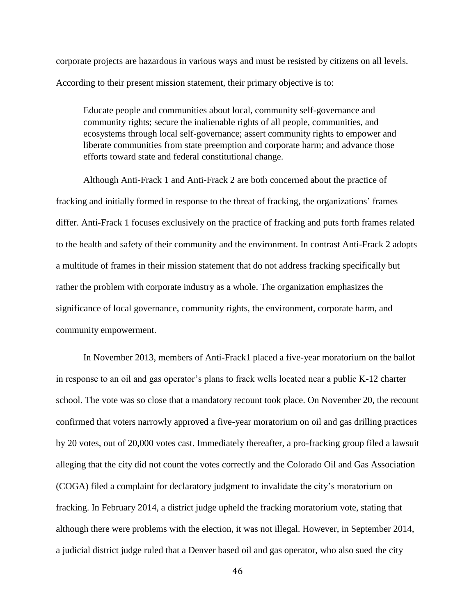corporate projects are hazardous in various ways and must be resisted by citizens on all levels. According to their present mission statement, their primary objective is to:

Educate people and communities about local, community self-governance and community rights; secure the inalienable rights of all people, communities, and ecosystems through local self-governance; assert community rights to empower and liberate communities from state preemption and corporate harm; and advance those efforts toward state and federal constitutional change.

Although Anti-Frack 1 and Anti-Frack 2 are both concerned about the practice of fracking and initially formed in response to the threat of fracking, the organizations' frames differ. Anti-Frack 1 focuses exclusively on the practice of fracking and puts forth frames related to the health and safety of their community and the environment. In contrast Anti-Frack 2 adopts a multitude of frames in their mission statement that do not address fracking specifically but rather the problem with corporate industry as a whole. The organization emphasizes the significance of local governance, community rights, the environment, corporate harm, and community empowerment.

In November 2013, members of Anti-Frack1 placed a five-year moratorium on the ballot in response to an oil and gas operator's plans to frack wells located near a public K-12 charter school. The vote was so close that a mandatory recount took place. On November 20, the recount confirmed that voters narrowly approved a five-year moratorium on oil and gas drilling practices by 20 votes, out of 20,000 votes cast. Immediately thereafter, a pro-fracking group filed a lawsuit alleging that the city did not count the votes correctly and the Colorado Oil and Gas Association (COGA) filed a complaint for declaratory judgment to invalidate the city's moratorium on fracking. In February 2014, a district judge upheld the fracking moratorium vote, stating that although there were problems with the election, it was not illegal. However, in September 2014, a judicial district judge ruled that a Denver based oil and gas operator, who also sued the city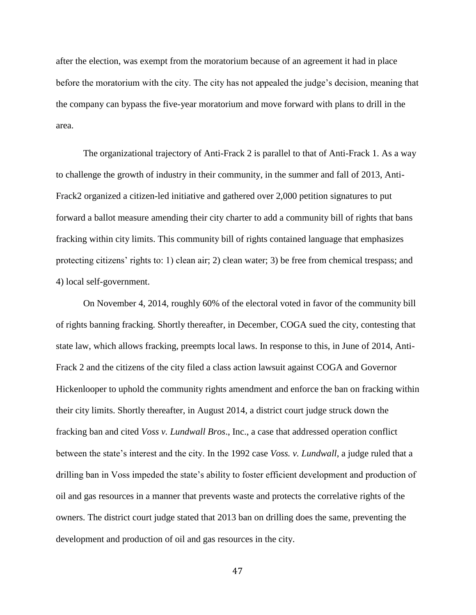after the election, was exempt from the moratorium because of an agreement it had in place before the moratorium with the city. The city has not appealed the judge's decision, meaning that the company can bypass the five-year moratorium and move forward with plans to drill in the area.

The organizational trajectory of Anti-Frack 2 is parallel to that of Anti-Frack 1. As a way to challenge the growth of industry in their community, in the summer and fall of 2013, Anti-Frack2 organized a citizen-led initiative and gathered over 2,000 petition signatures to put forward a ballot measure amending their city charter to add a community bill of rights that bans fracking within city limits. This community bill of rights contained language that emphasizes protecting citizens' rights to: 1) clean air; 2) clean water; 3) be free from chemical trespass; and 4) local self-government.

On November 4, 2014, roughly 60% of the electoral voted in favor of the community bill of rights banning fracking. Shortly thereafter, in December, COGA sued the city, contesting that state law, which allows fracking, preempts local laws. In response to this, in June of 2014, Anti-Frack 2 and the citizens of the city filed a class action lawsuit against COGA and Governor Hickenlooper to uphold the community rights amendment and enforce the ban on fracking within their city limits. Shortly thereafter, in August 2014, a district court judge struck down the fracking ban and cited *Voss v. Lundwall Bros*., Inc., a case that addressed operation conflict between the state's interest and the city. In the 1992 case *Voss. v. Lundwall*, a judge ruled that a drilling ban in Voss impeded the state's ability to foster efficient development and production of oil and gas resources in a manner that prevents waste and protects the correlative rights of the owners. The district court judge stated that 2013 ban on drilling does the same, preventing the development and production of oil and gas resources in the city.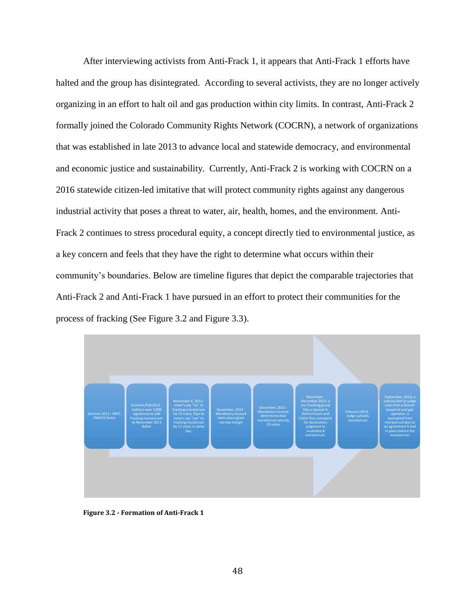After interviewing activists from Anti-Frack 1, it appears that Anti-Frack 1 efforts have halted and the group has disintegrated. According to several activists, they are no longer actively organizing in an effort to halt oil and gas production within city limits. In contrast, Anti-Frack 2 formally joined the Colorado Community Rights Network (COCRN), a network of organizations that was established in late 2013 to advance local and statewide democracy, and environmental and economic justice and sustainability. Currently, Anti-Frack 2 is working with COCRN on a 2016 statewide citizen-led imitative that will protect community rights against any dangerous industrial activity that poses a threat to water, air, health, homes, and the environment. Anti-Frack 2 continues to stress procedural equity, a concept directly tied to environmental justice, as a key concern and feels that they have the right to determine what occurs within their community's boundaries. Below are timeline figures that depict the comparable trajectories that Anti-Frack 2 and Anti-Frack 1 have pursued in an effort to protect their communities for the process of fracking (See Figure 3.2 and Figure 3.3).



**Figure 3.2 - Formation of Anti-Frack 1**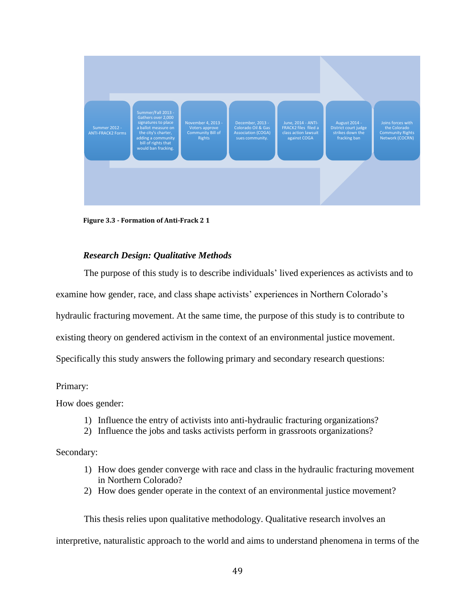

**Figure 3.3 - Formation of Anti-Frack 2 1** 

# *Research Design: Qualitative Methods*

The purpose of this study is to describe individuals' lived experiences as activists and to examine how gender, race, and class shape activists' experiences in Northern Colorado's hydraulic fracturing movement. At the same time, the purpose of this study is to contribute to existing theory on gendered activism in the context of an environmental justice movement. Specifically this study answers the following primary and secondary research questions:

# Primary:

How does gender:

- 1) Influence the entry of activists into anti-hydraulic fracturing organizations?
- 2) Influence the jobs and tasks activists perform in grassroots organizations?

Secondary:

- 1) How does gender converge with race and class in the hydraulic fracturing movement in Northern Colorado?
- 2) How does gender operate in the context of an environmental justice movement?

This thesis relies upon qualitative methodology. Qualitative research involves an

interpretive, naturalistic approach to the world and aims to understand phenomena in terms of the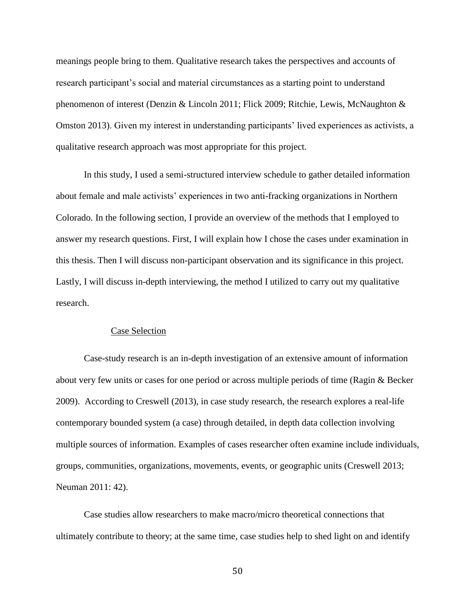meanings people bring to them. Qualitative research takes the perspectives and accounts of research participant's social and material circumstances as a starting point to understand phenomenon of interest (Denzin & Lincoln 2011; Flick 2009; Ritchie, Lewis, McNaughton & Omston 2013). Given my interest in understanding participants' lived experiences as activists, a qualitative research approach was most appropriate for this project.

In this study, I used a semi-structured interview schedule to gather detailed information about female and male activists' experiences in two anti-fracking organizations in Northern Colorado. In the following section, I provide an overview of the methods that I employed to answer my research questions. First, I will explain how I chose the cases under examination in this thesis. Then I will discuss non-participant observation and its significance in this project. Lastly, I will discuss in-depth interviewing, the method I utilized to carry out my qualitative research.

# Case Selection

Case-study research is an in-depth investigation of an extensive amount of information about very few units or cases for one period or across multiple periods of time (Ragin & Becker 2009). According to Creswell (2013), in case study research, the research explores a real-life contemporary bounded system (a case) through detailed, in depth data collection involving multiple sources of information. Examples of cases researcher often examine include individuals, groups, communities, organizations, movements, events, or geographic units (Creswell 2013; Neuman 2011: 42).

Case studies allow researchers to make macro/micro theoretical connections that ultimately contribute to theory; at the same time, case studies help to shed light on and identify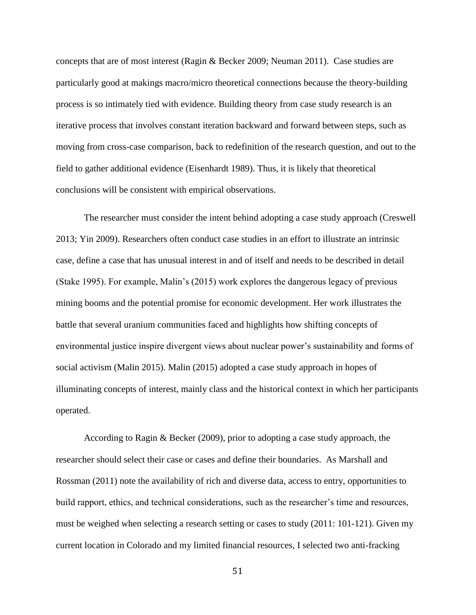concepts that are of most interest (Ragin & Becker 2009; Neuman 2011). Case studies are particularly good at makings macro/micro theoretical connections because the theory-building process is so intimately tied with evidence. Building theory from case study research is an iterative process that involves constant iteration backward and forward between steps, such as moving from cross-case comparison, back to redefinition of the research question, and out to the field to gather additional evidence (Eisenhardt 1989). Thus, it is likely that theoretical conclusions will be consistent with empirical observations.

The researcher must consider the intent behind adopting a case study approach (Creswell 2013; Yin 2009). Researchers often conduct case studies in an effort to illustrate an intrinsic case, define a case that has unusual interest in and of itself and needs to be described in detail (Stake 1995). For example, Malin's (2015) work explores the dangerous legacy of previous mining booms and the potential promise for economic development. Her work illustrates the battle that several uranium communities faced and highlights how shifting concepts of environmental justice inspire divergent views about nuclear power's sustainability and forms of social activism (Malin 2015). Malin (2015) adopted a case study approach in hopes of illuminating concepts of interest, mainly class and the historical context in which her participants operated.

According to Ragin & Becker (2009), prior to adopting a case study approach, the researcher should select their case or cases and define their boundaries. As Marshall and Rossman (2011) note the availability of rich and diverse data, access to entry, opportunities to build rapport, ethics, and technical considerations, such as the researcher's time and resources, must be weighed when selecting a research setting or cases to study (2011: 101-121). Given my current location in Colorado and my limited financial resources, I selected two anti-fracking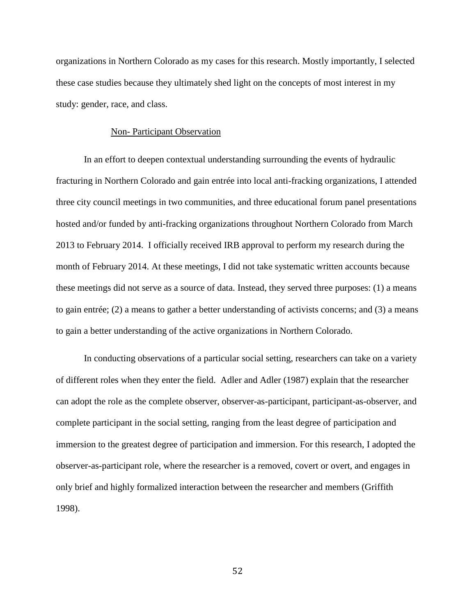organizations in Northern Colorado as my cases for this research. Mostly importantly, I selected these case studies because they ultimately shed light on the concepts of most interest in my study: gender, race, and class.

#### Non- Participant Observation

In an effort to deepen contextual understanding surrounding the events of hydraulic fracturing in Northern Colorado and gain entrée into local anti-fracking organizations, I attended three city council meetings in two communities, and three educational forum panel presentations hosted and/or funded by anti-fracking organizations throughout Northern Colorado from March 2013 to February 2014. I officially received IRB approval to perform my research during the month of February 2014. At these meetings, I did not take systematic written accounts because these meetings did not serve as a source of data. Instead, they served three purposes: (1) a means to gain entrée; (2) a means to gather a better understanding of activists concerns; and (3) a means to gain a better understanding of the active organizations in Northern Colorado.

In conducting observations of a particular social setting, researchers can take on a variety of different roles when they enter the field. Adler and Adler (1987) explain that the researcher can adopt the role as the complete observer, observer-as-participant, participant-as-observer, and complete participant in the social setting, ranging from the least degree of participation and immersion to the greatest degree of participation and immersion. For this research, I adopted the observer-as-participant role, where the researcher is a removed, covert or overt, and engages in only brief and highly formalized interaction between the researcher and members (Griffith 1998).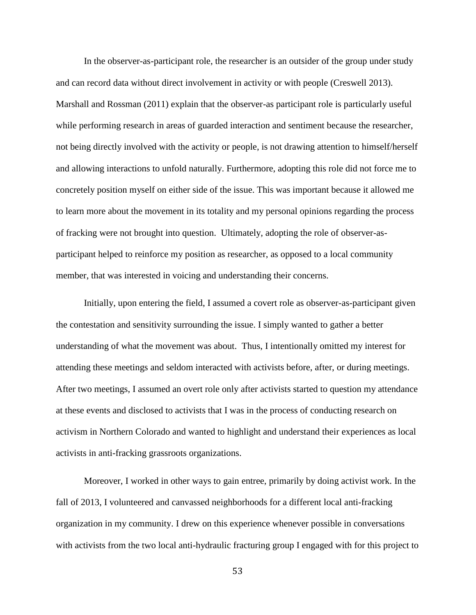In the observer-as-participant role, the researcher is an outsider of the group under study and can record data without direct involvement in activity or with people (Creswell 2013). Marshall and Rossman (2011) explain that the observer-as participant role is particularly useful while performing research in areas of guarded interaction and sentiment because the researcher, not being directly involved with the activity or people, is not drawing attention to himself/herself and allowing interactions to unfold naturally. Furthermore, adopting this role did not force me to concretely position myself on either side of the issue. This was important because it allowed me to learn more about the movement in its totality and my personal opinions regarding the process of fracking were not brought into question. Ultimately, adopting the role of observer-asparticipant helped to reinforce my position as researcher, as opposed to a local community member, that was interested in voicing and understanding their concerns.

Initially, upon entering the field, I assumed a covert role as observer-as-participant given the contestation and sensitivity surrounding the issue. I simply wanted to gather a better understanding of what the movement was about. Thus, I intentionally omitted my interest for attending these meetings and seldom interacted with activists before, after, or during meetings. After two meetings, I assumed an overt role only after activists started to question my attendance at these events and disclosed to activists that I was in the process of conducting research on activism in Northern Colorado and wanted to highlight and understand their experiences as local activists in anti-fracking grassroots organizations.

Moreover, I worked in other ways to gain entree, primarily by doing activist work. In the fall of 2013, I volunteered and canvassed neighborhoods for a different local anti-fracking organization in my community. I drew on this experience whenever possible in conversations with activists from the two local anti-hydraulic fracturing group I engaged with for this project to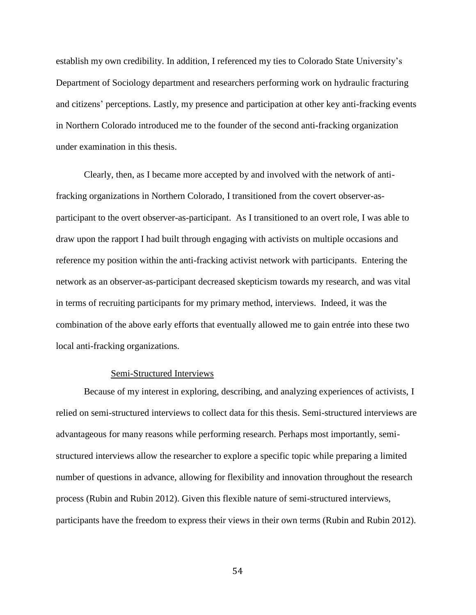establish my own credibility. In addition, I referenced my ties to Colorado State University's Department of Sociology department and researchers performing work on hydraulic fracturing and citizens' perceptions. Lastly, my presence and participation at other key anti-fracking events in Northern Colorado introduced me to the founder of the second anti-fracking organization under examination in this thesis.

Clearly, then, as I became more accepted by and involved with the network of antifracking organizations in Northern Colorado, I transitioned from the covert observer-asparticipant to the overt observer-as-participant. As I transitioned to an overt role, I was able to draw upon the rapport I had built through engaging with activists on multiple occasions and reference my position within the anti-fracking activist network with participants. Entering the network as an observer-as-participant decreased skepticism towards my research, and was vital in terms of recruiting participants for my primary method, interviews. Indeed, it was the combination of the above early efforts that eventually allowed me to gain entrée into these two local anti-fracking organizations.

# Semi-Structured Interviews

Because of my interest in exploring, describing, and analyzing experiences of activists, I relied on semi-structured interviews to collect data for this thesis. Semi-structured interviews are advantageous for many reasons while performing research. Perhaps most importantly, semistructured interviews allow the researcher to explore a specific topic while preparing a limited number of questions in advance, allowing for flexibility and innovation throughout the research process (Rubin and Rubin 2012). Given this flexible nature of semi-structured interviews, participants have the freedom to express their views in their own terms (Rubin and Rubin 2012).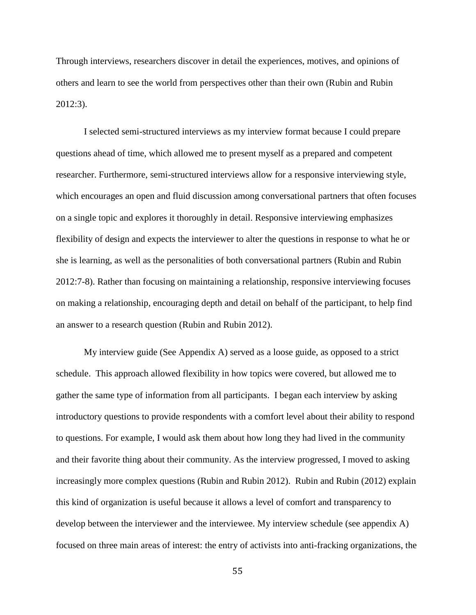Through interviews, researchers discover in detail the experiences, motives, and opinions of others and learn to see the world from perspectives other than their own (Rubin and Rubin 2012:3).

I selected semi-structured interviews as my interview format because I could prepare questions ahead of time, which allowed me to present myself as a prepared and competent researcher. Furthermore, semi-structured interviews allow for a responsive interviewing style, which encourages an open and fluid discussion among conversational partners that often focuses on a single topic and explores it thoroughly in detail. Responsive interviewing emphasizes flexibility of design and expects the interviewer to alter the questions in response to what he or she is learning, as well as the personalities of both conversational partners (Rubin and Rubin 2012:7-8). Rather than focusing on maintaining a relationship, responsive interviewing focuses on making a relationship, encouraging depth and detail on behalf of the participant, to help find an answer to a research question (Rubin and Rubin 2012).

My interview guide (See Appendix A) served as a loose guide, as opposed to a strict schedule. This approach allowed flexibility in how topics were covered, but allowed me to gather the same type of information from all participants. I began each interview by asking introductory questions to provide respondents with a comfort level about their ability to respond to questions. For example, I would ask them about how long they had lived in the community and their favorite thing about their community. As the interview progressed, I moved to asking increasingly more complex questions (Rubin and Rubin 2012). Rubin and Rubin (2012) explain this kind of organization is useful because it allows a level of comfort and transparency to develop between the interviewer and the interviewee. My interview schedule (see appendix A) focused on three main areas of interest: the entry of activists into anti-fracking organizations, the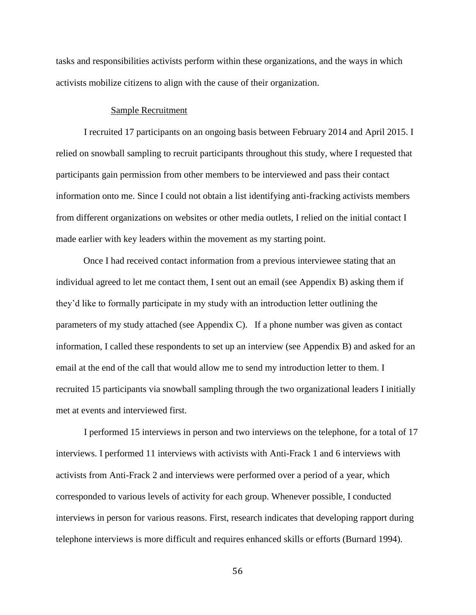tasks and responsibilities activists perform within these organizations, and the ways in which activists mobilize citizens to align with the cause of their organization.

# Sample Recruitment

I recruited 17 participants on an ongoing basis between February 2014 and April 2015. I relied on snowball sampling to recruit participants throughout this study, where I requested that participants gain permission from other members to be interviewed and pass their contact information onto me. Since I could not obtain a list identifying anti-fracking activists members from different organizations on websites or other media outlets, I relied on the initial contact I made earlier with key leaders within the movement as my starting point.

 Once I had received contact information from a previous interviewee stating that an individual agreed to let me contact them, I sent out an email (see Appendix B) asking them if they'd like to formally participate in my study with an introduction letter outlining the parameters of my study attached (see Appendix C). If a phone number was given as contact information, I called these respondents to set up an interview (see Appendix B) and asked for an email at the end of the call that would allow me to send my introduction letter to them. I recruited 15 participants via snowball sampling through the two organizational leaders I initially met at events and interviewed first.

I performed 15 interviews in person and two interviews on the telephone, for a total of 17 interviews. I performed 11 interviews with activists with Anti-Frack 1 and 6 interviews with activists from Anti-Frack 2 and interviews were performed over a period of a year, which corresponded to various levels of activity for each group. Whenever possible, I conducted interviews in person for various reasons. First, research indicates that developing rapport during telephone interviews is more difficult and requires enhanced skills or efforts (Burnard 1994).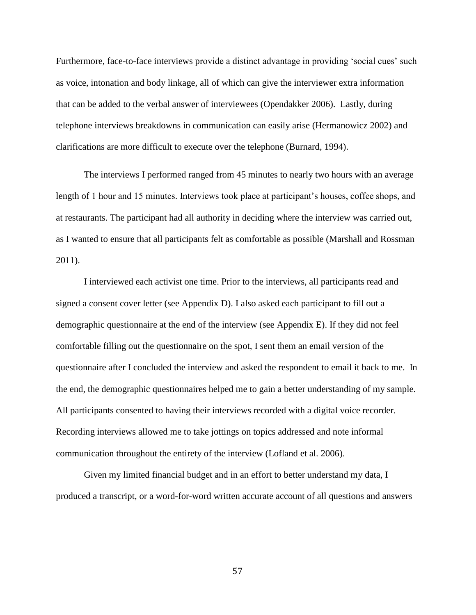Furthermore, face-to-face interviews provide a distinct advantage in providing 'social cues' such as voice, intonation and body linkage, all of which can give the interviewer extra information that can be added to the verbal answer of interviewees (Opendakker 2006). Lastly, during telephone interviews breakdowns in communication can easily arise (Hermanowicz 2002) and clarifications are more difficult to execute over the telephone (Burnard, 1994).

The interviews I performed ranged from 45 minutes to nearly two hours with an average length of 1 hour and 15 minutes. Interviews took place at participant's houses, coffee shops, and at restaurants. The participant had all authority in deciding where the interview was carried out, as I wanted to ensure that all participants felt as comfortable as possible (Marshall and Rossman 2011).

I interviewed each activist one time. Prior to the interviews, all participants read and signed a consent cover letter (see Appendix D). I also asked each participant to fill out a demographic questionnaire at the end of the interview (see Appendix E). If they did not feel comfortable filling out the questionnaire on the spot, I sent them an email version of the questionnaire after I concluded the interview and asked the respondent to email it back to me. In the end, the demographic questionnaires helped me to gain a better understanding of my sample. All participants consented to having their interviews recorded with a digital voice recorder. Recording interviews allowed me to take jottings on topics addressed and note informal communication throughout the entirety of the interview (Lofland et al. 2006).

Given my limited financial budget and in an effort to better understand my data, I produced a transcript, or a word-for-word written accurate account of all questions and answers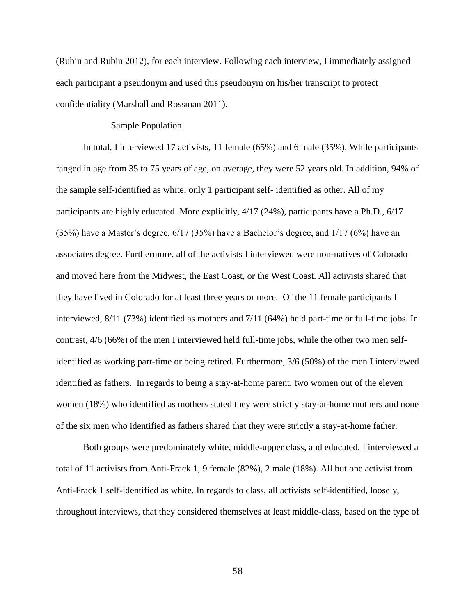(Rubin and Rubin 2012), for each interview. Following each interview, I immediately assigned each participant a pseudonym and used this pseudonym on his/her transcript to protect confidentiality (Marshall and Rossman 2011).

#### Sample Population

In total, I interviewed 17 activists, 11 female (65%) and 6 male (35%). While participants ranged in age from 35 to 75 years of age, on average, they were 52 years old. In addition, 94% of the sample self-identified as white; only 1 participant self- identified as other. All of my participants are highly educated. More explicitly, 4/17 (24%), participants have a Ph.D., 6/17 (35%) have a Master's degree, 6/17 (35%) have a Bachelor's degree, and 1/17 (6%) have an associates degree. Furthermore, all of the activists I interviewed were non-natives of Colorado and moved here from the Midwest, the East Coast, or the West Coast. All activists shared that they have lived in Colorado for at least three years or more. Of the 11 female participants I interviewed, 8/11 (73%) identified as mothers and 7/11 (64%) held part-time or full-time jobs. In contrast, 4/6 (66%) of the men I interviewed held full-time jobs, while the other two men selfidentified as working part-time or being retired. Furthermore, 3/6 (50%) of the men I interviewed identified as fathers. In regards to being a stay-at-home parent, two women out of the eleven women (18%) who identified as mothers stated they were strictly stay-at-home mothers and none of the six men who identified as fathers shared that they were strictly a stay-at-home father.

Both groups were predominately white, middle-upper class, and educated. I interviewed a total of 11 activists from Anti-Frack 1, 9 female (82%), 2 male (18%). All but one activist from Anti-Frack 1 self-identified as white. In regards to class, all activists self-identified, loosely, throughout interviews, that they considered themselves at least middle-class, based on the type of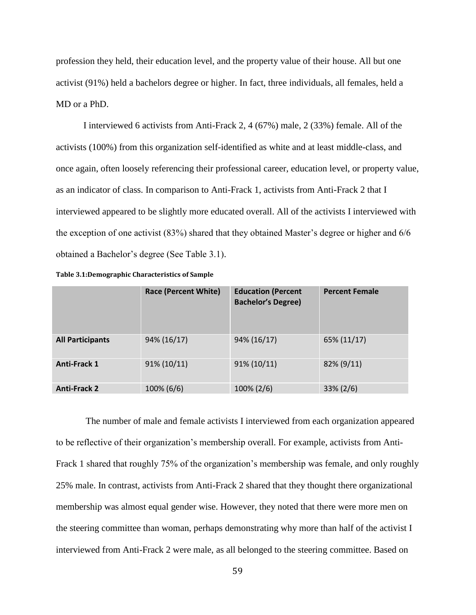profession they held, their education level, and the property value of their house. All but one activist (91%) held a bachelors degree or higher. In fact, three individuals, all females, held a MD or a PhD.

I interviewed 6 activists from Anti-Frack 2, 4 (67%) male, 2 (33%) female. All of the activists (100%) from this organization self-identified as white and at least middle-class, and once again, often loosely referencing their professional career, education level, or property value, as an indicator of class. In comparison to Anti-Frack 1, activists from Anti-Frack 2 that I interviewed appeared to be slightly more educated overall. All of the activists I interviewed with the exception of one activist (83%) shared that they obtained Master's degree or higher and 6/6 obtained a Bachelor's degree (See Table 3.1).

|                         | <b>Race (Percent White)</b> | <b>Education (Percent</b><br><b>Bachelor's Degree)</b> | <b>Percent Female</b> |
|-------------------------|-----------------------------|--------------------------------------------------------|-----------------------|
| <b>All Participants</b> | 94% (16/17)                 | 94% (16/17)                                            | 65% (11/17)           |
| <b>Anti-Frack 1</b>     | $91\% (10/11)$              | $91\% (10/11)$                                         | 82% (9/11)            |
| <b>Anti-Frack 2</b>     | 100% (6/6)                  | 100% (2/6)                                             | $33\% (2/6)$          |

 The number of male and female activists I interviewed from each organization appeared to be reflective of their organization's membership overall. For example, activists from Anti-Frack 1 shared that roughly 75% of the organization's membership was female, and only roughly 25% male. In contrast, activists from Anti-Frack 2 shared that they thought there organizational membership was almost equal gender wise. However, they noted that there were more men on the steering committee than woman, perhaps demonstrating why more than half of the activist I interviewed from Anti-Frack 2 were male, as all belonged to the steering committee. Based on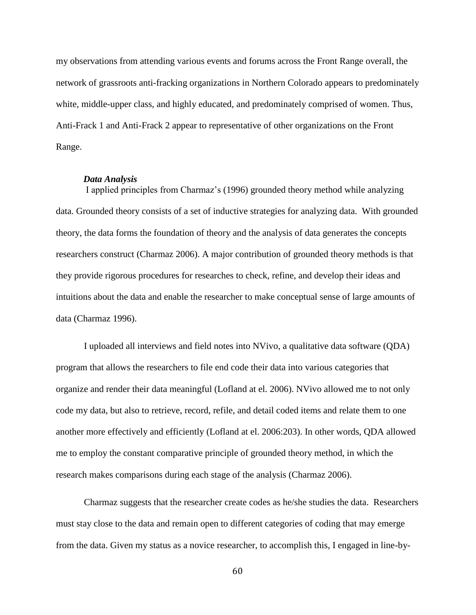my observations from attending various events and forums across the Front Range overall, the network of grassroots anti-fracking organizations in Northern Colorado appears to predominately white, middle-upper class, and highly educated, and predominately comprised of women. Thus, Anti-Frack 1 and Anti-Frack 2 appear to representative of other organizations on the Front Range.

# *Data Analysis*

I applied principles from Charmaz's (1996) grounded theory method while analyzing data. Grounded theory consists of a set of inductive strategies for analyzing data. With grounded theory, the data forms the foundation of theory and the analysis of data generates the concepts researchers construct (Charmaz 2006). A major contribution of grounded theory methods is that they provide rigorous procedures for researches to check, refine, and develop their ideas and intuitions about the data and enable the researcher to make conceptual sense of large amounts of data (Charmaz 1996).

I uploaded all interviews and field notes into NVivo, a qualitative data software (QDA) program that allows the researchers to file end code their data into various categories that organize and render their data meaningful (Lofland at el*.* 2006). NVivo allowed me to not only code my data, but also to retrieve, record, refile, and detail coded items and relate them to one another more effectively and efficiently (Lofland at el. 2006:203). In other words, QDA allowed me to employ the constant comparative principle of grounded theory method, in which the research makes comparisons during each stage of the analysis (Charmaz 2006).

Charmaz suggests that the researcher create codes as he/she studies the data. Researchers must stay close to the data and remain open to different categories of coding that may emerge from the data. Given my status as a novice researcher, to accomplish this, I engaged in line-by-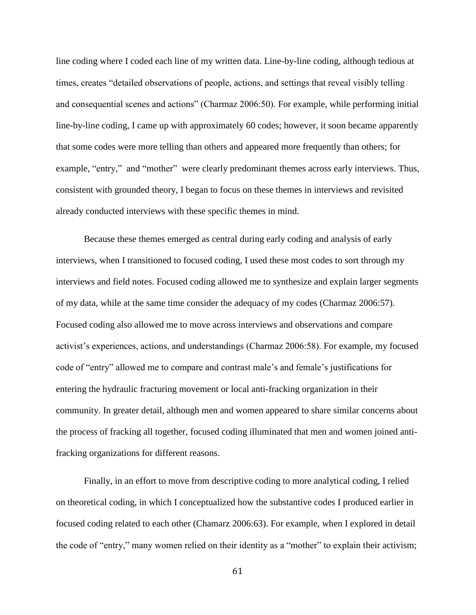line coding where I coded each line of my written data. Line-by-line coding, although tedious at times, creates "detailed observations of people, actions, and settings that reveal visibly telling and consequential scenes and actions" (Charmaz 2006:50). For example, while performing initial line-by-line coding, I came up with approximately 60 codes; however, it soon became apparently that some codes were more telling than others and appeared more frequently than others; for example, "entry," and "mother" were clearly predominant themes across early interviews. Thus, consistent with grounded theory, I began to focus on these themes in interviews and revisited already conducted interviews with these specific themes in mind.

Because these themes emerged as central during early coding and analysis of early interviews, when I transitioned to focused coding, I used these most codes to sort through my interviews and field notes. Focused coding allowed me to synthesize and explain larger segments of my data, while at the same time consider the adequacy of my codes (Charmaz 2006:57). Focused coding also allowed me to move across interviews and observations and compare activist's experiences, actions, and understandings (Charmaz 2006:58). For example, my focused code of "entry" allowed me to compare and contrast male's and female's justifications for entering the hydraulic fracturing movement or local anti-fracking organization in their community. In greater detail, although men and women appeared to share similar concerns about the process of fracking all together, focused coding illuminated that men and women joined antifracking organizations for different reasons.

Finally, in an effort to move from descriptive coding to more analytical coding, I relied on theoretical coding, in which I conceptualized how the substantive codes I produced earlier in focused coding related to each other (Chamarz 2006:63). For example, when I explored in detail the code of "entry," many women relied on their identity as a "mother" to explain their activism;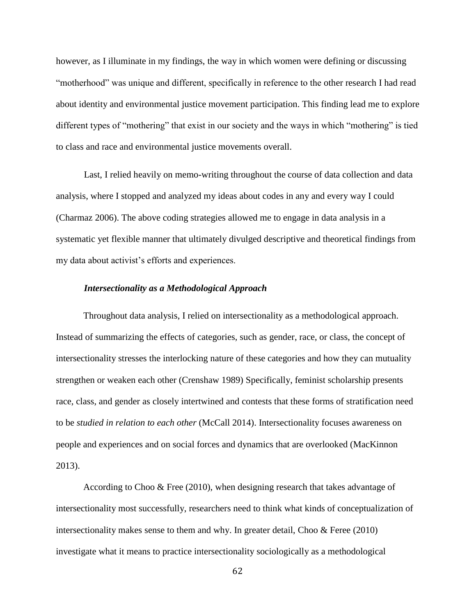however, as I illuminate in my findings, the way in which women were defining or discussing "motherhood" was unique and different, specifically in reference to the other research I had read about identity and environmental justice movement participation. This finding lead me to explore different types of "mothering" that exist in our society and the ways in which "mothering" is tied to class and race and environmental justice movements overall.

Last, I relied heavily on memo-writing throughout the course of data collection and data analysis, where I stopped and analyzed my ideas about codes in any and every way I could (Charmaz 2006). The above coding strategies allowed me to engage in data analysis in a systematic yet flexible manner that ultimately divulged descriptive and theoretical findings from my data about activist's efforts and experiences.

#### *Intersectionality as a Methodological Approach*

Throughout data analysis, I relied on intersectionality as a methodological approach. Instead of summarizing the effects of categories, such as gender, race, or class, the concept of intersectionality stresses the interlocking nature of these categories and how they can mutuality strengthen or weaken each other (Crenshaw 1989) Specifically, feminist scholarship presents race, class, and gender as closely intertwined and contests that these forms of stratification need to be *studied in relation to each other* (McCall 2014). Intersectionality focuses awareness on people and experiences and on social forces and dynamics that are overlooked (MacKinnon 2013).

According to Choo  $\&$  Free (2010), when designing research that takes advantage of intersectionality most successfully, researchers need to think what kinds of conceptualization of intersectionality makes sense to them and why. In greater detail, Choo & Feree (2010) investigate what it means to practice intersectionality sociologically as a methodological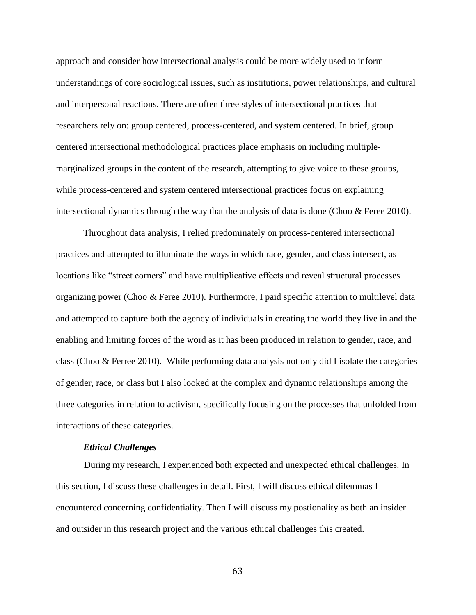approach and consider how intersectional analysis could be more widely used to inform understandings of core sociological issues, such as institutions, power relationships, and cultural and interpersonal reactions. There are often three styles of intersectional practices that researchers rely on: group centered, process-centered, and system centered. In brief, group centered intersectional methodological practices place emphasis on including multiplemarginalized groups in the content of the research, attempting to give voice to these groups, while process-centered and system centered intersectional practices focus on explaining intersectional dynamics through the way that the analysis of data is done (Choo  $\&$  Feree 2010).

Throughout data analysis, I relied predominately on process-centered intersectional practices and attempted to illuminate the ways in which race, gender, and class intersect, as locations like "street corners" and have multiplicative effects and reveal structural processes organizing power (Choo & Feree 2010). Furthermore, I paid specific attention to multilevel data and attempted to capture both the agency of individuals in creating the world they live in and the enabling and limiting forces of the word as it has been produced in relation to gender, race, and class (Choo & Ferree 2010). While performing data analysis not only did I isolate the categories of gender, race, or class but I also looked at the complex and dynamic relationships among the three categories in relation to activism, specifically focusing on the processes that unfolded from interactions of these categories.

#### *Ethical Challenges*

During my research, I experienced both expected and unexpected ethical challenges. In this section, I discuss these challenges in detail. First, I will discuss ethical dilemmas I encountered concerning confidentiality. Then I will discuss my postionality as both an insider and outsider in this research project and the various ethical challenges this created.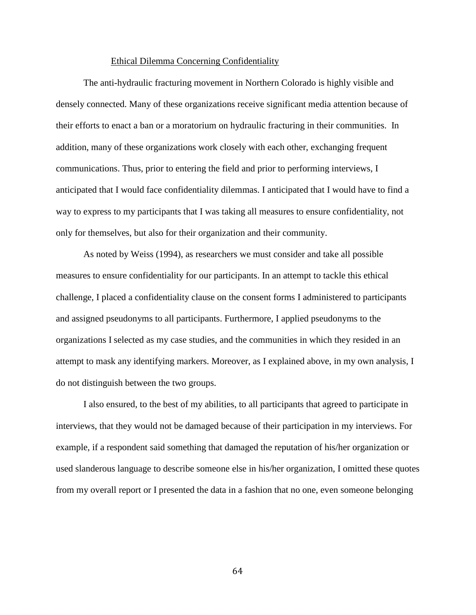#### Ethical Dilemma Concerning Confidentiality

 The anti-hydraulic fracturing movement in Northern Colorado is highly visible and densely connected. Many of these organizations receive significant media attention because of their efforts to enact a ban or a moratorium on hydraulic fracturing in their communities. In addition, many of these organizations work closely with each other, exchanging frequent communications. Thus, prior to entering the field and prior to performing interviews, I anticipated that I would face confidentiality dilemmas. I anticipated that I would have to find a way to express to my participants that I was taking all measures to ensure confidentiality, not only for themselves, but also for their organization and their community.

 As noted by Weiss (1994), as researchers we must consider and take all possible measures to ensure confidentiality for our participants. In an attempt to tackle this ethical challenge, I placed a confidentiality clause on the consent forms I administered to participants and assigned pseudonyms to all participants. Furthermore, I applied pseudonyms to the organizations I selected as my case studies, and the communities in which they resided in an attempt to mask any identifying markers. Moreover, as I explained above, in my own analysis, I do not distinguish between the two groups.

 I also ensured, to the best of my abilities, to all participants that agreed to participate in interviews, that they would not be damaged because of their participation in my interviews. For example, if a respondent said something that damaged the reputation of his/her organization or used slanderous language to describe someone else in his/her organization, I omitted these quotes from my overall report or I presented the data in a fashion that no one, even someone belonging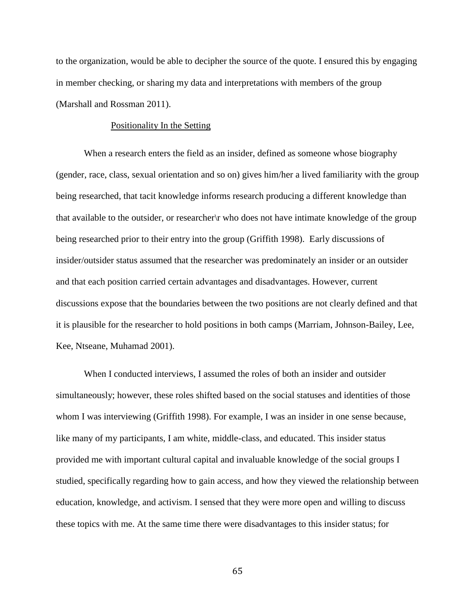to the organization, would be able to decipher the source of the quote. I ensured this by engaging in member checking, or sharing my data and interpretations with members of the group (Marshall and Rossman 2011).

# Positionality In the Setting

When a research enters the field as an insider, defined as someone whose biography (gender, race, class, sexual orientation and so on) gives him/her a lived familiarity with the group being researched, that tacit knowledge informs research producing a different knowledge than that available to the outsider, or researcher\r who does not have intimate knowledge of the group being researched prior to their entry into the group (Griffith 1998). Early discussions of insider/outsider status assumed that the researcher was predominately an insider or an outsider and that each position carried certain advantages and disadvantages. However, current discussions expose that the boundaries between the two positions are not clearly defined and that it is plausible for the researcher to hold positions in both camps (Marriam, Johnson-Bailey, Lee, Kee, Ntseane, Muhamad 2001).

When I conducted interviews, I assumed the roles of both an insider and outsider simultaneously; however, these roles shifted based on the social statuses and identities of those whom I was interviewing (Griffith 1998). For example, I was an insider in one sense because, like many of my participants, I am white, middle-class, and educated. This insider status provided me with important cultural capital and invaluable knowledge of the social groups I studied, specifically regarding how to gain access, and how they viewed the relationship between education, knowledge, and activism. I sensed that they were more open and willing to discuss these topics with me. At the same time there were disadvantages to this insider status; for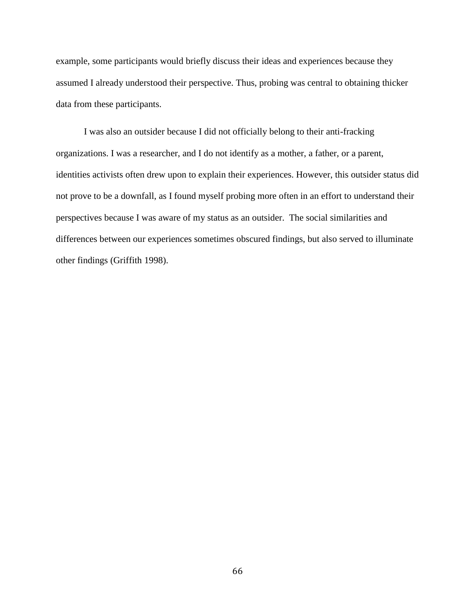example, some participants would briefly discuss their ideas and experiences because they assumed I already understood their perspective. Thus, probing was central to obtaining thicker data from these participants.

I was also an outsider because I did not officially belong to their anti-fracking organizations. I was a researcher, and I do not identify as a mother, a father, or a parent, identities activists often drew upon to explain their experiences. However, this outsider status did not prove to be a downfall, as I found myself probing more often in an effort to understand their perspectives because I was aware of my status as an outsider. The social similarities and differences between our experiences sometimes obscured findings, but also served to illuminate other findings (Griffith 1998).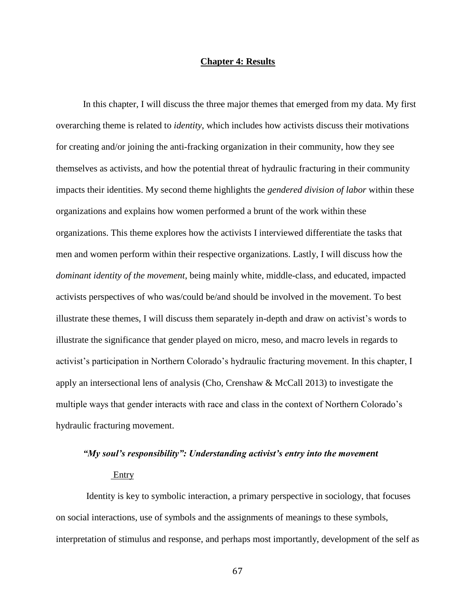### **Chapter 4: Results**

In this chapter, I will discuss the three major themes that emerged from my data. My first overarching theme is related to *identity*, which includes how activists discuss their motivations for creating and/or joining the anti-fracking organization in their community, how they see themselves as activists, and how the potential threat of hydraulic fracturing in their community impacts their identities. My second theme highlights the *gendered division of labor* within these organizations and explains how women performed a brunt of the work within these organizations. This theme explores how the activists I interviewed differentiate the tasks that men and women perform within their respective organizations. Lastly, I will discuss how the *dominant identity of the movement*, being mainly white, middle-class, and educated, impacted activists perspectives of who was/could be/and should be involved in the movement. To best illustrate these themes, I will discuss them separately in-depth and draw on activist's words to illustrate the significance that gender played on micro, meso, and macro levels in regards to activist's participation in Northern Colorado's hydraulic fracturing movement. In this chapter, I apply an intersectional lens of analysis (Cho, Crenshaw & McCall 2013) to investigate the multiple ways that gender interacts with race and class in the context of Northern Colorado's hydraulic fracturing movement.

# *"My soul's responsibility": Understanding activist's entry into the movement*  Entry

 Identity is key to symbolic interaction, a primary perspective in sociology, that focuses on social interactions, use of symbols and the assignments of meanings to these symbols, interpretation of stimulus and response, and perhaps most importantly, development of the self as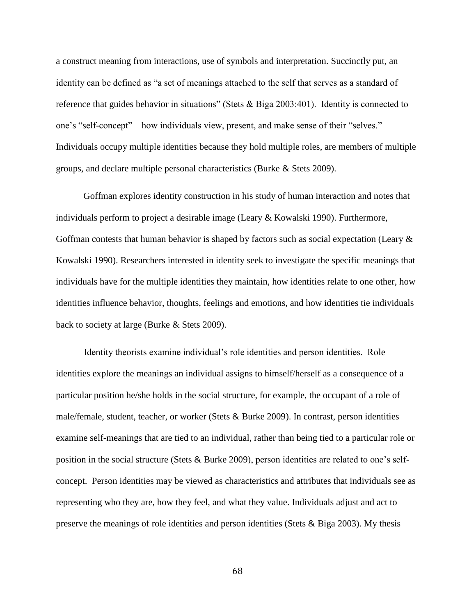a construct meaning from interactions, use of symbols and interpretation. Succinctly put, an identity can be defined as "a set of meanings attached to the self that serves as a standard of reference that guides behavior in situations" (Stets & Biga 2003:401). Identity is connected to one's "self-concept" – how individuals view, present, and make sense of their "selves." Individuals occupy multiple identities because they hold multiple roles, are members of multiple groups, and declare multiple personal characteristics (Burke & Stets 2009).

Goffman explores identity construction in his study of human interaction and notes that individuals perform to project a desirable image (Leary & Kowalski 1990). Furthermore, Goffman contests that human behavior is shaped by factors such as social expectation (Leary  $\&$ Kowalski 1990). Researchers interested in identity seek to investigate the specific meanings that individuals have for the multiple identities they maintain, how identities relate to one other, how identities influence behavior, thoughts, feelings and emotions, and how identities tie individuals back to society at large (Burke & Stets 2009).

Identity theorists examine individual's role identities and person identities. Role identities explore the meanings an individual assigns to himself/herself as a consequence of a particular position he/she holds in the social structure, for example, the occupant of a role of male/female, student, teacher, or worker (Stets & Burke 2009). In contrast, person identities examine self-meanings that are tied to an individual, rather than being tied to a particular role or position in the social structure (Stets & Burke 2009), person identities are related to one's selfconcept. Person identities may be viewed as characteristics and attributes that individuals see as representing who they are, how they feel, and what they value. Individuals adjust and act to preserve the meanings of role identities and person identities (Stets & Biga 2003). My thesis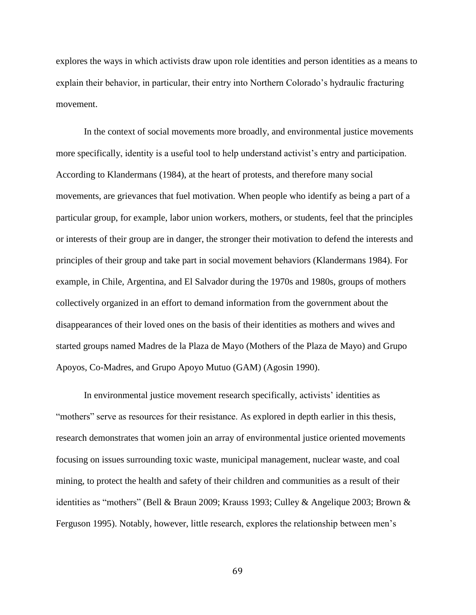explores the ways in which activists draw upon role identities and person identities as a means to explain their behavior, in particular, their entry into Northern Colorado's hydraulic fracturing movement.

In the context of social movements more broadly, and environmental justice movements more specifically, identity is a useful tool to help understand activist's entry and participation. According to Klandermans (1984), at the heart of protests, and therefore many social movements, are grievances that fuel motivation. When people who identify as being a part of a particular group, for example, labor union workers, mothers, or students, feel that the principles or interests of their group are in danger, the stronger their motivation to defend the interests and principles of their group and take part in social movement behaviors (Klandermans 1984). For example, in Chile, Argentina, and El Salvador during the 1970s and 1980s, groups of mothers collectively organized in an effort to demand information from the government about the disappearances of their loved ones on the basis of their identities as mothers and wives and started groups named Madres de la Plaza de Mayo (Mothers of the Plaza de Mayo) and Grupo Apoyos, Co-Madres, and Grupo Apoyo Mutuo (GAM) (Agosin 1990).

In environmental justice movement research specifically, activists' identities as "mothers" serve as resources for their resistance. As explored in depth earlier in this thesis, research demonstrates that women join an array of environmental justice oriented movements focusing on issues surrounding toxic waste, municipal management, nuclear waste, and coal mining, to protect the health and safety of their children and communities as a result of their identities as "mothers" (Bell & Braun 2009; Krauss 1993; Culley & Angelique 2003; Brown & Ferguson 1995). Notably, however, little research, explores the relationship between men's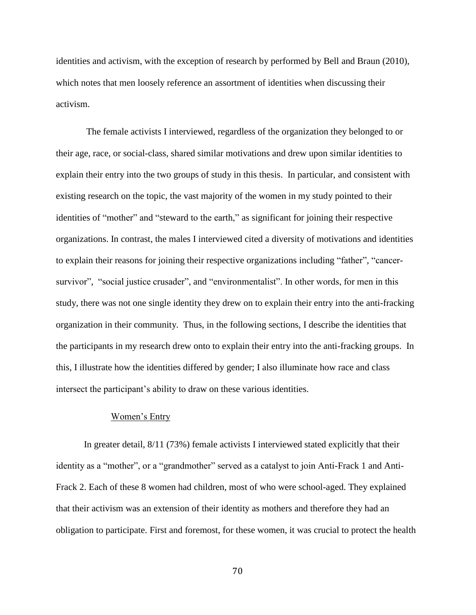identities and activism, with the exception of research by performed by Bell and Braun (2010), which notes that men loosely reference an assortment of identities when discussing their activism.

 The female activists I interviewed, regardless of the organization they belonged to or their age, race, or social-class, shared similar motivations and drew upon similar identities to explain their entry into the two groups of study in this thesis. In particular, and consistent with existing research on the topic, the vast majority of the women in my study pointed to their identities of "mother" and "steward to the earth," as significant for joining their respective organizations. In contrast, the males I interviewed cited a diversity of motivations and identities to explain their reasons for joining their respective organizations including "father", "cancersurvivor", "social justice crusader", and "environmentalist". In other words, for men in this study, there was not one single identity they drew on to explain their entry into the anti-fracking organization in their community. Thus, in the following sections, I describe the identities that the participants in my research drew onto to explain their entry into the anti-fracking groups. In this, I illustrate how the identities differed by gender; I also illuminate how race and class intersect the participant's ability to draw on these various identities.

## Women's Entry

In greater detail, 8/11 (73%) female activists I interviewed stated explicitly that their identity as a "mother", or a "grandmother" served as a catalyst to join Anti-Frack 1 and Anti-Frack 2. Each of these 8 women had children, most of who were school-aged. They explained that their activism was an extension of their identity as mothers and therefore they had an obligation to participate. First and foremost, for these women, it was crucial to protect the health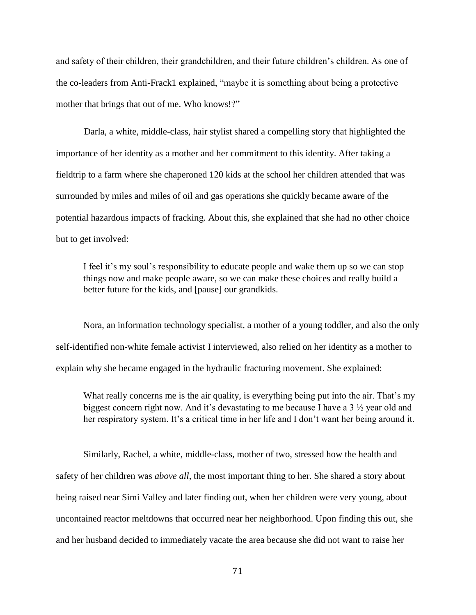and safety of their children, their grandchildren, and their future children's children. As one of the co-leaders from Anti-Frack1 explained, "maybe it is something about being a protective mother that brings that out of me. Who knows!?"

Darla, a white, middle-class, hair stylist shared a compelling story that highlighted the importance of her identity as a mother and her commitment to this identity. After taking a fieldtrip to a farm where she chaperoned 120 kids at the school her children attended that was surrounded by miles and miles of oil and gas operations she quickly became aware of the potential hazardous impacts of fracking. About this, she explained that she had no other choice but to get involved:

I feel it's my soul's responsibility to educate people and wake them up so we can stop things now and make people aware, so we can make these choices and really build a better future for the kids, and [pause] our grandkids.

Nora, an information technology specialist, a mother of a young toddler, and also the only self-identified non-white female activist I interviewed, also relied on her identity as a mother to explain why she became engaged in the hydraulic fracturing movement. She explained:

What really concerns me is the air quality, is everything being put into the air. That's my biggest concern right now. And it's devastating to me because I have a 3 ½ year old and her respiratory system. It's a critical time in her life and I don't want her being around it.

Similarly, Rachel, a white, middle-class, mother of two, stressed how the health and safety of her children was *above all*, the most important thing to her. She shared a story about being raised near Simi Valley and later finding out, when her children were very young, about uncontained reactor meltdowns that occurred near her neighborhood. Upon finding this out, she and her husband decided to immediately vacate the area because she did not want to raise her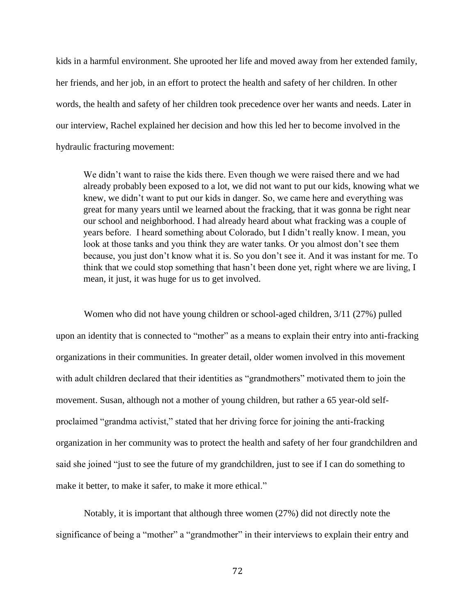kids in a harmful environment. She uprooted her life and moved away from her extended family, her friends, and her job, in an effort to protect the health and safety of her children. In other words, the health and safety of her children took precedence over her wants and needs. Later in our interview, Rachel explained her decision and how this led her to become involved in the hydraulic fracturing movement:

We didn't want to raise the kids there. Even though we were raised there and we had already probably been exposed to a lot, we did not want to put our kids, knowing what we knew, we didn't want to put our kids in danger. So, we came here and everything was great for many years until we learned about the fracking, that it was gonna be right near our school and neighborhood. I had already heard about what fracking was a couple of years before. I heard something about Colorado, but I didn't really know. I mean, you look at those tanks and you think they are water tanks. Or you almost don't see them because, you just don't know what it is. So you don't see it. And it was instant for me. To think that we could stop something that hasn't been done yet, right where we are living, I mean, it just, it was huge for us to get involved.

Women who did not have young children or school-aged children, 3/11 (27%) pulled upon an identity that is connected to "mother" as a means to explain their entry into anti-fracking organizations in their communities. In greater detail, older women involved in this movement with adult children declared that their identities as "grandmothers" motivated them to join the movement. Susan, although not a mother of young children, but rather a 65 year-old selfproclaimed "grandma activist," stated that her driving force for joining the anti-fracking organization in her community was to protect the health and safety of her four grandchildren and said she joined "just to see the future of my grandchildren, just to see if I can do something to make it better, to make it safer, to make it more ethical."

Notably, it is important that although three women (27%) did not directly note the significance of being a "mother" a "grandmother" in their interviews to explain their entry and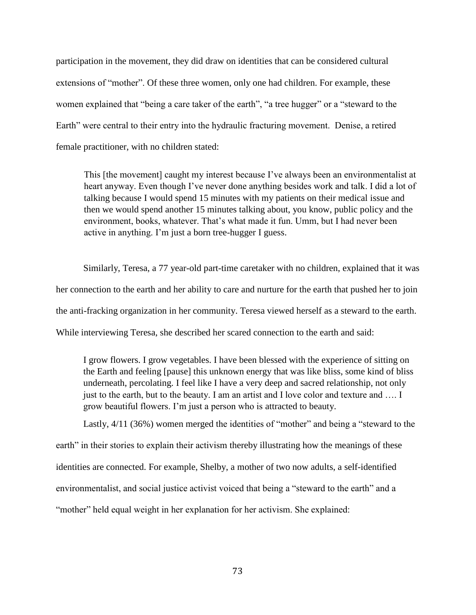participation in the movement, they did draw on identities that can be considered cultural extensions of "mother". Of these three women, only one had children. For example, these women explained that "being a care taker of the earth", "a tree hugger" or a "steward to the Earth" were central to their entry into the hydraulic fracturing movement. Denise, a retired female practitioner, with no children stated:

This [the movement] caught my interest because I've always been an environmentalist at heart anyway. Even though I've never done anything besides work and talk. I did a lot of talking because I would spend 15 minutes with my patients on their medical issue and then we would spend another 15 minutes talking about, you know, public policy and the environment, books, whatever. That's what made it fun. Umm, but I had never been active in anything. I'm just a born tree-hugger I guess.

Similarly, Teresa, a 77 year-old part-time caretaker with no children, explained that it was her connection to the earth and her ability to care and nurture for the earth that pushed her to join the anti-fracking organization in her community. Teresa viewed herself as a steward to the earth. While interviewing Teresa, she described her scared connection to the earth and said:

I grow flowers. I grow vegetables. I have been blessed with the experience of sitting on the Earth and feeling [pause] this unknown energy that was like bliss, some kind of bliss underneath, percolating. I feel like I have a very deep and sacred relationship, not only just to the earth, but to the beauty. I am an artist and I love color and texture and …. I grow beautiful flowers. I'm just a person who is attracted to beauty.

Lastly, 4/11 (36%) women merged the identities of "mother" and being a "steward to the earth" in their stories to explain their activism thereby illustrating how the meanings of these identities are connected. For example, Shelby, a mother of two now adults, a self-identified environmentalist, and social justice activist voiced that being a "steward to the earth" and a "mother" held equal weight in her explanation for her activism. She explained: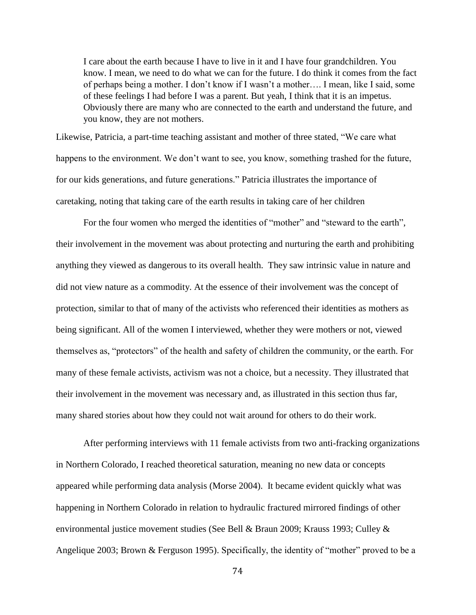I care about the earth because I have to live in it and I have four grandchildren. You know. I mean, we need to do what we can for the future. I do think it comes from the fact of perhaps being a mother. I don't know if I wasn't a mother…. I mean, like I said, some of these feelings I had before I was a parent. But yeah, I think that it is an impetus. Obviously there are many who are connected to the earth and understand the future, and you know, they are not mothers.

Likewise, Patricia, a part-time teaching assistant and mother of three stated, "We care what happens to the environment. We don't want to see, you know, something trashed for the future, for our kids generations, and future generations." Patricia illustrates the importance of caretaking, noting that taking care of the earth results in taking care of her children

For the four women who merged the identities of "mother" and "steward to the earth", their involvement in the movement was about protecting and nurturing the earth and prohibiting anything they viewed as dangerous to its overall health. They saw intrinsic value in nature and did not view nature as a commodity. At the essence of their involvement was the concept of protection, similar to that of many of the activists who referenced their identities as mothers as being significant. All of the women I interviewed, whether they were mothers or not, viewed themselves as, "protectors" of the health and safety of children the community, or the earth. For many of these female activists, activism was not a choice, but a necessity. They illustrated that their involvement in the movement was necessary and, as illustrated in this section thus far, many shared stories about how they could not wait around for others to do their work.

 After performing interviews with 11 female activists from two anti-fracking organizations in Northern Colorado, I reached theoretical saturation, meaning no new data or concepts appeared while performing data analysis (Morse 2004). It became evident quickly what was happening in Northern Colorado in relation to hydraulic fractured mirrored findings of other environmental justice movement studies (See Bell & Braun 2009; Krauss 1993; Culley & Angelique 2003; Brown & Ferguson 1995). Specifically, the identity of "mother" proved to be a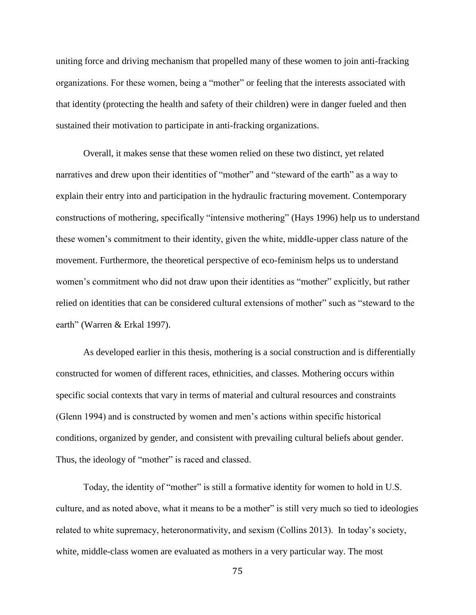uniting force and driving mechanism that propelled many of these women to join anti-fracking organizations. For these women, being a "mother" or feeling that the interests associated with that identity (protecting the health and safety of their children) were in danger fueled and then sustained their motivation to participate in anti-fracking organizations.

Overall, it makes sense that these women relied on these two distinct, yet related narratives and drew upon their identities of "mother" and "steward of the earth" as a way to explain their entry into and participation in the hydraulic fracturing movement. Contemporary constructions of mothering, specifically "intensive mothering" (Hays 1996) help us to understand these women's commitment to their identity, given the white, middle-upper class nature of the movement. Furthermore, the theoretical perspective of eco-feminism helps us to understand women's commitment who did not draw upon their identities as "mother" explicitly, but rather relied on identities that can be considered cultural extensions of mother" such as "steward to the earth" (Warren & Erkal 1997).

As developed earlier in this thesis, mothering is a social construction and is differentially constructed for women of different races, ethnicities, and classes. Mothering occurs within specific social contexts that vary in terms of material and cultural resources and constraints (Glenn 1994) and is constructed by women and men's actions within specific historical conditions, organized by gender, and consistent with prevailing cultural beliefs about gender. Thus, the ideology of "mother" is raced and classed.

Today, the identity of "mother" is still a formative identity for women to hold in U.S. culture, and as noted above, what it means to be a mother" is still very much so tied to ideologies related to white supremacy, heteronormativity, and sexism (Collins 2013). In today's society, white, middle-class women are evaluated as mothers in a very particular way. The most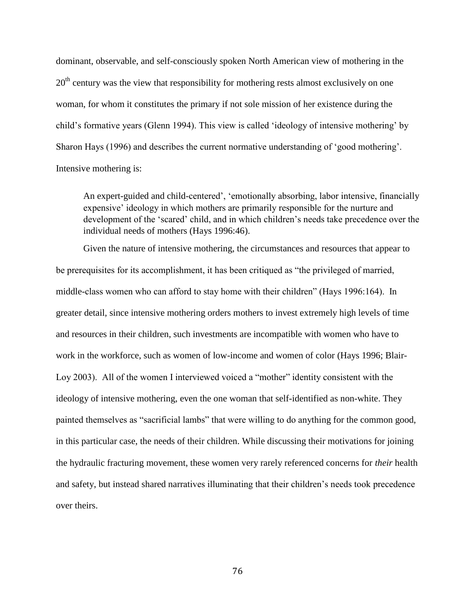dominant, observable, and self-consciously spoken North American view of mothering in the 20<sup>th</sup> century was the view that responsibility for mothering rests almost exclusively on one woman, for whom it constitutes the primary if not sole mission of her existence during the child's formative years (Glenn 1994). This view is called 'ideology of intensive mothering' by Sharon Hays (1996) and describes the current normative understanding of 'good mothering'. Intensive mothering is:

An expert-guided and child-centered', 'emotionally absorbing, labor intensive, financially expensive' ideology in which mothers are primarily responsible for the nurture and development of the 'scared' child, and in which children's needs take precedence over the individual needs of mothers (Hays 1996:46).

Given the nature of intensive mothering, the circumstances and resources that appear to be prerequisites for its accomplishment, it has been critiqued as "the privileged of married, middle-class women who can afford to stay home with their children" (Hays 1996:164). In greater detail, since intensive mothering orders mothers to invest extremely high levels of time and resources in their children, such investments are incompatible with women who have to work in the workforce, such as women of low-income and women of color (Hays 1996; Blair-Loy 2003). All of the women I interviewed voiced a "mother" identity consistent with the ideology of intensive mothering, even the one woman that self-identified as non-white. They painted themselves as "sacrificial lambs" that were willing to do anything for the common good, in this particular case, the needs of their children. While discussing their motivations for joining the hydraulic fracturing movement, these women very rarely referenced concerns for *their* health and safety, but instead shared narratives illuminating that their children's needs took precedence over theirs.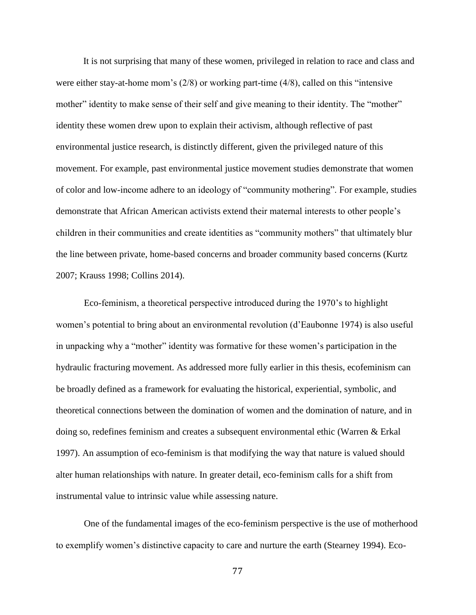It is not surprising that many of these women, privileged in relation to race and class and were either stay-at-home mom's (2/8) or working part-time (4/8), called on this "intensive mother" identity to make sense of their self and give meaning to their identity. The "mother" identity these women drew upon to explain their activism, although reflective of past environmental justice research, is distinctly different, given the privileged nature of this movement. For example, past environmental justice movement studies demonstrate that women of color and low-income adhere to an ideology of "community mothering". For example, studies demonstrate that African American activists extend their maternal interests to other people's children in their communities and create identities as "community mothers" that ultimately blur the line between private, home-based concerns and broader community based concerns (Kurtz 2007; Krauss 1998; Collins 2014).

Eco-feminism, a theoretical perspective introduced during the 1970's to highlight women's potential to bring about an environmental revolution (d'Eaubonne 1974) is also useful in unpacking why a "mother" identity was formative for these women's participation in the hydraulic fracturing movement. As addressed more fully earlier in this thesis, ecofeminism can be broadly defined as a framework for evaluating the historical, experiential, symbolic, and theoretical connections between the domination of women and the domination of nature, and in doing so, redefines feminism and creates a subsequent environmental ethic (Warren & Erkal 1997). An assumption of eco-feminism is that modifying the way that nature is valued should alter human relationships with nature. In greater detail, eco-feminism calls for a shift from instrumental value to intrinsic value while assessing nature.

One of the fundamental images of the eco-feminism perspective is the use of motherhood to exemplify women's distinctive capacity to care and nurture the earth (Stearney 1994). Eco-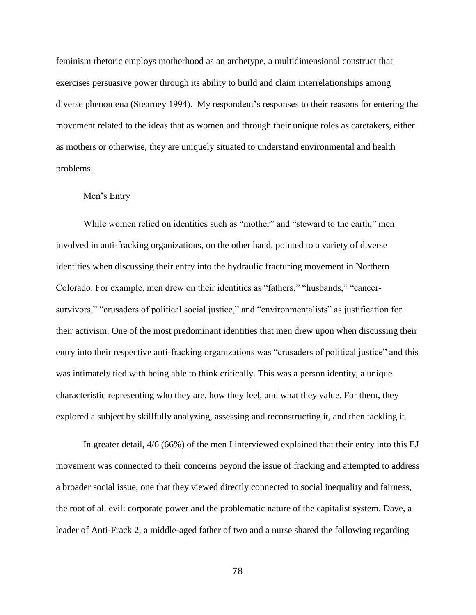feminism rhetoric employs motherhood as an archetype, a multidimensional construct that exercises persuasive power through its ability to build and claim interrelationships among diverse phenomena (Stearney 1994). My respondent's responses to their reasons for entering the movement related to the ideas that as women and through their unique roles as caretakers, either as mothers or otherwise, they are uniquely situated to understand environmental and health problems.

# Men's Entry

While women relied on identities such as "mother" and "steward to the earth," men involved in anti-fracking organizations, on the other hand, pointed to a variety of diverse identities when discussing their entry into the hydraulic fracturing movement in Northern Colorado. For example, men drew on their identities as "fathers," "husbands," "cancersurvivors," "crusaders of political social justice," and "environmentalists" as justification for their activism. One of the most predominant identities that men drew upon when discussing their entry into their respective anti-fracking organizations was "crusaders of political justice" and this was intimately tied with being able to think critically. This was a person identity, a unique characteristic representing who they are, how they feel, and what they value. For them, they explored a subject by skillfully analyzing, assessing and reconstructing it, and then tackling it.

In greater detail, 4/6 (66%) of the men I interviewed explained that their entry into this EJ movement was connected to their concerns beyond the issue of fracking and attempted to address a broader social issue, one that they viewed directly connected to social inequality and fairness, the root of all evil: corporate power and the problematic nature of the capitalist system. Dave, a leader of Anti-Frack 2, a middle-aged father of two and a nurse shared the following regarding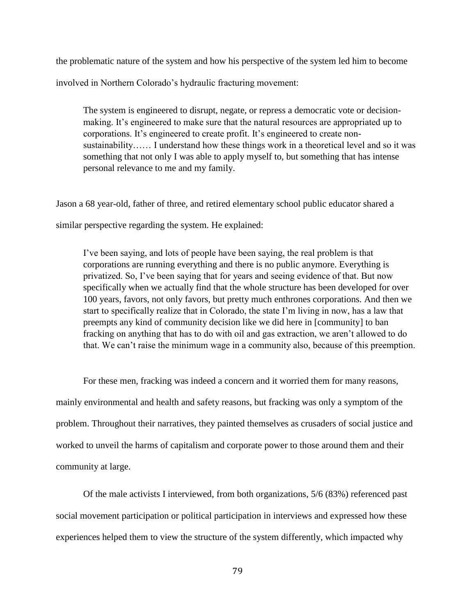the problematic nature of the system and how his perspective of the system led him to become

involved in Northern Colorado's hydraulic fracturing movement:

The system is engineered to disrupt, negate, or repress a democratic vote or decisionmaking. It's engineered to make sure that the natural resources are appropriated up to corporations. It's engineered to create profit. It's engineered to create nonsustainability…… I understand how these things work in a theoretical level and so it was something that not only I was able to apply myself to, but something that has intense personal relevance to me and my family.

Jason a 68 year-old, father of three, and retired elementary school public educator shared a

similar perspective regarding the system. He explained:

I've been saying, and lots of people have been saying, the real problem is that corporations are running everything and there is no public anymore. Everything is privatized. So, I've been saying that for years and seeing evidence of that. But now specifically when we actually find that the whole structure has been developed for over 100 years, favors, not only favors, but pretty much enthrones corporations. And then we start to specifically realize that in Colorado, the state I'm living in now, has a law that preempts any kind of community decision like we did here in [community] to ban fracking on anything that has to do with oil and gas extraction, we aren't allowed to do that. We can't raise the minimum wage in a community also, because of this preemption.

For these men, fracking was indeed a concern and it worried them for many reasons, mainly environmental and health and safety reasons, but fracking was only a symptom of the problem. Throughout their narratives, they painted themselves as crusaders of social justice and worked to unveil the harms of capitalism and corporate power to those around them and their community at large.

Of the male activists I interviewed, from both organizations, 5/6 (83%) referenced past social movement participation or political participation in interviews and expressed how these experiences helped them to view the structure of the system differently, which impacted why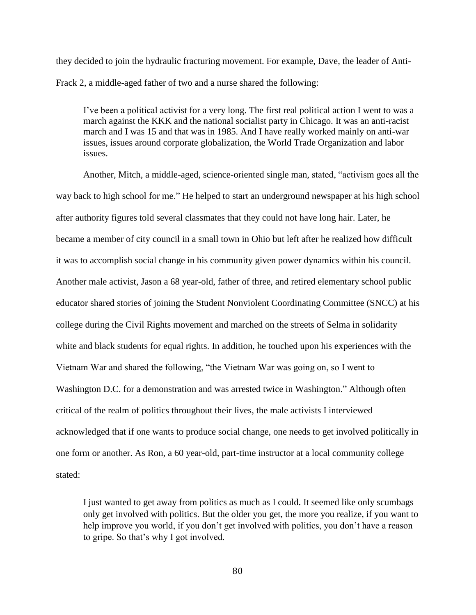they decided to join the hydraulic fracturing movement. For example, Dave, the leader of Anti-Frack 2, a middle-aged father of two and a nurse shared the following:

I've been a political activist for a very long. The first real political action I went to was a march against the KKK and the national socialist party in Chicago. It was an anti-racist march and I was 15 and that was in 1985. And I have really worked mainly on anti-war issues, issues around corporate globalization, the World Trade Organization and labor issues.

Another, Mitch, a middle-aged, science-oriented single man, stated, "activism goes all the way back to high school for me." He helped to start an underground newspaper at his high school after authority figures told several classmates that they could not have long hair. Later, he became a member of city council in a small town in Ohio but left after he realized how difficult it was to accomplish social change in his community given power dynamics within his council. Another male activist, Jason a 68 year-old, father of three, and retired elementary school public educator shared stories of joining the Student Nonviolent Coordinating Committee (SNCC) at his college during the Civil Rights movement and marched on the streets of Selma in solidarity white and black students for equal rights. In addition, he touched upon his experiences with the Vietnam War and shared the following, "the Vietnam War was going on, so I went to Washington D.C. for a demonstration and was arrested twice in Washington." Although often critical of the realm of politics throughout their lives, the male activists I interviewed acknowledged that if one wants to produce social change, one needs to get involved politically in one form or another. As Ron, a 60 year-old, part-time instructor at a local community college stated:

I just wanted to get away from politics as much as I could. It seemed like only scumbags only get involved with politics. But the older you get, the more you realize, if you want to help improve you world, if you don't get involved with politics, you don't have a reason to gripe. So that's why I got involved.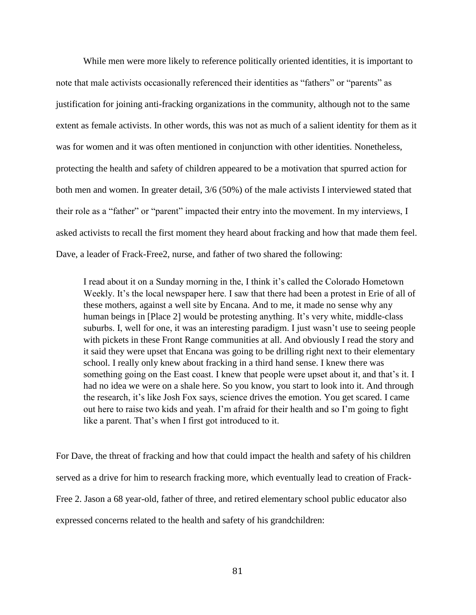While men were more likely to reference politically oriented identities, it is important to note that male activists occasionally referenced their identities as "fathers" or "parents" as justification for joining anti-fracking organizations in the community, although not to the same extent as female activists. In other words, this was not as much of a salient identity for them as it was for women and it was often mentioned in conjunction with other identities. Nonetheless, protecting the health and safety of children appeared to be a motivation that spurred action for both men and women. In greater detail, 3/6 (50%) of the male activists I interviewed stated that their role as a "father" or "parent" impacted their entry into the movement. In my interviews, I asked activists to recall the first moment they heard about fracking and how that made them feel. Dave, a leader of Frack-Free2, nurse, and father of two shared the following:

I read about it on a Sunday morning in the, I think it's called the Colorado Hometown Weekly. It's the local newspaper here. I saw that there had been a protest in Erie of all of these mothers, against a well site by Encana. And to me, it made no sense why any human beings in [Place 2] would be protesting anything. It's very white, middle-class suburbs. I, well for one, it was an interesting paradigm. I just wasn't use to seeing people with pickets in these Front Range communities at all. And obviously I read the story and it said they were upset that Encana was going to be drilling right next to their elementary school. I really only knew about fracking in a third hand sense. I knew there was something going on the East coast. I knew that people were upset about it, and that's it. I had no idea we were on a shale here. So you know, you start to look into it. And through the research, it's like Josh Fox says, science drives the emotion. You get scared. I came out here to raise two kids and yeah. I'm afraid for their health and so I'm going to fight like a parent. That's when I first got introduced to it.

For Dave, the threat of fracking and how that could impact the health and safety of his children served as a drive for him to research fracking more, which eventually lead to creation of Frack-Free 2. Jason a 68 year-old, father of three, and retired elementary school public educator also expressed concerns related to the health and safety of his grandchildren: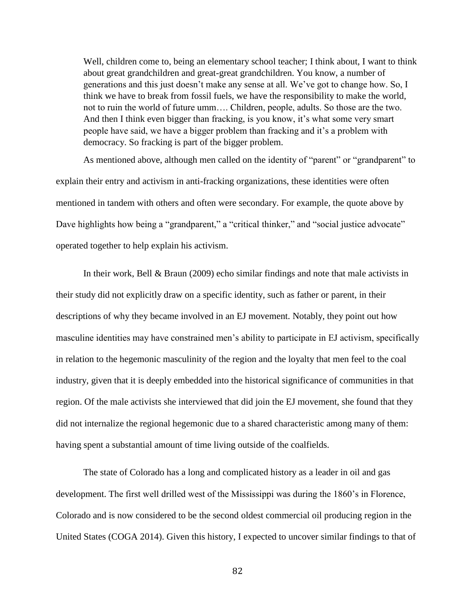Well, children come to, being an elementary school teacher; I think about, I want to think about great grandchildren and great-great grandchildren. You know, a number of generations and this just doesn't make any sense at all. We've got to change how. So, I think we have to break from fossil fuels, we have the responsibility to make the world, not to ruin the world of future umm…. Children, people, adults. So those are the two. And then I think even bigger than fracking, is you know, it's what some very smart people have said, we have a bigger problem than fracking and it's a problem with democracy. So fracking is part of the bigger problem.

As mentioned above, although men called on the identity of "parent" or "grandparent" to explain their entry and activism in anti-fracking organizations, these identities were often mentioned in tandem with others and often were secondary. For example, the quote above by Dave highlights how being a "grandparent," a "critical thinker," and "social justice advocate" operated together to help explain his activism.

In their work, Bell & Braun (2009) echo similar findings and note that male activists in their study did not explicitly draw on a specific identity, such as father or parent, in their descriptions of why they became involved in an EJ movement. Notably, they point out how masculine identities may have constrained men's ability to participate in EJ activism, specifically in relation to the hegemonic masculinity of the region and the loyalty that men feel to the coal industry, given that it is deeply embedded into the historical significance of communities in that region. Of the male activists she interviewed that did join the EJ movement, she found that they did not internalize the regional hegemonic due to a shared characteristic among many of them: having spent a substantial amount of time living outside of the coalfields.

The state of Colorado has a long and complicated history as a leader in oil and gas development. The first well drilled west of the Mississippi was during the 1860's in Florence, Colorado and is now considered to be the second oldest commercial oil producing region in the United States (COGA 2014). Given this history, I expected to uncover similar findings to that of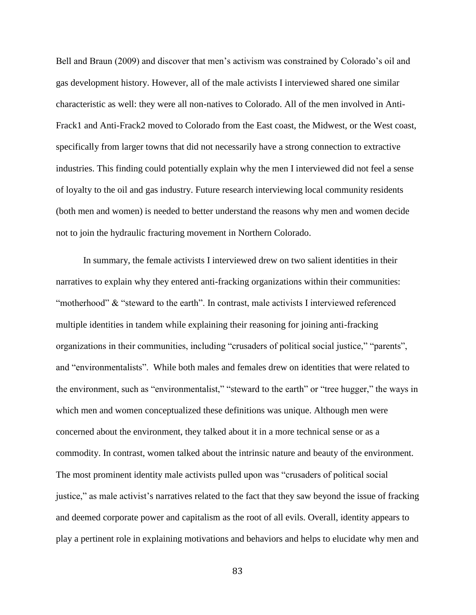Bell and Braun (2009) and discover that men's activism was constrained by Colorado's oil and gas development history. However, all of the male activists I interviewed shared one similar characteristic as well: they were all non-natives to Colorado. All of the men involved in Anti-Frack1 and Anti-Frack2 moved to Colorado from the East coast, the Midwest, or the West coast, specifically from larger towns that did not necessarily have a strong connection to extractive industries. This finding could potentially explain why the men I interviewed did not feel a sense of loyalty to the oil and gas industry. Future research interviewing local community residents (both men and women) is needed to better understand the reasons why men and women decide not to join the hydraulic fracturing movement in Northern Colorado.

In summary, the female activists I interviewed drew on two salient identities in their narratives to explain why they entered anti-fracking organizations within their communities: "motherhood" & "steward to the earth". In contrast, male activists I interviewed referenced multiple identities in tandem while explaining their reasoning for joining anti-fracking organizations in their communities, including "crusaders of political social justice," "parents", and "environmentalists". While both males and females drew on identities that were related to the environment, such as "environmentalist," "steward to the earth" or "tree hugger," the ways in which men and women conceptualized these definitions was unique. Although men were concerned about the environment, they talked about it in a more technical sense or as a commodity. In contrast, women talked about the intrinsic nature and beauty of the environment. The most prominent identity male activists pulled upon was "crusaders of political social justice," as male activist's narratives related to the fact that they saw beyond the issue of fracking and deemed corporate power and capitalism as the root of all evils. Overall, identity appears to play a pertinent role in explaining motivations and behaviors and helps to elucidate why men and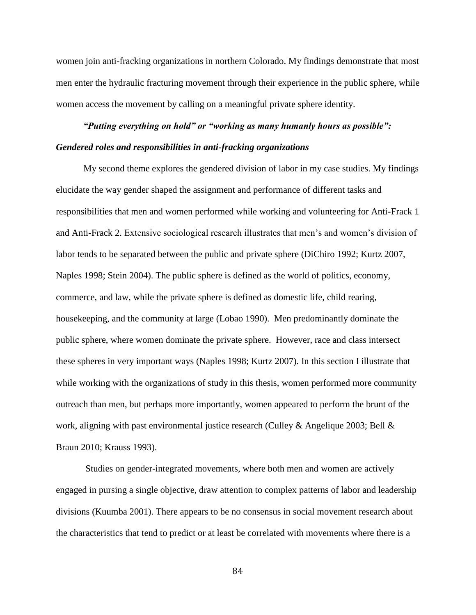women join anti-fracking organizations in northern Colorado. My findings demonstrate that most men enter the hydraulic fracturing movement through their experience in the public sphere, while women access the movement by calling on a meaningful private sphere identity.

# *"Putting everything on hold" or "working as many humanly hours as possible": Gendered roles and responsibilities in anti-fracking organizations*

My second theme explores the gendered division of labor in my case studies. My findings elucidate the way gender shaped the assignment and performance of different tasks and responsibilities that men and women performed while working and volunteering for Anti-Frack 1 and Anti-Frack 2. Extensive sociological research illustrates that men's and women's division of labor tends to be separated between the public and private sphere (DiChiro 1992; Kurtz 2007, Naples 1998; Stein 2004). The public sphere is defined as the world of politics, economy, commerce, and law, while the private sphere is defined as domestic life, child rearing, housekeeping, and the community at large (Lobao 1990). Men predominantly dominate the public sphere, where women dominate the private sphere. However, race and class intersect these spheres in very important ways (Naples 1998; Kurtz 2007). In this section I illustrate that while working with the organizations of study in this thesis, women performed more community outreach than men, but perhaps more importantly, women appeared to perform the brunt of the work, aligning with past environmental justice research (Culley & Angelique 2003; Bell & Braun 2010; Krauss 1993).

 Studies on gender-integrated movements, where both men and women are actively engaged in pursing a single objective, draw attention to complex patterns of labor and leadership divisions (Kuumba 2001). There appears to be no consensus in social movement research about the characteristics that tend to predict or at least be correlated with movements where there is a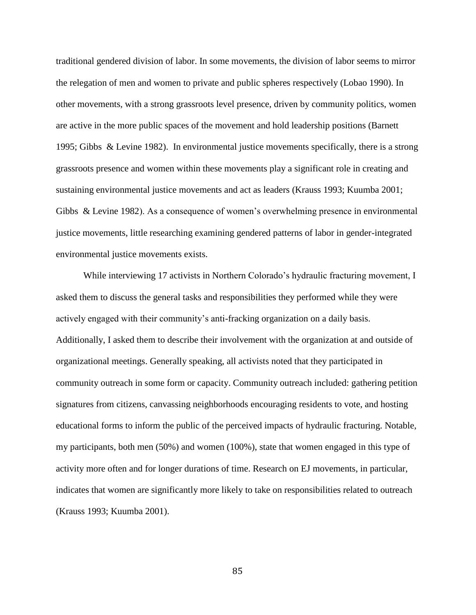traditional gendered division of labor. In some movements, the division of labor seems to mirror the relegation of men and women to private and public spheres respectively (Lobao 1990). In other movements, with a strong grassroots level presence, driven by community politics, women are active in the more public spaces of the movement and hold leadership positions (Barnett 1995; Gibbs & Levine 1982). In environmental justice movements specifically, there is a strong grassroots presence and women within these movements play a significant role in creating and sustaining environmental justice movements and act as leaders (Krauss 1993; Kuumba 2001; Gibbs & Levine 1982). As a consequence of women's overwhelming presence in environmental justice movements, little researching examining gendered patterns of labor in gender-integrated environmental justice movements exists.

While interviewing 17 activists in Northern Colorado's hydraulic fracturing movement, I asked them to discuss the general tasks and responsibilities they performed while they were actively engaged with their community's anti-fracking organization on a daily basis. Additionally, I asked them to describe their involvement with the organization at and outside of organizational meetings. Generally speaking, all activists noted that they participated in community outreach in some form or capacity. Community outreach included: gathering petition signatures from citizens, canvassing neighborhoods encouraging residents to vote, and hosting educational forms to inform the public of the perceived impacts of hydraulic fracturing. Notable, my participants, both men (50%) and women (100%), state that women engaged in this type of activity more often and for longer durations of time. Research on EJ movements, in particular, indicates that women are significantly more likely to take on responsibilities related to outreach (Krauss 1993; Kuumba 2001).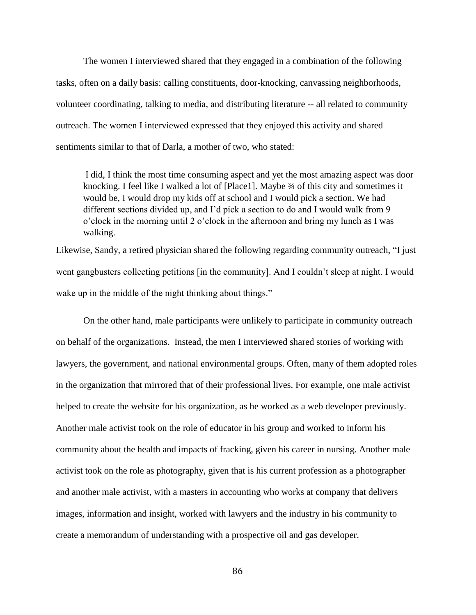The women I interviewed shared that they engaged in a combination of the following tasks, often on a daily basis: calling constituents, door-knocking, canvassing neighborhoods, volunteer coordinating, talking to media, and distributing literature -- all related to community outreach. The women I interviewed expressed that they enjoyed this activity and shared sentiments similar to that of Darla, a mother of two, who stated:

I did, I think the most time consuming aspect and yet the most amazing aspect was door knocking. I feel like I walked a lot of [Place1]. Maybe 34 of this city and sometimes it would be, I would drop my kids off at school and I would pick a section. We had different sections divided up, and I'd pick a section to do and I would walk from 9 o'clock in the morning until 2 o'clock in the afternoon and bring my lunch as I was walking.

Likewise, Sandy, a retired physician shared the following regarding community outreach, "I just went gangbusters collecting petitions [in the community]. And I couldn't sleep at night. I would wake up in the middle of the night thinking about things."

On the other hand, male participants were unlikely to participate in community outreach on behalf of the organizations. Instead, the men I interviewed shared stories of working with lawyers, the government, and national environmental groups. Often, many of them adopted roles in the organization that mirrored that of their professional lives. For example, one male activist helped to create the website for his organization, as he worked as a web developer previously. Another male activist took on the role of educator in his group and worked to inform his community about the health and impacts of fracking, given his career in nursing. Another male activist took on the role as photography, given that is his current profession as a photographer and another male activist, with a masters in accounting who works at company that delivers images, information and insight, worked with lawyers and the industry in his community to create a memorandum of understanding with a prospective oil and gas developer.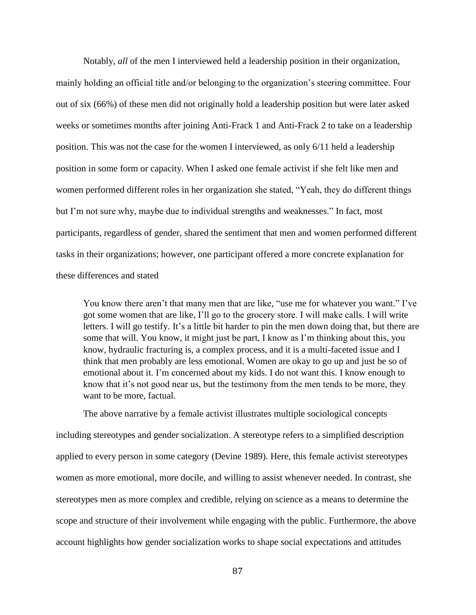Notably, *all* of the men I interviewed held a leadership position in their organization, mainly holding an official title and/or belonging to the organization's steering committee. Four out of six (66%) of these men did not originally hold a leadership position but were later asked weeks or sometimes months after joining Anti-Frack 1 and Anti-Frack 2 to take on a leadership position. This was not the case for the women I interviewed, as only 6/11 held a leadership position in some form or capacity. When I asked one female activist if she felt like men and women performed different roles in her organization she stated, "Yeah, they do different things but I'm not sure why, maybe due to individual strengths and weaknesses." In fact, most participants, regardless of gender, shared the sentiment that men and women performed different tasks in their organizations; however, one participant offered a more concrete explanation for these differences and stated

You know there aren't that many men that are like, "use me for whatever you want." I've got some women that are like, I'll go to the grocery store. I will make calls. I will write letters. I will go testify. It's a little bit harder to pin the men down doing that, but there are some that will. You know, it might just be part, I know as I'm thinking about this, you know, hydraulic fracturing is, a complex process, and it is a multi-faceted issue and I think that men probably are less emotional. Women are okay to go up and just be so of emotional about it. I'm concerned about my kids. I do not want this. I know enough to know that it's not good near us, but the testimony from the men tends to be more, they want to be more, factual.

The above narrative by a female activist illustrates multiple sociological concepts including stereotypes and gender socialization. A stereotype refers to a simplified description applied to every person in some category (Devine 1989). Here, this female activist stereotypes women as more emotional, more docile, and willing to assist whenever needed. In contrast, she stereotypes men as more complex and credible, relying on science as a means to determine the scope and structure of their involvement while engaging with the public. Furthermore, the above account highlights how gender socialization works to shape social expectations and attitudes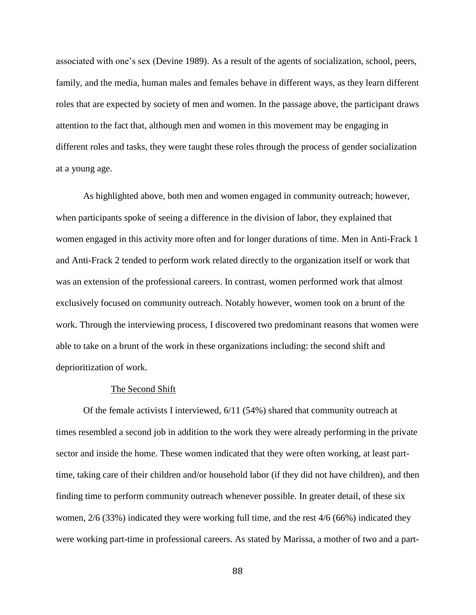associated with one's sex (Devine 1989). As a result of the agents of socialization, school, peers, family, and the media, human males and females behave in different ways, as they learn different roles that are expected by society of men and women. In the passage above, the participant draws attention to the fact that, although men and women in this movement may be engaging in different roles and tasks, they were taught these roles through the process of gender socialization at a young age.

As highlighted above, both men and women engaged in community outreach; however, when participants spoke of seeing a difference in the division of labor, they explained that women engaged in this activity more often and for longer durations of time. Men in Anti-Frack 1 and Anti-Frack 2 tended to perform work related directly to the organization itself or work that was an extension of the professional careers. In contrast, women performed work that almost exclusively focused on community outreach. Notably however, women took on a brunt of the work. Through the interviewing process, I discovered two predominant reasons that women were able to take on a brunt of the work in these organizations including: the second shift and deprioritization of work.

#### The Second Shift

Of the female activists I interviewed, 6/11 (54%) shared that community outreach at times resembled a second job in addition to the work they were already performing in the private sector and inside the home. These women indicated that they were often working, at least parttime, taking care of their children and/or household labor (if they did not have children), and then finding time to perform community outreach whenever possible. In greater detail, of these six women, 2/6 (33%) indicated they were working full time, and the rest 4/6 (66%) indicated they were working part-time in professional careers. As stated by Marissa, a mother of two and a part-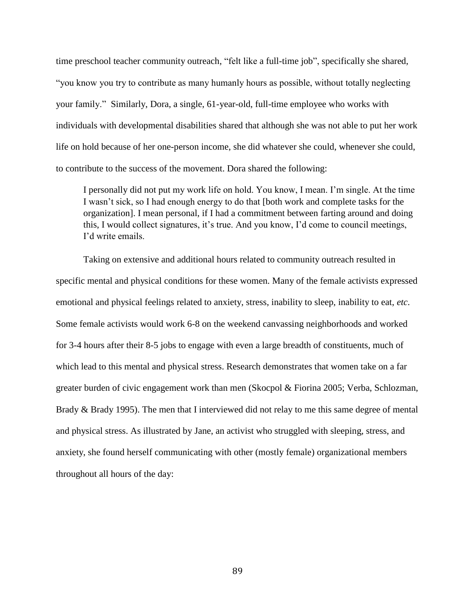time preschool teacher community outreach, "felt like a full-time job", specifically she shared, "you know you try to contribute as many humanly hours as possible, without totally neglecting your family." Similarly, Dora, a single, 61-year-old, full-time employee who works with individuals with developmental disabilities shared that although she was not able to put her work life on hold because of her one-person income, she did whatever she could, whenever she could, to contribute to the success of the movement. Dora shared the following:

I personally did not put my work life on hold. You know, I mean. I'm single. At the time I wasn't sick, so I had enough energy to do that [both work and complete tasks for the organization]. I mean personal, if I had a commitment between farting around and doing this, I would collect signatures, it's true. And you know, I'd come to council meetings, I'd write emails.

Taking on extensive and additional hours related to community outreach resulted in specific mental and physical conditions for these women. Many of the female activists expressed emotional and physical feelings related to anxiety, stress, inability to sleep, inability to eat, *etc*. Some female activists would work 6-8 on the weekend canvassing neighborhoods and worked for 3-4 hours after their 8-5 jobs to engage with even a large breadth of constituents, much of which lead to this mental and physical stress. Research demonstrates that women take on a far greater burden of civic engagement work than men (Skocpol & Fiorina 2005; Verba, Schlozman, Brady & Brady 1995). The men that I interviewed did not relay to me this same degree of mental and physical stress. As illustrated by Jane, an activist who struggled with sleeping, stress, and anxiety, she found herself communicating with other (mostly female) organizational members throughout all hours of the day: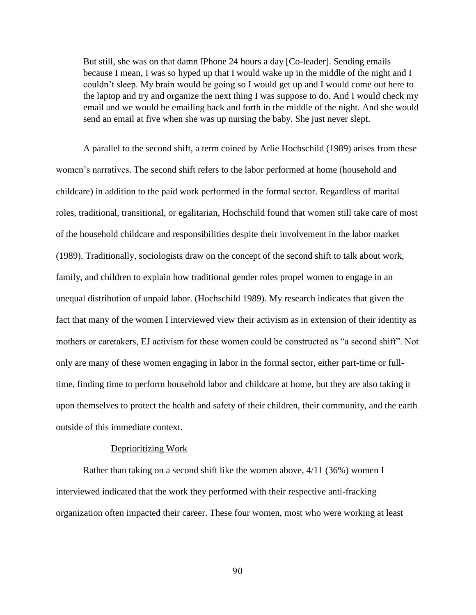But still, she was on that damn IPhone 24 hours a day [Co-leader]. Sending emails because I mean, I was so hyped up that I would wake up in the middle of the night and I couldn't sleep. My brain would be going so I would get up and I would come out here to the laptop and try and organize the next thing I was suppose to do. And I would check my email and we would be emailing back and forth in the middle of the night. And she would send an email at five when she was up nursing the baby. She just never slept.

A parallel to the second shift, a term coined by Arlie Hochschild (1989) arises from these women's narratives. The second shift refers to the labor performed at home (household and childcare) in addition to the paid work performed in the formal sector. Regardless of marital roles, traditional, transitional, or egalitarian, Hochschild found that women still take care of most of the household childcare and responsibilities despite their involvement in the labor market (1989). Traditionally, sociologists draw on the concept of the second shift to talk about work, family, and children to explain how traditional gender roles propel women to engage in an unequal distribution of unpaid labor. (Hochschild 1989). My research indicates that given the fact that many of the women I interviewed view their activism as in extension of their identity as mothers or caretakers, EJ activism for these women could be constructed as "a second shift". Not only are many of these women engaging in labor in the formal sector, either part-time or fulltime, finding time to perform household labor and childcare at home, but they are also taking it upon themselves to protect the health and safety of their children, their community, and the earth outside of this immediate context.

### Deprioritizing Work

Rather than taking on a second shift like the women above, 4/11 (36%) women I interviewed indicated that the work they performed with their respective anti-fracking organization often impacted their career. These four women, most who were working at least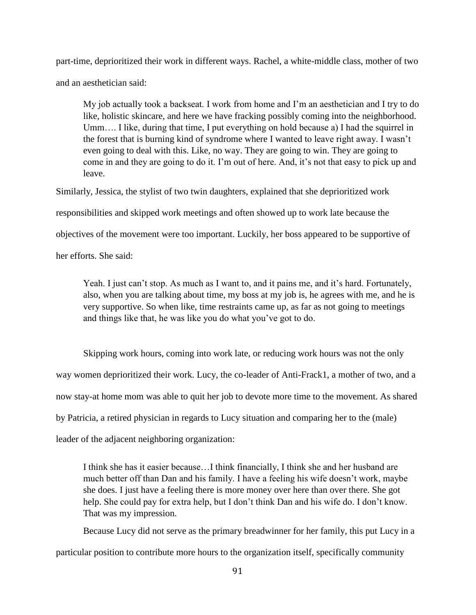part-time, deprioritized their work in different ways. Rachel, a white-middle class, mother of two and an aesthetician said:

My job actually took a backseat. I work from home and I'm an aesthetician and I try to do like, holistic skincare, and here we have fracking possibly coming into the neighborhood. Umm…. I like, during that time, I put everything on hold because a) I had the squirrel in the forest that is burning kind of syndrome where I wanted to leave right away. I wasn't even going to deal with this. Like, no way. They are going to win. They are going to come in and they are going to do it. I'm out of here. And, it's not that easy to pick up and leave.

Similarly, Jessica, the stylist of two twin daughters, explained that she deprioritized work

responsibilities and skipped work meetings and often showed up to work late because the

objectives of the movement were too important. Luckily, her boss appeared to be supportive of

her efforts. She said:

Yeah. I just can't stop. As much as I want to, and it pains me, and it's hard. Fortunately, also, when you are talking about time, my boss at my job is, he agrees with me, and he is very supportive. So when like, time restraints came up, as far as not going to meetings and things like that, he was like you do what you've got to do.

Skipping work hours, coming into work late, or reducing work hours was not the only way women deprioritized their work. Lucy, the co-leader of Anti-Frack1, a mother of two, and a now stay-at home mom was able to quit her job to devote more time to the movement. As shared by Patricia, a retired physician in regards to Lucy situation and comparing her to the (male) leader of the adjacent neighboring organization:

I think she has it easier because…I think financially, I think she and her husband are much better off than Dan and his family. I have a feeling his wife doesn't work, maybe she does. I just have a feeling there is more money over here than over there. She got help. She could pay for extra help, but I don't think Dan and his wife do. I don't know. That was my impression.

Because Lucy did not serve as the primary breadwinner for her family, this put Lucy in a

particular position to contribute more hours to the organization itself, specifically community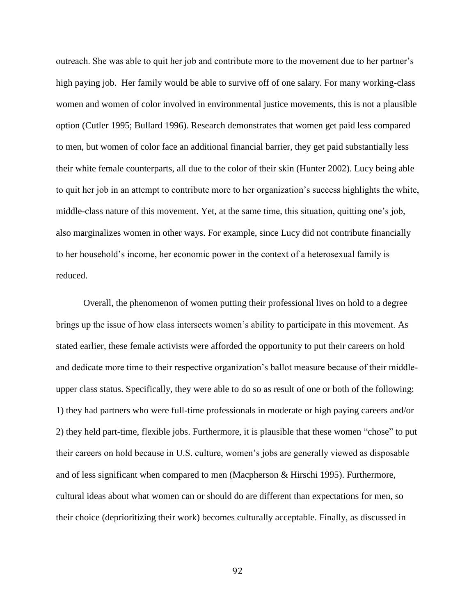outreach. She was able to quit her job and contribute more to the movement due to her partner's high paying job. Her family would be able to survive off of one salary. For many working-class women and women of color involved in environmental justice movements, this is not a plausible option (Cutler 1995; Bullard 1996). Research demonstrates that women get paid less compared to men, but women of color face an additional financial barrier, they get paid substantially less their white female counterparts, all due to the color of their skin (Hunter 2002). Lucy being able to quit her job in an attempt to contribute more to her organization's success highlights the white, middle-class nature of this movement. Yet, at the same time, this situation, quitting one's job, also marginalizes women in other ways. For example, since Lucy did not contribute financially to her household's income, her economic power in the context of a heterosexual family is reduced.

Overall, the phenomenon of women putting their professional lives on hold to a degree brings up the issue of how class intersects women's ability to participate in this movement. As stated earlier, these female activists were afforded the opportunity to put their careers on hold and dedicate more time to their respective organization's ballot measure because of their middleupper class status. Specifically, they were able to do so as result of one or both of the following: 1) they had partners who were full-time professionals in moderate or high paying careers and/or 2) they held part-time, flexible jobs. Furthermore, it is plausible that these women "chose" to put their careers on hold because in U.S. culture, women's jobs are generally viewed as disposable and of less significant when compared to men (Macpherson & Hirschi 1995). Furthermore, cultural ideas about what women can or should do are different than expectations for men, so their choice (deprioritizing their work) becomes culturally acceptable. Finally, as discussed in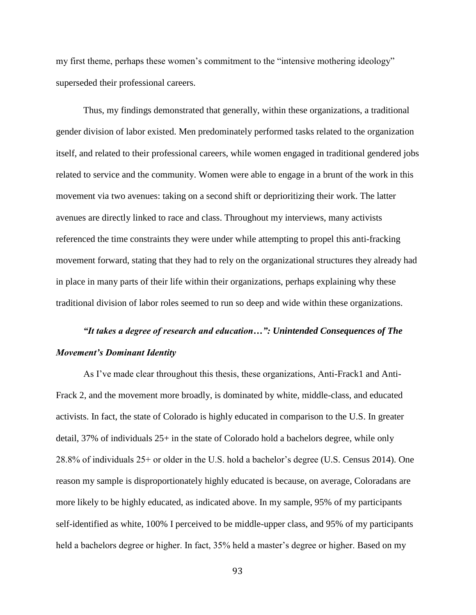my first theme, perhaps these women's commitment to the "intensive mothering ideology" superseded their professional careers.

Thus, my findings demonstrated that generally, within these organizations, a traditional gender division of labor existed. Men predominately performed tasks related to the organization itself, and related to their professional careers, while women engaged in traditional gendered jobs related to service and the community. Women were able to engage in a brunt of the work in this movement via two avenues: taking on a second shift or deprioritizing their work. The latter avenues are directly linked to race and class. Throughout my interviews, many activists referenced the time constraints they were under while attempting to propel this anti-fracking movement forward, stating that they had to rely on the organizational structures they already had in place in many parts of their life within their organizations, perhaps explaining why these traditional division of labor roles seemed to run so deep and wide within these organizations.

# *"It takes a degree of research and education…": Unintended Consequences of The Movement's Dominant Identity*

As I've made clear throughout this thesis, these organizations, Anti-Frack1 and Anti-Frack 2, and the movement more broadly, is dominated by white, middle-class, and educated activists. In fact, the state of Colorado is highly educated in comparison to the U.S. In greater detail, 37% of individuals 25+ in the state of Colorado hold a bachelors degree, while only 28.8% of individuals 25+ or older in the U.S. hold a bachelor's degree (U.S. Census 2014). One reason my sample is disproportionately highly educated is because, on average, Coloradans are more likely to be highly educated, as indicated above. In my sample, 95% of my participants self-identified as white, 100% I perceived to be middle-upper class, and 95% of my participants held a bachelors degree or higher. In fact, 35% held a master's degree or higher. Based on my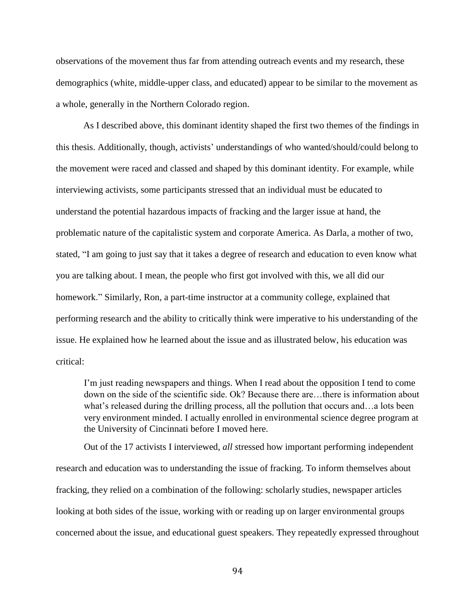observations of the movement thus far from attending outreach events and my research, these demographics (white, middle-upper class, and educated) appear to be similar to the movement as a whole, generally in the Northern Colorado region.

 As I described above, this dominant identity shaped the first two themes of the findings in this thesis. Additionally, though, activists' understandings of who wanted/should/could belong to the movement were raced and classed and shaped by this dominant identity. For example, while interviewing activists, some participants stressed that an individual must be educated to understand the potential hazardous impacts of fracking and the larger issue at hand, the problematic nature of the capitalistic system and corporate America. As Darla, a mother of two, stated, "I am going to just say that it takes a degree of research and education to even know what you are talking about. I mean, the people who first got involved with this, we all did our homework." Similarly, Ron, a part-time instructor at a community college, explained that performing research and the ability to critically think were imperative to his understanding of the issue. He explained how he learned about the issue and as illustrated below, his education was critical:

I'm just reading newspapers and things. When I read about the opposition I tend to come down on the side of the scientific side. Ok? Because there are…there is information about what's released during the drilling process, all the pollution that occurs and…a lots been very environment minded. I actually enrolled in environmental science degree program at the University of Cincinnati before I moved here.

Out of the 17 activists I interviewed, *all s*tressed how important performing independent research and education was to understanding the issue of fracking. To inform themselves about fracking, they relied on a combination of the following: scholarly studies, newspaper articles looking at both sides of the issue, working with or reading up on larger environmental groups concerned about the issue, and educational guest speakers. They repeatedly expressed throughout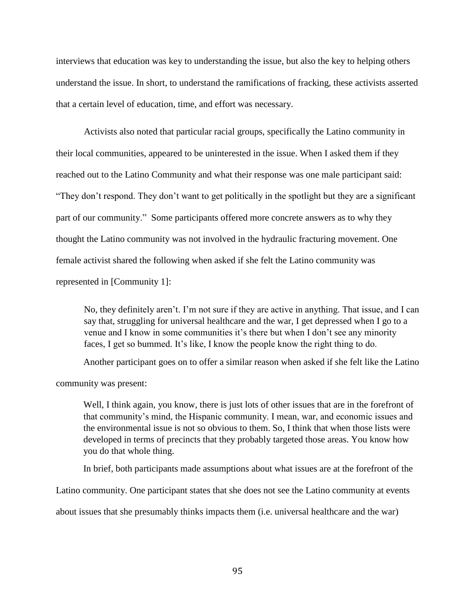interviews that education was key to understanding the issue, but also the key to helping others understand the issue. In short, to understand the ramifications of fracking, these activists asserted that a certain level of education, time, and effort was necessary.

Activists also noted that particular racial groups, specifically the Latino community in their local communities, appeared to be uninterested in the issue. When I asked them if they reached out to the Latino Community and what their response was one male participant said: "They don't respond. They don't want to get politically in the spotlight but they are a significant part of our community." Some participants offered more concrete answers as to why they thought the Latino community was not involved in the hydraulic fracturing movement. One female activist shared the following when asked if she felt the Latino community was represented in [Community 1]:

No, they definitely aren't. I'm not sure if they are active in anything. That issue, and I can say that, struggling for universal healthcare and the war, I get depressed when I go to a venue and I know in some communities it's there but when I don't see any minority faces, I get so bummed. It's like, I know the people know the right thing to do.

Another participant goes on to offer a similar reason when asked if she felt like the Latino

community was present:

Well, I think again, you know, there is just lots of other issues that are in the forefront of that community's mind, the Hispanic community. I mean, war, and economic issues and the environmental issue is not so obvious to them. So, I think that when those lists were developed in terms of precincts that they probably targeted those areas. You know how you do that whole thing.

In brief, both participants made assumptions about what issues are at the forefront of the

Latino community. One participant states that she does not see the Latino community at events

about issues that she presumably thinks impacts them (i.e. universal healthcare and the war)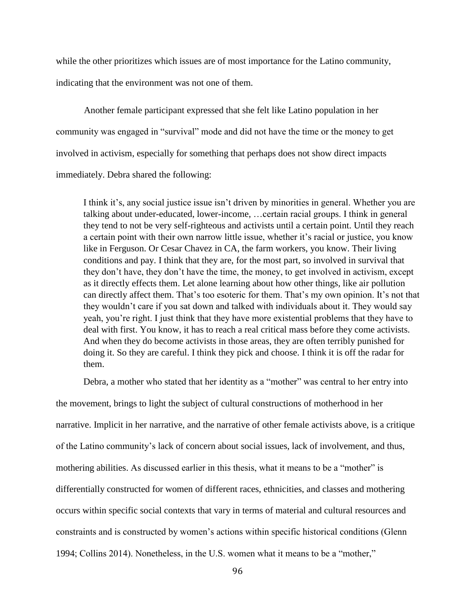while the other prioritizes which issues are of most importance for the Latino community, indicating that the environment was not one of them.

Another female participant expressed that she felt like Latino population in her community was engaged in "survival" mode and did not have the time or the money to get involved in activism, especially for something that perhaps does not show direct impacts immediately. Debra shared the following:

I think it's, any social justice issue isn't driven by minorities in general. Whether you are talking about under-educated, lower-income, …certain racial groups. I think in general they tend to not be very self-righteous and activists until a certain point. Until they reach a certain point with their own narrow little issue, whether it's racial or justice, you know like in Ferguson. Or Cesar Chavez in CA, the farm workers, you know. Their living conditions and pay. I think that they are, for the most part, so involved in survival that they don't have, they don't have the time, the money, to get involved in activism, except as it directly effects them. Let alone learning about how other things, like air pollution can directly affect them. That's too esoteric for them. That's my own opinion. It's not that they wouldn't care if you sat down and talked with individuals about it. They would say yeah, you're right. I just think that they have more existential problems that they have to deal with first. You know, it has to reach a real critical mass before they come activists. And when they do become activists in those areas, they are often terribly punished for doing it. So they are careful. I think they pick and choose. I think it is off the radar for them.

Debra, a mother who stated that her identity as a "mother" was central to her entry into

the movement, brings to light the subject of cultural constructions of motherhood in her narrative. Implicit in her narrative, and the narrative of other female activists above, is a critique of the Latino community's lack of concern about social issues, lack of involvement, and thus, mothering abilities. As discussed earlier in this thesis, what it means to be a "mother" is differentially constructed for women of different races, ethnicities, and classes and mothering occurs within specific social contexts that vary in terms of material and cultural resources and constraints and is constructed by women's actions within specific historical conditions (Glenn 1994; Collins 2014). Nonetheless, in the U.S. women what it means to be a "mother,"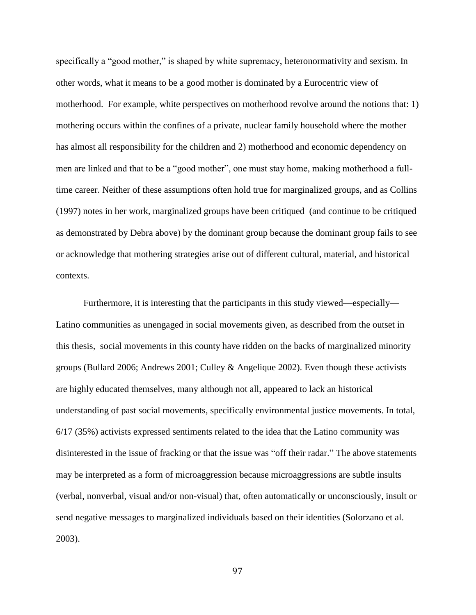specifically a "good mother," is shaped by white supremacy, heteronormativity and sexism. In other words, what it means to be a good mother is dominated by a Eurocentric view of motherhood. For example, white perspectives on motherhood revolve around the notions that: 1) mothering occurs within the confines of a private, nuclear family household where the mother has almost all responsibility for the children and 2) motherhood and economic dependency on men are linked and that to be a "good mother", one must stay home, making motherhood a fulltime career. Neither of these assumptions often hold true for marginalized groups, and as Collins (1997) notes in her work, marginalized groups have been critiqued (and continue to be critiqued as demonstrated by Debra above) by the dominant group because the dominant group fails to see or acknowledge that mothering strategies arise out of different cultural, material, and historical contexts.

Furthermore, it is interesting that the participants in this study viewed—especially— Latino communities as unengaged in social movements given, as described from the outset in this thesis, social movements in this county have ridden on the backs of marginalized minority groups (Bullard 2006; Andrews 2001; Culley & Angelique 2002). Even though these activists are highly educated themselves, many although not all, appeared to lack an historical understanding of past social movements, specifically environmental justice movements. In total, 6/17 (35%) activists expressed sentiments related to the idea that the Latino community was disinterested in the issue of fracking or that the issue was "off their radar." The above statements may be interpreted as a form of microaggression because microaggressions are subtle insults (verbal, nonverbal, visual and/or non-visual) that, often automatically or unconsciously, insult or send negative messages to marginalized individuals based on their identities (Solorzano et al. 2003).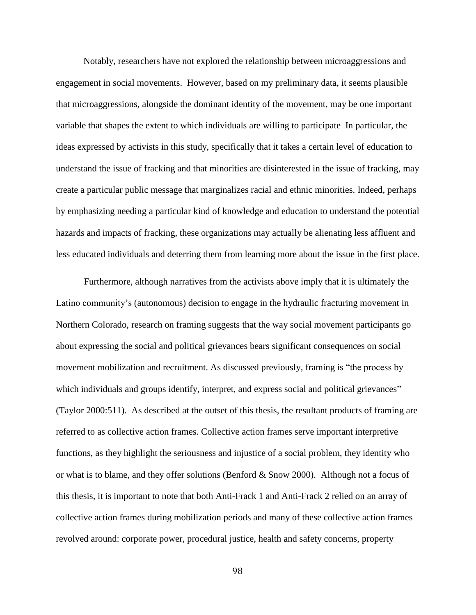Notably, researchers have not explored the relationship between microaggressions and engagement in social movements. However, based on my preliminary data, it seems plausible that microaggressions, alongside the dominant identity of the movement, may be one important variable that shapes the extent to which individuals are willing to participate In particular, the ideas expressed by activists in this study, specifically that it takes a certain level of education to understand the issue of fracking and that minorities are disinterested in the issue of fracking, may create a particular public message that marginalizes racial and ethnic minorities. Indeed, perhaps by emphasizing needing a particular kind of knowledge and education to understand the potential hazards and impacts of fracking, these organizations may actually be alienating less affluent and less educated individuals and deterring them from learning more about the issue in the first place.

Furthermore, although narratives from the activists above imply that it is ultimately the Latino community's (autonomous) decision to engage in the hydraulic fracturing movement in Northern Colorado, research on framing suggests that the way social movement participants go about expressing the social and political grievances bears significant consequences on social movement mobilization and recruitment. As discussed previously, framing is "the process by which individuals and groups identify, interpret, and express social and political grievances" (Taylor 2000:511). As described at the outset of this thesis, the resultant products of framing are referred to as collective action frames. Collective action frames serve important interpretive functions, as they highlight the seriousness and injustice of a social problem, they identity who or what is to blame, and they offer solutions (Benford & Snow 2000). Although not a focus of this thesis, it is important to note that both Anti-Frack 1 and Anti-Frack 2 relied on an array of collective action frames during mobilization periods and many of these collective action frames revolved around: corporate power, procedural justice, health and safety concerns, property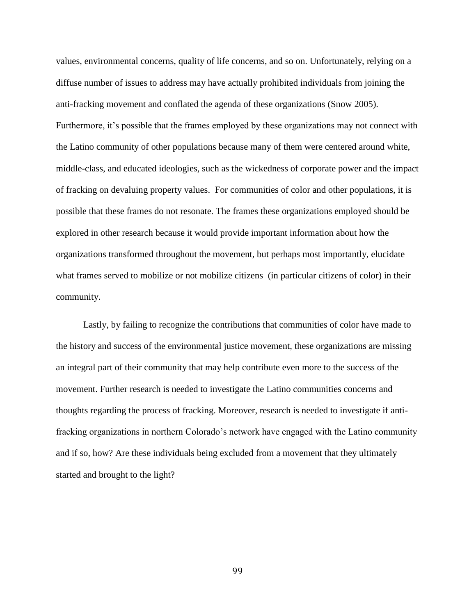values, environmental concerns, quality of life concerns, and so on. Unfortunately, relying on a diffuse number of issues to address may have actually prohibited individuals from joining the anti-fracking movement and conflated the agenda of these organizations (Snow 2005). Furthermore, it's possible that the frames employed by these organizations may not connect with the Latino community of other populations because many of them were centered around white, middle-class, and educated ideologies, such as the wickedness of corporate power and the impact of fracking on devaluing property values. For communities of color and other populations, it is possible that these frames do not resonate. The frames these organizations employed should be explored in other research because it would provide important information about how the organizations transformed throughout the movement, but perhaps most importantly, elucidate what frames served to mobilize or not mobilize citizens (in particular citizens of color) in their community.

Lastly, by failing to recognize the contributions that communities of color have made to the history and success of the environmental justice movement, these organizations are missing an integral part of their community that may help contribute even more to the success of the movement. Further research is needed to investigate the Latino communities concerns and thoughts regarding the process of fracking. Moreover, research is needed to investigate if antifracking organizations in northern Colorado's network have engaged with the Latino community and if so, how? Are these individuals being excluded from a movement that they ultimately started and brought to the light?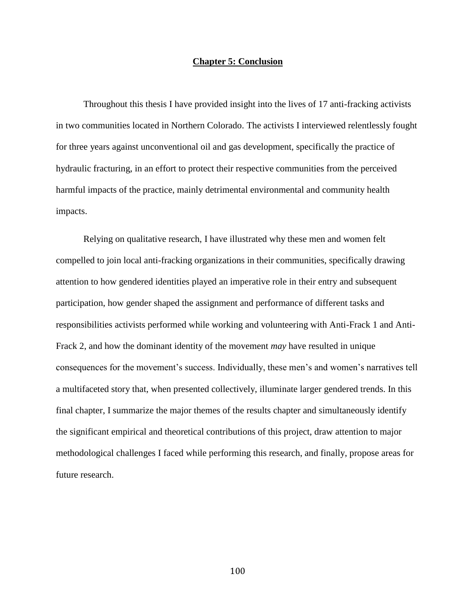## **Chapter 5: Conclusion**

Throughout this thesis I have provided insight into the lives of 17 anti-fracking activists in two communities located in Northern Colorado. The activists I interviewed relentlessly fought for three years against unconventional oil and gas development, specifically the practice of hydraulic fracturing, in an effort to protect their respective communities from the perceived harmful impacts of the practice, mainly detrimental environmental and community health impacts.

Relying on qualitative research, I have illustrated why these men and women felt compelled to join local anti-fracking organizations in their communities, specifically drawing attention to how gendered identities played an imperative role in their entry and subsequent participation, how gender shaped the assignment and performance of different tasks and responsibilities activists performed while working and volunteering with Anti-Frack 1 and Anti-Frack 2, and how the dominant identity of the movement *may* have resulted in unique consequences for the movement's success. Individually, these men's and women's narratives tell a multifaceted story that, when presented collectively, illuminate larger gendered trends. In this final chapter, I summarize the major themes of the results chapter and simultaneously identify the significant empirical and theoretical contributions of this project, draw attention to major methodological challenges I faced while performing this research, and finally, propose areas for future research.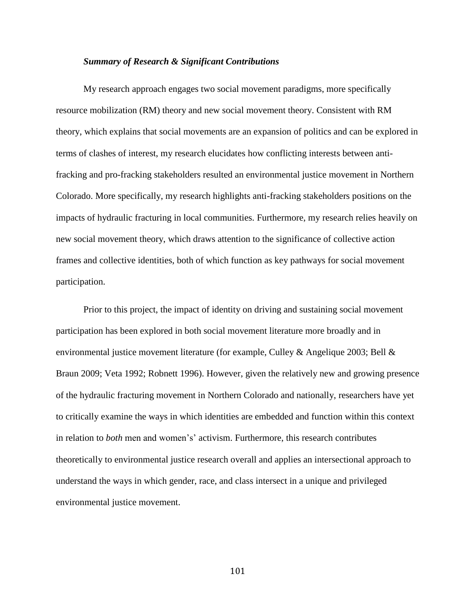## *Summary of Research & Significant Contributions*

My research approach engages two social movement paradigms, more specifically resource mobilization (RM) theory and new social movement theory. Consistent with RM theory, which explains that social movements are an expansion of politics and can be explored in terms of clashes of interest, my research elucidates how conflicting interests between antifracking and pro-fracking stakeholders resulted an environmental justice movement in Northern Colorado. More specifically, my research highlights anti-fracking stakeholders positions on the impacts of hydraulic fracturing in local communities. Furthermore, my research relies heavily on new social movement theory, which draws attention to the significance of collective action frames and collective identities, both of which function as key pathways for social movement participation.

 Prior to this project, the impact of identity on driving and sustaining social movement participation has been explored in both social movement literature more broadly and in environmental justice movement literature (for example, Culley & Angelique 2003; Bell  $\&$ Braun 2009; Veta 1992; Robnett 1996). However, given the relatively new and growing presence of the hydraulic fracturing movement in Northern Colorado and nationally, researchers have yet to critically examine the ways in which identities are embedded and function within this context in relation to *both* men and women's' activism. Furthermore, this research contributes theoretically to environmental justice research overall and applies an intersectional approach to understand the ways in which gender, race, and class intersect in a unique and privileged environmental justice movement.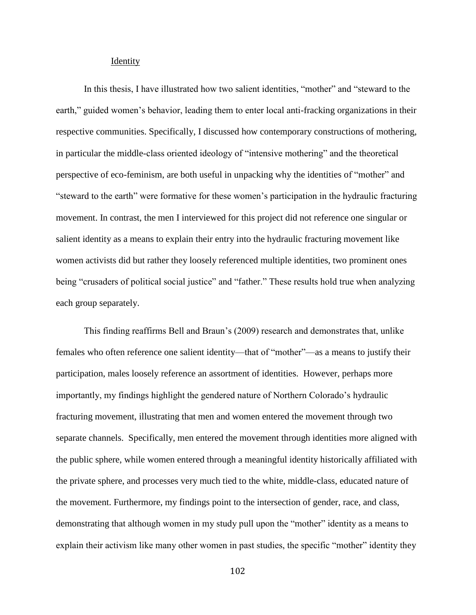#### Identity

In this thesis, I have illustrated how two salient identities, "mother" and "steward to the earth," guided women's behavior, leading them to enter local anti-fracking organizations in their respective communities. Specifically, I discussed how contemporary constructions of mothering, in particular the middle-class oriented ideology of "intensive mothering" and the theoretical perspective of eco-feminism, are both useful in unpacking why the identities of "mother" and "steward to the earth" were formative for these women's participation in the hydraulic fracturing movement. In contrast, the men I interviewed for this project did not reference one singular or salient identity as a means to explain their entry into the hydraulic fracturing movement like women activists did but rather they loosely referenced multiple identities, two prominent ones being "crusaders of political social justice" and "father." These results hold true when analyzing each group separately.

This finding reaffirms Bell and Braun's (2009) research and demonstrates that, unlike females who often reference one salient identity—that of "mother"—as a means to justify their participation, males loosely reference an assortment of identities. However, perhaps more importantly, my findings highlight the gendered nature of Northern Colorado's hydraulic fracturing movement, illustrating that men and women entered the movement through two separate channels. Specifically, men entered the movement through identities more aligned with the public sphere, while women entered through a meaningful identity historically affiliated with the private sphere, and processes very much tied to the white, middle-class, educated nature of the movement. Furthermore, my findings point to the intersection of gender, race, and class, demonstrating that although women in my study pull upon the "mother" identity as a means to explain their activism like many other women in past studies, the specific "mother" identity they

102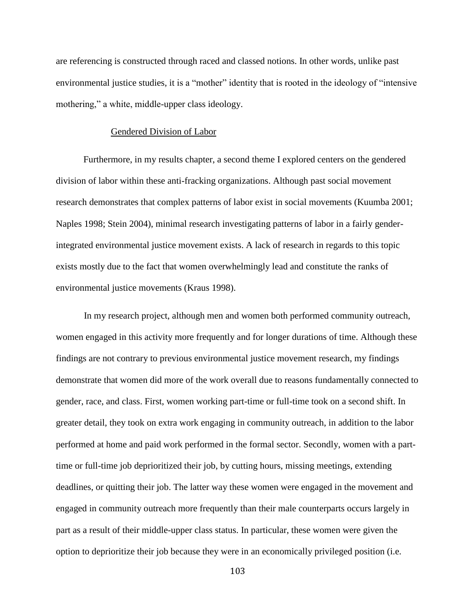are referencing is constructed through raced and classed notions. In other words, unlike past environmental justice studies, it is a "mother" identity that is rooted in the ideology of "intensive mothering," a white, middle-upper class ideology.

#### Gendered Division of Labor

 Furthermore, in my results chapter, a second theme I explored centers on the gendered division of labor within these anti-fracking organizations. Although past social movement research demonstrates that complex patterns of labor exist in social movements (Kuumba 2001; Naples 1998; Stein 2004), minimal research investigating patterns of labor in a fairly genderintegrated environmental justice movement exists. A lack of research in regards to this topic exists mostly due to the fact that women overwhelmingly lead and constitute the ranks of environmental justice movements (Kraus 1998).

In my research project, although men and women both performed community outreach, women engaged in this activity more frequently and for longer durations of time. Although these findings are not contrary to previous environmental justice movement research, my findings demonstrate that women did more of the work overall due to reasons fundamentally connected to gender, race, and class. First, women working part-time or full-time took on a second shift. In greater detail, they took on extra work engaging in community outreach, in addition to the labor performed at home and paid work performed in the formal sector. Secondly, women with a parttime or full-time job deprioritized their job, by cutting hours, missing meetings, extending deadlines, or quitting their job. The latter way these women were engaged in the movement and engaged in community outreach more frequently than their male counterparts occurs largely in part as a result of their middle-upper class status. In particular, these women were given the option to deprioritize their job because they were in an economically privileged position (i.e.

103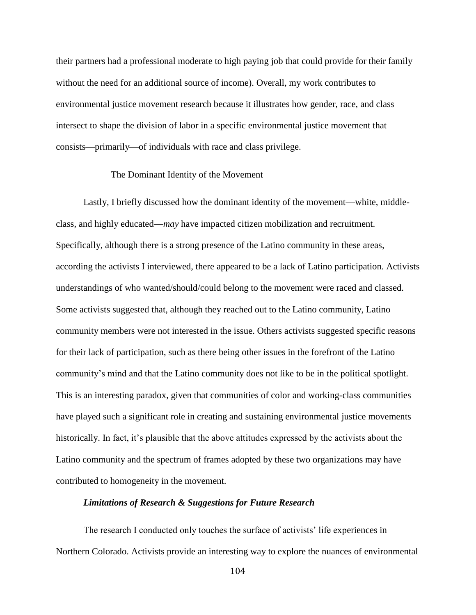their partners had a professional moderate to high paying job that could provide for their family without the need for an additional source of income). Overall, my work contributes to environmental justice movement research because it illustrates how gender, race, and class intersect to shape the division of labor in a specific environmental justice movement that consists—primarily—of individuals with race and class privilege.

#### The Dominant Identity of the Movement

 Lastly, I briefly discussed how the dominant identity of the movement—white, middleclass, and highly educated—*may* have impacted citizen mobilization and recruitment. Specifically, although there is a strong presence of the Latino community in these areas, according the activists I interviewed, there appeared to be a lack of Latino participation. Activists understandings of who wanted/should/could belong to the movement were raced and classed. Some activists suggested that, although they reached out to the Latino community, Latino community members were not interested in the issue. Others activists suggested specific reasons for their lack of participation, such as there being other issues in the forefront of the Latino community's mind and that the Latino community does not like to be in the political spotlight. This is an interesting paradox, given that communities of color and working-class communities have played such a significant role in creating and sustaining environmental justice movements historically. In fact, it's plausible that the above attitudes expressed by the activists about the Latino community and the spectrum of frames adopted by these two organizations may have contributed to homogeneity in the movement.

#### *Limitations of Research & Suggestions for Future Research*

The research I conducted only touches the surface of activists' life experiences in Northern Colorado. Activists provide an interesting way to explore the nuances of environmental

104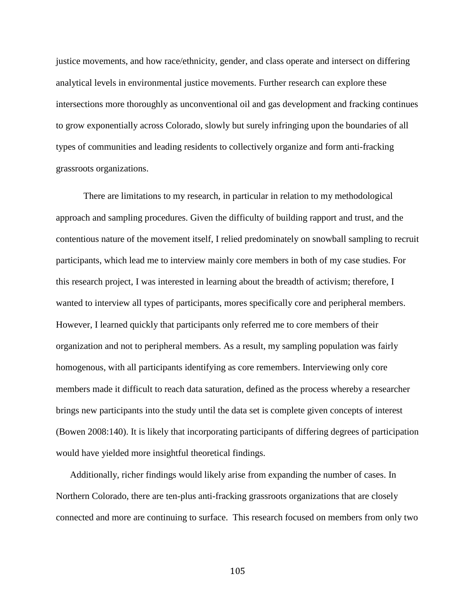justice movements, and how race/ethnicity, gender, and class operate and intersect on differing analytical levels in environmental justice movements. Further research can explore these intersections more thoroughly as unconventional oil and gas development and fracking continues to grow exponentially across Colorado, slowly but surely infringing upon the boundaries of all types of communities and leading residents to collectively organize and form anti-fracking grassroots organizations.

 There are limitations to my research, in particular in relation to my methodological approach and sampling procedures. Given the difficulty of building rapport and trust, and the contentious nature of the movement itself, I relied predominately on snowball sampling to recruit participants, which lead me to interview mainly core members in both of my case studies. For this research project, I was interested in learning about the breadth of activism; therefore, I wanted to interview all types of participants, mores specifically core and peripheral members. However, I learned quickly that participants only referred me to core members of their organization and not to peripheral members. As a result, my sampling population was fairly homogenous, with all participants identifying as core remembers. Interviewing only core members made it difficult to reach data saturation, defined as the process whereby a researcher brings new participants into the study until the data set is complete given concepts of interest (Bowen 2008:140). It is likely that incorporating participants of differing degrees of participation would have yielded more insightful theoretical findings.

Additionally, richer findings would likely arise from expanding the number of cases. In Northern Colorado, there are ten-plus anti-fracking grassroots organizations that are closely connected and more are continuing to surface. This research focused on members from only two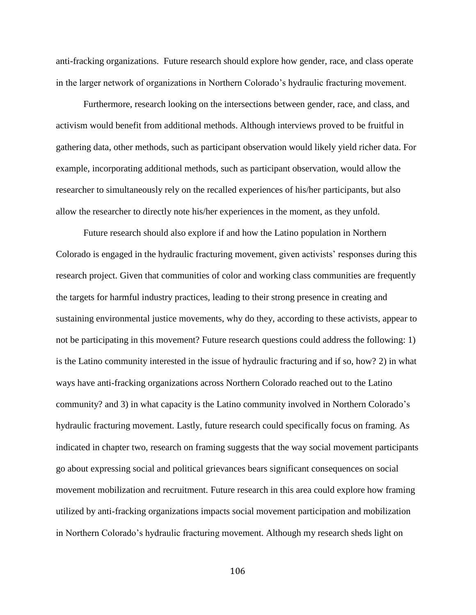anti-fracking organizations. Future research should explore how gender, race, and class operate in the larger network of organizations in Northern Colorado's hydraulic fracturing movement.

 Furthermore, research looking on the intersections between gender, race, and class, and activism would benefit from additional methods. Although interviews proved to be fruitful in gathering data, other methods, such as participant observation would likely yield richer data. For example, incorporating additional methods, such as participant observation, would allow the researcher to simultaneously rely on the recalled experiences of his/her participants, but also allow the researcher to directly note his/her experiences in the moment, as they unfold.

 Future research should also explore if and how the Latino population in Northern Colorado is engaged in the hydraulic fracturing movement, given activists' responses during this research project. Given that communities of color and working class communities are frequently the targets for harmful industry practices, leading to their strong presence in creating and sustaining environmental justice movements, why do they, according to these activists, appear to not be participating in this movement? Future research questions could address the following: 1) is the Latino community interested in the issue of hydraulic fracturing and if so, how? 2) in what ways have anti-fracking organizations across Northern Colorado reached out to the Latino community? and 3) in what capacity is the Latino community involved in Northern Colorado's hydraulic fracturing movement. Lastly, future research could specifically focus on framing. As indicated in chapter two, research on framing suggests that the way social movement participants go about expressing social and political grievances bears significant consequences on social movement mobilization and recruitment. Future research in this area could explore how framing utilized by anti-fracking organizations impacts social movement participation and mobilization in Northern Colorado's hydraulic fracturing movement. Although my research sheds light on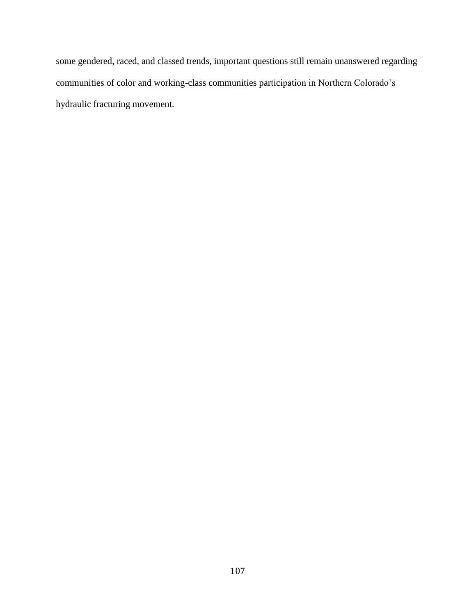some gendered, raced, and classed trends, important questions still remain unanswered regarding communities of color and working-class communities participation in Northern Colorado's hydraulic fracturing movement.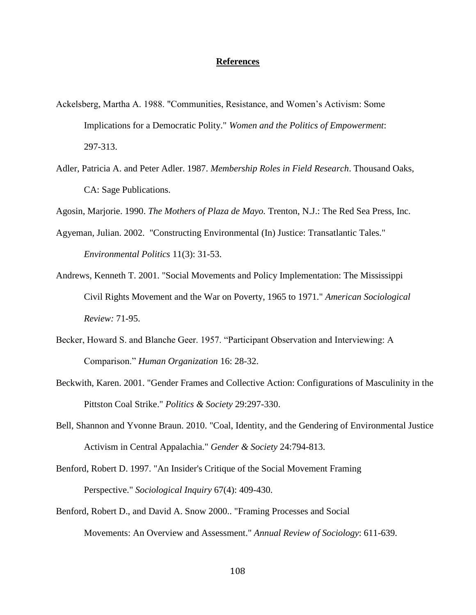#### **References**

- Ackelsberg, Martha A. 1988. "Communities, Resistance, and Women's Activism: Some Implications for a Democratic Polity." *Women and the Politics of Empowerment*: 297-313.
- Adler, Patricia A. and Peter Adler. 1987. *Membership Roles in Field Research*. Thousand Oaks, CA: Sage Publications.

Agosin, Marjorie. 1990. *The Mothers of Plaza de Mayo.* Trenton, N.J.: The Red Sea Press, Inc.

- Agyeman, Julian. 2002. "Constructing Environmental (In) Justice: Transatlantic Tales." *Environmental Politics* 11(3): 31-53.
- Andrews, Kenneth T. 2001. "Social Movements and Policy Implementation: The Mississippi Civil Rights Movement and the War on Poverty, 1965 to 1971." *American Sociological Review:* 71-95.
- Becker, Howard S. and Blanche Geer. 1957. "Participant Observation and Interviewing: A Comparison." *Human Organization* 16: 28-32.
- Beckwith, Karen. 2001. "Gender Frames and Collective Action: Configurations of Masculinity in the Pittston Coal Strike." *Politics & Society* 29:297-330.
- Bell, Shannon and Yvonne Braun. 2010. "Coal, Identity, and the Gendering of Environmental Justice Activism in Central Appalachia." *Gender & Society* 24:794-813.
- Benford, Robert D. 1997. "An Insider's Critique of the Social Movement Framing Perspective." *Sociological Inquiry* 67(4): 409-430.
- Benford, Robert D., and David A. Snow 2000.. "Framing Processes and Social Movements: An Overview and Assessment." *Annual Review of Sociology*: 611-639.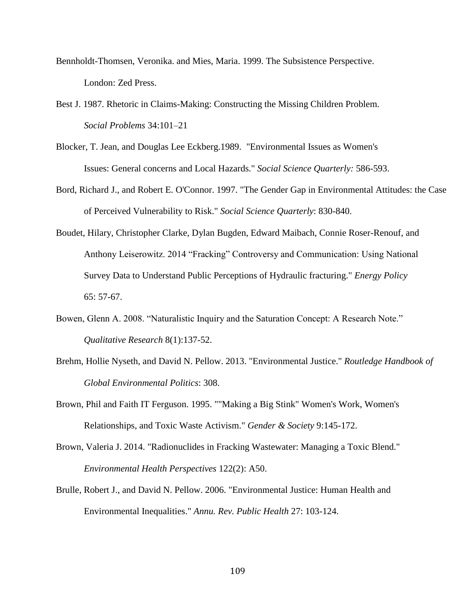- Bennholdt-Thomsen, Veronika. and Mies, Maria. 1999. The Subsistence Perspective. London: Zed Press.
- Best J. 1987. Rhetoric in Claims-Making: Constructing the Missing Children Problem. *Social Problems* 34:101–21
- Blocker, T. Jean, and Douglas Lee Eckberg.1989. "Environmental Issues as Women's Issues: General concerns and Local Hazards." *Social Science Quarterly:* 586-593.
- Bord, Richard J., and Robert E. O'Connor. 1997. "The Gender Gap in Environmental Attitudes: the Case of Perceived Vulnerability to Risk." *Social Science Quarterly*: 830-840.
- Boudet, Hilary, Christopher Clarke, Dylan Bugden, Edward Maibach, Connie Roser-Renouf, and Anthony Leiserowitz. 2014 "Fracking" Controversy and Communication: Using National Survey Data to Understand Public Perceptions of Hydraulic fracturing." *Energy Policy* 65: 57-67.
- Bowen, Glenn A. 2008. "Naturalistic Inquiry and the Saturation Concept: A Research Note." *Qualitative Research* 8(1):137-52.
- Brehm, Hollie Nyseth, and David N. Pellow. 2013. "Environmental Justice." *Routledge Handbook of Global Environmental Politics*: 308.
- Brown, Phil and Faith IT Ferguson. 1995. ""Making a Big Stink" Women's Work, Women's Relationships, and Toxic Waste Activism." *Gender & Society* 9:145-172.
- Brown, Valeria J. 2014. "Radionuclides in Fracking Wastewater: Managing a Toxic Blend." *Environmental Health Perspectives* 122(2): A50.
- Brulle, Robert J., and David N. Pellow. 2006. "Environmental Justice: Human Health and Environmental Inequalities." *Annu. Rev. Public Health* 27: 103-124.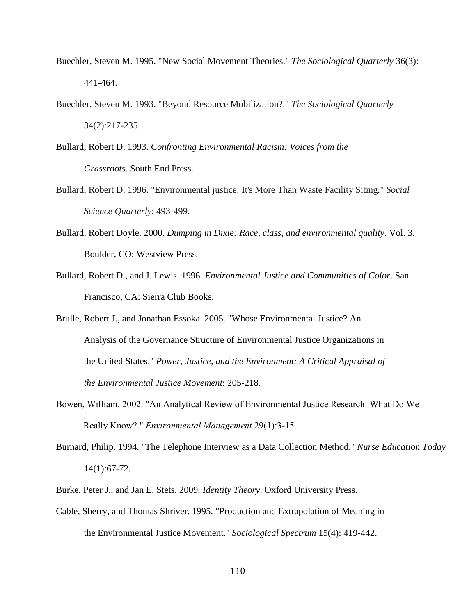- Buechler, Steven M. 1995. "New Social Movement Theories." *The Sociological Quarterly* 36(3): 441-464.
- Buechler, Steven M. 1993. "Beyond Resource Mobilization?." *The Sociological Quarterly* 34(2):217-235.
- Bullard, Robert D. 1993. *Confronting Environmental Racism: Voices from the Grassroots*. South End Press.
- Bullard, Robert D. 1996. "Environmental justice: It's More Than Waste Facility Siting." *Social Science Quarterly*: 493-499.
- Bullard, Robert Doyle. 2000. *Dumping in Dixie: Race, class, and environmental quality*. Vol. 3. Boulder, CO: Westview Press.
- Bullard, Robert D., and J. Lewis. 1996. *Environmental Justice and Communities of Color*. San Francisco, CA: Sierra Club Books.
- Brulle, Robert J., and Jonathan Essoka. 2005. "Whose Environmental Justice? An Analysis of the Governance Structure of Environmental Justice Organizations in the United States." *Power, Justice, and the Environment: A Critical Appraisal of the Environmental Justice Movement*: 205-218.
- Bowen, William. 2002. "An Analytical Review of Environmental Justice Research: What Do We Really Know?." *Environmental Management* 29(1):3-15.
- Burnard, Philip. 1994. "The Telephone Interview as a Data Collection Method." *Nurse Education Today* 14(1):67-72.
- Burke, Peter J., and Jan E. Stets. 2009. *Identity Theory*. Oxford University Press.
- Cable, Sherry, and Thomas Shriver. 1995. "Production and Extrapolation of Meaning in the Environmental Justice Movement." *Sociological Spectrum* 15(4): 419-442.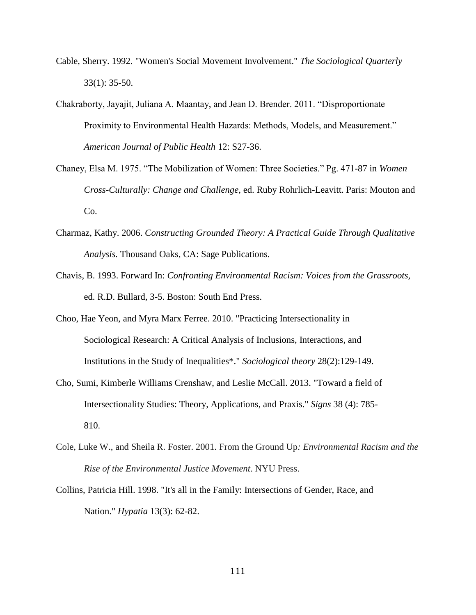- Cable, Sherry. 1992. "Women's Social Movement Involvement." *The Sociological Quarterly* 33(1): 35-50.
- Chakraborty, Jayajit, Juliana A. Maantay, and Jean D. Brender. 2011. "Disproportionate Proximity to Environmental Health Hazards: Methods, Models, and Measurement." *American Journal of Public Health* 12: S27-36.
- Chaney, Elsa M. 1975. "The Mobilization of Women: Three Societies." Pg. 471-87 in *Women Cross-Culturally: Change and Challenge,* ed. Ruby Rohrlich-Leavitt. Paris: Mouton and Co.
- Charmaz, Kathy. 2006. *Constructing Grounded Theory: A Practical Guide Through Qualitative Analysis.* Thousand Oaks, CA: Sage Publications.
- Chavis, B. 1993. Forward In: *Confronting Environmental Racism: Voices from the Grassroots,*  ed. R.D. Bullard, 3-5. Boston: South End Press.
- Choo, Hae Yeon, and Myra Marx Ferree. 2010. "Practicing Intersectionality in Sociological Research: A Critical Analysis of Inclusions, Interactions, and Institutions in the Study of Inequalities\*." *Sociological theory* 28(2):129-149.
- Cho, Sumi, Kimberle Williams Crenshaw, and Leslie McCall. 2013. "Toward a field of Intersectionality Studies: Theory, Applications, and Praxis." *Signs* 38 (4): 785- 810.
- Cole, Luke W., and Sheila R. Foster. 2001. From the Ground Up*: Environmental Racism and the Rise of the Environmental Justice Movement*. NYU Press.
- Collins, Patricia Hill. 1998. "It's all in the Family: Intersections of Gender, Race, and Nation." *Hypatia* 13(3): 62-82.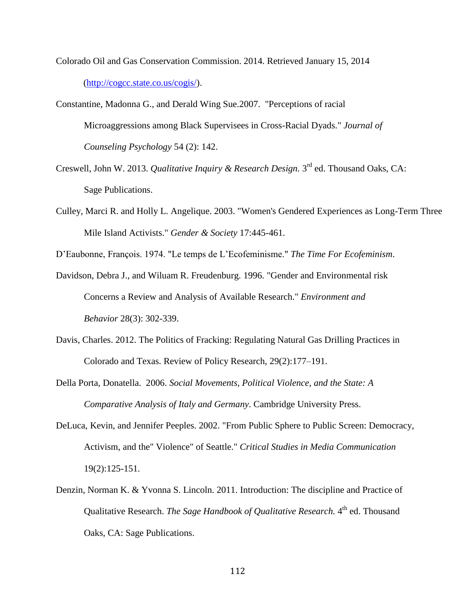Colorado Oil and Gas Conservation Commission. 2014. Retrieved January 15, 2014 [\(http://cogcc.state.co.us/cogis/\)](http://cogcc.state.co.us/cogis/).

Constantine, Madonna G., and Derald Wing Sue.2007. "Perceptions of racial Microaggressions among Black Supervisees in Cross-Racial Dyads." *Journal of Counseling Psychology* 54 (2): 142.

- Creswell, John W. 2013. *Qualitative Inquiry & Research Design*. 3<sup>rd</sup> ed. Thousand Oaks, CA: Sage Publications.
- Culley, Marci R. and Holly L. Angelique. 2003. "Women's Gendered Experiences as Long-Term Three Mile Island Activists." *Gender & Society* 17:445-461.

D'Eaubonne, François. 1974. "Le temps de L'Ecofeminisme." *The Time For Ecofeminism*.

- Davidson, Debra J., and Wiluam R. Freudenburg. 1996. "Gender and Environmental risk Concerns a Review and Analysis of Available Research." *Environment and Behavior* 28(3): 302-339.
- Davis, Charles. 2012. The Politics of Fracking: Regulating Natural Gas Drilling Practices in Colorado and Texas. Review of Policy Research, 29(2):177–191.
- Della Porta, Donatella. 2006. *Social Movements, Political Violence, and the State: A Comparative Analysis of Italy and Germany*. Cambridge University Press.
- DeLuca, Kevin, and Jennifer Peeples. 2002. "From Public Sphere to Public Screen: Democracy, Activism, and the" Violence" of Seattle." *Critical Studies in Media Communication* 19(2):125-151.
- Denzin, Norman K. & Yvonna S. Lincoln. 2011. Introduction: The discipline and Practice of Qualitative Research. *The Sage Handbook of Qualitative Research*. 4<sup>th</sup> ed. Thousand Oaks, CA: Sage Publications.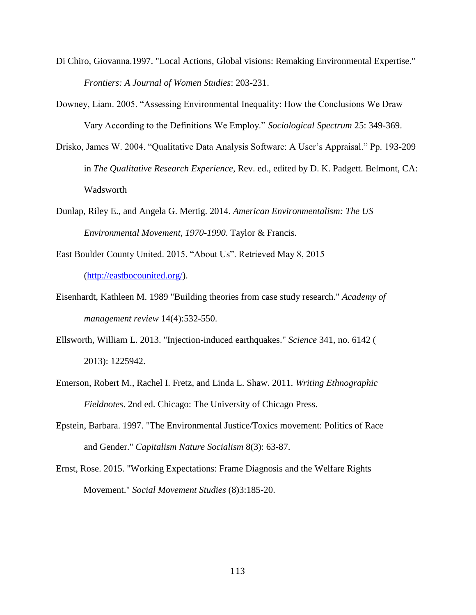- Di Chiro, Giovanna.1997. "Local Actions, Global visions: Remaking Environmental Expertise." *Frontiers: A Journal of Women Studies*: 203-231.
- Downey, Liam. 2005. "Assessing Environmental Inequality: How the Conclusions We Draw Vary According to the Definitions We Employ." *Sociological Spectrum* 25: 349-369.
- Drisko, James W. 2004. "Qualitative Data Analysis Software: A User's Appraisal." Pp. 193-209 in *The Qualitative Research Experience*, Rev. ed., edited by D. K. Padgett. Belmont, CA: Wadsworth
- Dunlap, Riley E., and Angela G. Mertig. 2014. *American Environmentalism: The US Environmental Movement, 1970-1990*. Taylor & Francis.
- East Boulder County United. 2015. "About Us". Retrieved May 8, 2015 [\(http://eastbocounited.org/\)](http://eastbocounited.org/).
- Eisenhardt, Kathleen M. 1989 "Building theories from case study research." *Academy of management review* 14(4):532-550.
- Ellsworth, William L. 2013. "Injection-induced earthquakes." *Science* 341, no. 6142 ( 2013): 1225942.
- Emerson, Robert M., Rachel I. Fretz, and Linda L. Shaw. 2011. *Writing Ethnographic Fieldnotes*. 2nd ed. Chicago: The University of Chicago Press.
- Epstein, Barbara. 1997. "The Environmental Justice/Toxics movement: Politics of Race and Gender." *Capitalism Nature Socialism* 8(3): 63-87.
- Ernst, Rose. 2015. "Working Expectations: Frame Diagnosis and the Welfare Rights Movement." *Social Movement Studies* (8)3:185-20.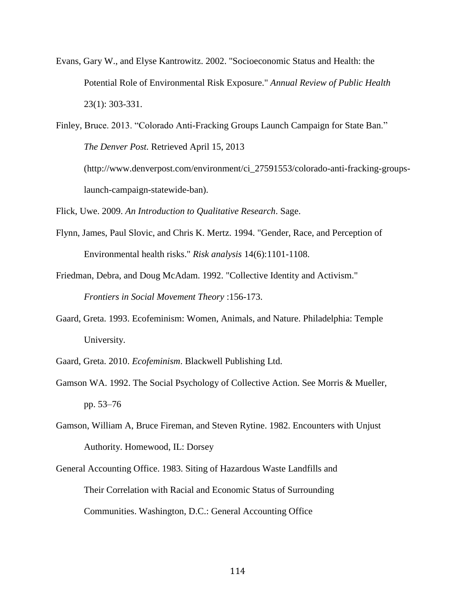Evans, Gary W., and Elyse Kantrowitz. 2002. "Socioeconomic Status and Health: the Potential Role of Environmental Risk Exposure." *Annual Review of Public Health* 23(1): 303-331.

Finley, Bruce. 2013. "Colorado Anti-Fracking Groups Launch Campaign for State Ban." *The Denver Post.* Retrieved April 15, 2013 (http://www.denverpost.com/environment/ci\_27591553/colorado-anti-fracking-groupslaunch-campaign-statewide-ban).

Flick, Uwe. 2009. *An Introduction to Qualitative Research*. Sage.

- Flynn, James, Paul Slovic, and Chris K. Mertz. 1994. "Gender, Race, and Perception of Environmental health risks." *Risk analysis* 14(6):1101-1108.
- Friedman, Debra, and Doug McAdam. 1992. "Collective Identity and Activism." *Frontiers in Social Movement Theory* :156-173.
- Gaard, Greta. 1993. Ecofeminism: Women, Animals, and Nature. Philadelphia: Temple University.
- Gaard, Greta. 2010. *Ecofeminism*. Blackwell Publishing Ltd.
- Gamson WA. 1992. The Social Psychology of Collective Action. See Morris & Mueller, pp. 53–76
- Gamson, William A, Bruce Fireman, and Steven Rytine. 1982. Encounters with Unjust Authority. Homewood, IL: Dorsey
- General Accounting Office. 1983. Siting of Hazardous Waste Landfills and Their Correlation with Racial and Economic Status of Surrounding Communities. Washington, D.C.: General Accounting Office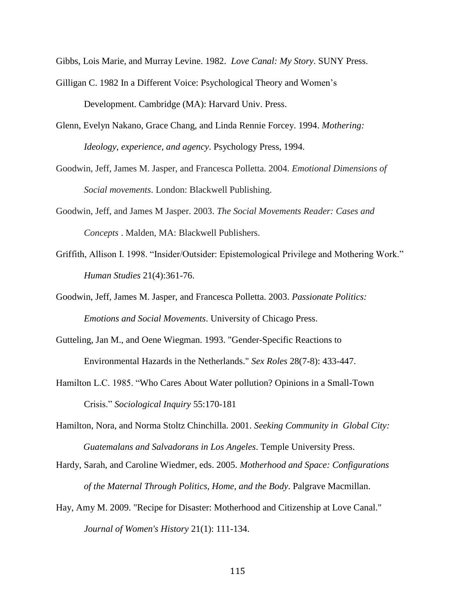Gibbs, Lois Marie, and Murray Levine. 1982. *Love Canal: My Story*. SUNY Press.

- Gilligan C. 1982 In a Different Voice: Psychological Theory and Women's Development. Cambridge (MA): Harvard Univ. Press.
- Glenn, Evelyn Nakano, Grace Chang, and Linda Rennie Forcey. 1994. *Mothering: Ideology, experience, and agency*. Psychology Press, 1994.
- Goodwin, Jeff, James M. Jasper, and Francesca Polletta. 2004. *Emotional Dimensions of Social movements*. London: Blackwell Publishing.
- Goodwin, Jeff, and James M Jasper. 2003. *The Social Movements Reader: Cases and Concepts* . Malden, MA: Blackwell Publishers.
- Griffith, Allison I. 1998. "Insider/Outsider: Epistemological Privilege and Mothering Work." *Human Studies* 21(4):361-76.
- Goodwin, Jeff, James M. Jasper, and Francesca Polletta. 2003. *Passionate Politics: Emotions and Social Movements*. University of Chicago Press.
- Gutteling, Jan M., and Oene Wiegman. 1993. "Gender-Specific Reactions to Environmental Hazards in the Netherlands." *Sex Roles* 28(7-8): 433-447.
- Hamilton L.C. 1985. "Who Cares About Water pollution? Opinions in a Small-Town Crisis." *Sociological Inquiry* 55:170-181
- Hamilton, Nora, and Norma Stoltz Chinchilla. 2001. *Seeking Community in Global City: Guatemalans and Salvadorans in Los Angeles*. Temple University Press.
- Hardy, Sarah, and Caroline Wiedmer, eds. 2005. *Motherhood and Space: Configurations of the Maternal Through Politics, Home, and the Body*. Palgrave Macmillan.
- Hay, Amy M. 2009. "Recipe for Disaster: Motherhood and Citizenship at Love Canal." *Journal of Women's History* 21(1): 111-134.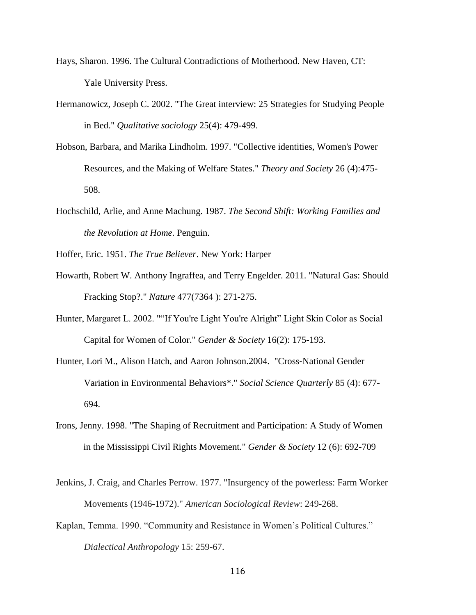- Hays, Sharon. 1996. The Cultural Contradictions of Motherhood. New Haven, CT: Yale University Press.
- Hermanowicz, Joseph C. 2002. "The Great interview: 25 Strategies for Studying People in Bed." *Qualitative sociology* 25(4): 479-499.
- Hobson, Barbara, and Marika Lindholm. 1997. "Collective identities, Women's Power Resources, and the Making of Welfare States." *Theory and Society* 26 (4):475- 508.
- Hochschild, Arlie, and Anne Machung. 1987. *The Second Shift: Working Families and the Revolution at Home*. Penguin.

Hoffer, Eric. 1951. *The True Believer*. New York: Harper

- Howarth, Robert W. Anthony Ingraffea, and Terry Engelder. 2011. "Natural Gas: Should Fracking Stop?." *Nature* 477(7364 ): 271-275.
- Hunter, Margaret L. 2002. ""If You're Light You're Alright" Light Skin Color as Social Capital for Women of Color." *Gender & Society* 16(2): 175-193.
- Hunter, Lori M., Alison Hatch, and Aaron Johnson.2004. "Cross‐National Gender Variation in Environmental Behaviors\*." *Social Science Quarterly* 85 (4): 677- 694.
- Irons, Jenny. 1998. "The Shaping of Recruitment and Participation: A Study of Women in the Mississippi Civil Rights Movement." *Gender & Society* 12 (6): 692-709
- Jenkins, J. Craig, and Charles Perrow. 1977. "Insurgency of the powerless: Farm Worker Movements (1946-1972)." *American Sociological Review*: 249-268.
- Kaplan, Temma. 1990. "Community and Resistance in Women's Political Cultures." *Dialectical Anthropology* 15: 259-67.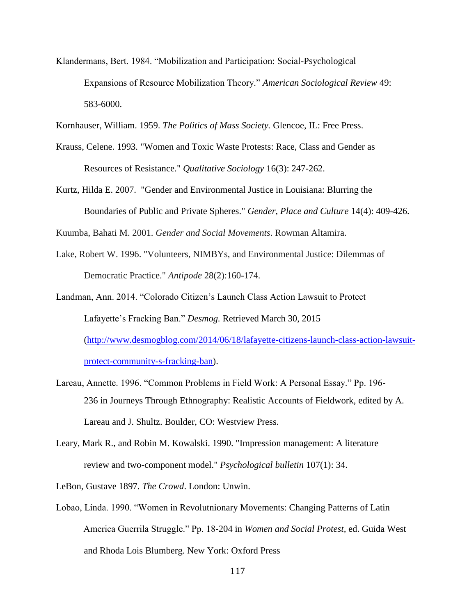Klandermans, Bert. 1984. "Mobilization and Participation: Social-Psychological Expansions of Resource Mobilization Theory." *American Sociological Review* 49: 583-6000.

Kornhauser, William. 1959. *The Politics of Mass Society.* Glencoe, IL: Free Press.

- Krauss, Celene. 1993. "Women and Toxic Waste Protests: Race, Class and Gender as Resources of Resistance." *Qualitative Sociology* 16(3): 247-262.
- Kurtz, Hilda E. 2007. "Gender and Environmental Justice in Louisiana: Blurring the Boundaries of Public and Private Spheres." *Gender, Place and Culture* 14(4): 409-426.

Kuumba, Bahati M. 2001. *Gender and Social Movements*. Rowman Altamira.

- Lake, Robert W. 1996. "Volunteers, NIMBYs, and Environmental Justice: Dilemmas of Democratic Practice." *Antipode* 28(2):160-174.
- Landman, Ann. 2014. "Colorado Citizen's Launch Class Action Lawsuit to Protect Lafayette's Fracking Ban." *Desmog.* Retrieved March 30, 2015 [\(http://www.desmogblog.com/2014/06/18/lafayette-citizens-launch-class-action-lawsuit](http://www.desmogblog.com/2014/06/18/lafayette-citizens-launch-class-action-lawsuit-protect-community-s-fracking-ban)[protect-community-s-fracking-ban\)](http://www.desmogblog.com/2014/06/18/lafayette-citizens-launch-class-action-lawsuit-protect-community-s-fracking-ban).
- Lareau, Annette. 1996. "Common Problems in Field Work: A Personal Essay." Pp. 196- 236 in Journeys Through Ethnography: Realistic Accounts of Fieldwork, edited by A. Lareau and J. Shultz. Boulder, CO: Westview Press.
- Leary, Mark R., and Robin M. Kowalski. 1990. "Impression management: A literature review and two-component model." *Psychological bulletin* 107(1): 34.

LeBon, Gustave 1897. *The Crowd*. London: Unwin.

Lobao, Linda. 1990. "Women in Revolutnionary Movements: Changing Patterns of Latin America Guerrila Struggle." Pp. 18-204 in *Women and Social Protest,* ed. Guida West and Rhoda Lois Blumberg. New York: Oxford Press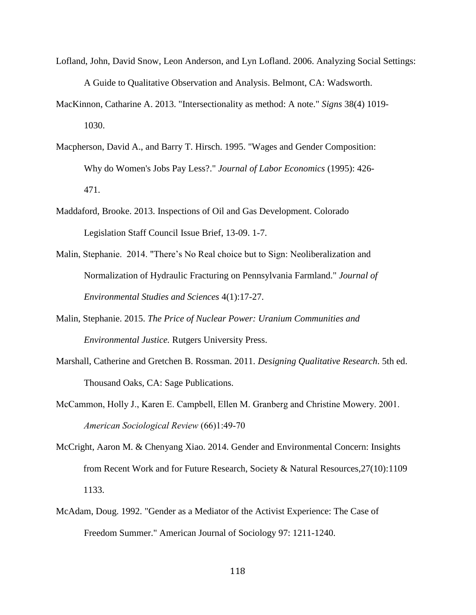- Lofland, John, David Snow, Leon Anderson, and Lyn Lofland. 2006. Analyzing Social Settings: A Guide to Qualitative Observation and Analysis. Belmont, CA: Wadsworth.
- MacKinnon, Catharine A. 2013. "Intersectionality as method: A note." *Signs* 38(4) 1019- 1030.
- Macpherson, David A., and Barry T. Hirsch. 1995. "Wages and Gender Composition: Why do Women's Jobs Pay Less?." *Journal of Labor Economics* (1995): 426- 471.
- Maddaford, Brooke. 2013. Inspections of Oil and Gas Development. Colorado Legislation Staff Council Issue Brief, 13-09. 1-7.
- Malin, Stephanie. 2014. "There's No Real choice but to Sign: Neoliberalization and Normalization of Hydraulic Fracturing on Pennsylvania Farmland." *Journal of Environmental Studies and Sciences* 4(1):17-27.
- Malin, Stephanie. 2015. *The Price of Nuclear Power: Uranium Communities and Environmental Justice.* Rutgers University Press.
- Marshall, Catherine and Gretchen B. Rossman. 2011. *Designing Qualitative Research*. 5th ed. Thousand Oaks, CA: Sage Publications.
- McCammon, Holly J., Karen E. Campbell, Ellen M. Granberg and Christine Mowery. 2001. *American Sociological Review* (66)1:49-70
- McCright, Aaron M. & Chenyang Xiao. 2014. Gender and Environmental Concern: Insights from Recent Work and for Future Research, Society & Natural Resources,27(10):1109 1133.
- McAdam, Doug. 1992. "Gender as a Mediator of the Activist Experience: The Case of Freedom Summer." American Journal of Sociology 97: 1211-1240.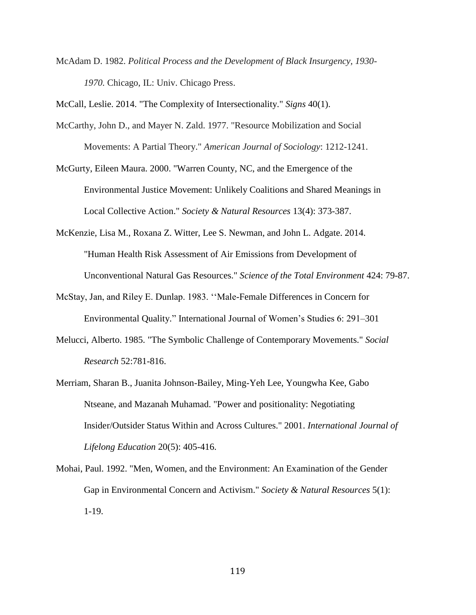McAdam D. 1982. *Political Process and the Development of Black Insurgency, 1930- 1970.* Chicago, IL: Univ. Chicago Press.

McCall, Leslie. 2014. "The Complexity of Intersectionality." *Signs* 40(1).

- McCarthy, John D., and Mayer N. Zald. 1977. "Resource Mobilization and Social Movements: A Partial Theory." *American Journal of Sociology*: 1212-1241.
- McGurty, Eileen Maura. 2000. "Warren County, NC, and the Emergence of the Environmental Justice Movement: Unlikely Coalitions and Shared Meanings in Local Collective Action." *Society & Natural Resources* 13(4): 373-387.
- McKenzie, Lisa M., Roxana Z. Witter, Lee S. Newman, and John L. Adgate. 2014. "Human Health Risk Assessment of Air Emissions from Development of Unconventional Natural Gas Resources." *Science of the Total Environment* 424: 79-87.
- McStay, Jan, and Riley E. Dunlap. 1983. ''Male-Female Differences in Concern for Environmental Quality." International Journal of Women's Studies 6: 291–301
- Melucci, Alberto. 1985. "The Symbolic Challenge of Contemporary Movements." *Social Research* 52:781-816.
- Merriam, Sharan B., Juanita Johnson-Bailey, Ming-Yeh Lee, Youngwha Kee, Gabo Ntseane, and Mazanah Muhamad. "Power and positionality: Negotiating Insider/Outsider Status Within and Across Cultures." 2001. *International Journal of Lifelong Education* 20(5): 405-416.
- Mohai, Paul. 1992. "Men, Women, and the Environment: An Examination of the Gender Gap in Environmental Concern and Activism." *Society & Natural Resources* 5(1): 1-19.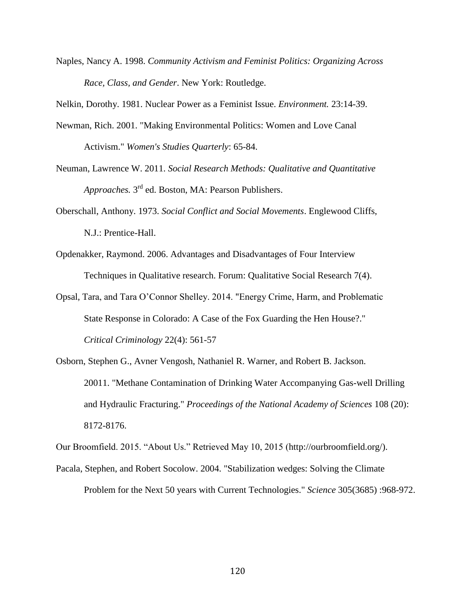Naples, Nancy A. 1998. *Community Activism and Feminist Politics: Organizing Across Race, Class, and Gender*. New York: Routledge.

Nelkin, Dorothy. 1981. Nuclear Power as a Feminist Issue. *Environment.* 23:14-39.

- Newman, Rich. 2001. "Making Environmental Politics: Women and Love Canal Activism." *Women's Studies Quarterly*: 65-84.
- Neuman, Lawrence W. 2011. *Social Research Methods: Qualitative and Quantitative*  Approaches. 3<sup>rd</sup> ed. Boston, MA: Pearson Publishers.
- Oberschall, Anthony. 1973. *Social Conflict and Social Movements*. Englewood Cliffs, N.J.: Prentice-Hall.
- Opdenakker, Raymond. 2006. Advantages and Disadvantages of Four Interview Techniques in Qualitative research. Forum: Qualitative Social Research 7(4).
- Opsal, Tara, and Tara O'Connor Shelley. 2014. "Energy Crime, Harm, and Problematic State Response in Colorado: A Case of the Fox Guarding the Hen House?." *Critical Criminology* 22(4): 561-57
- Osborn, Stephen G., Avner Vengosh, Nathaniel R. Warner, and Robert B. Jackson. 20011. "Methane Contamination of Drinking Water Accompanying Gas-well Drilling and Hydraulic Fracturing." *Proceedings of the National Academy of Sciences* 108 (20): 8172-8176.

Our Broomfield. 2015. "About Us." Retrieved May 10, 2015 (http://ourbroomfield.org/).

Pacala, Stephen, and Robert Socolow. 2004. "Stabilization wedges: Solving the Climate Problem for the Next 50 years with Current Technologies." *Science* 305(3685) :968-972.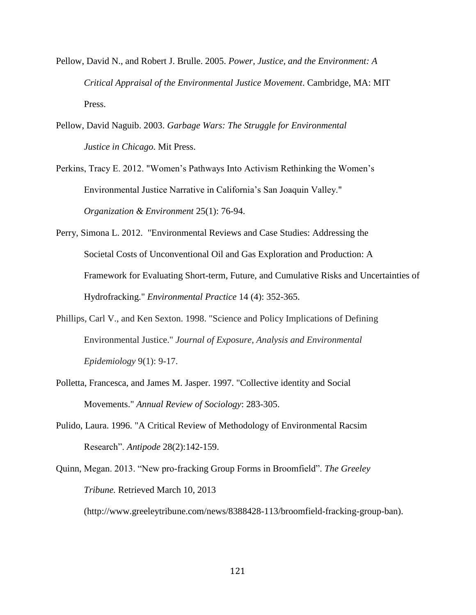- Pellow, David N., and Robert J. Brulle. 2005. *Power, Justice, and the Environment: A Critical Appraisal of the Environmental Justice Movement*. Cambridge, MA: MIT Press.
- Pellow, David Naguib. 2003. *Garbage Wars: The Struggle for Environmental Justice in Chicago*. Mit Press.
- Perkins, Tracy E. 2012. "Women's Pathways Into Activism Rethinking the Women's Environmental Justice Narrative in California's San Joaquin Valley." *Organization & Environment* 25(1): 76-94.
- Perry, Simona L. 2012. "Environmental Reviews and Case Studies: Addressing the Societal Costs of Unconventional Oil and Gas Exploration and Production: A Framework for Evaluating Short-term, Future, and Cumulative Risks and Uncertainties of Hydrofracking." *Environmental Practice* 14 (4): 352-365.
- Phillips, Carl V., and Ken Sexton. 1998. "Science and Policy Implications of Defining Environmental Justice." *Journal of Exposure, Analysis and Environmental Epidemiology* 9(1): 9-17.
- Polletta, Francesca, and James M. Jasper. 1997. "Collective identity and Social Movements." *Annual Review of Sociology*: 283-305.
- Pulido, Laura. 1996. "A Critical Review of Methodology of Environmental Racsim Research". *Antipode* 28(2):142-159.
- Quinn, Megan. 2013. "New pro-fracking Group Forms in Broomfield". *The Greeley Tribune.* Retrieved March 10, 2013 (http://www.greeleytribune.com/news/8388428-113/broomfield-fracking-group-ban).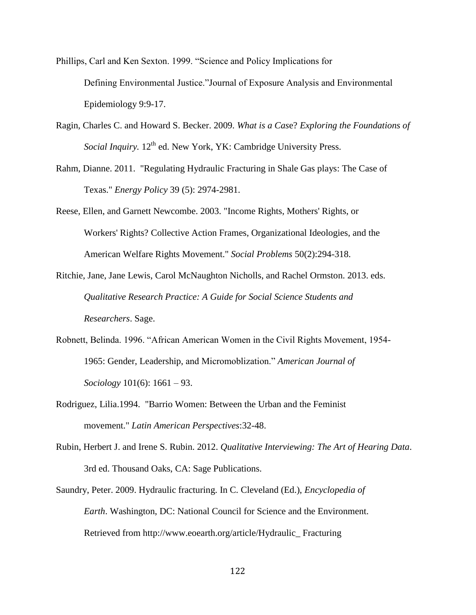Phillips, Carl and Ken Sexton. 1999. "Science and Policy Implications for Defining Environmental Justice."Journal of Exposure Analysis and Environmental Epidemiology 9:9-17.

- Ragin, Charles C. and Howard S. Becker. 2009. *What is a Cas*e? *Exploring the Foundations of*  Social Inquiry. 12<sup>th</sup> ed. New York, YK: Cambridge University Press.
- Rahm, Dianne. 2011. "Regulating Hydraulic Fracturing in Shale Gas plays: The Case of Texas." *Energy Policy* 39 (5): 2974-2981.
- Reese, Ellen, and Garnett Newcombe. 2003. "Income Rights, Mothers' Rights, or Workers' Rights? Collective Action Frames, Organizational Ideologies, and the American Welfare Rights Movement." *Social Problems* 50(2):294-318.
- Ritchie, Jane, Jane Lewis, Carol McNaughton Nicholls, and Rachel Ormston. 2013. eds. *Qualitative Research Practice: A Guide for Social Science Students and Researchers*. Sage.
- Robnett, Belinda. 1996. "African American Women in the Civil Rights Movement, 1954- 1965: Gender, Leadership, and Micromoblization." *American Journal of Sociology* 101(6): 1661 – 93.
- Rodriguez, Lilia.1994. "Barrio Women: Between the Urban and the Feminist movement." *Latin American Perspectives*:32-48.
- Rubin, Herbert J. and Irene S. Rubin. 2012. *Qualitative Interviewing: The Art of Hearing Data*. 3rd ed. Thousand Oaks, CA: Sage Publications.
- Saundry, Peter. 2009. Hydraulic fracturing. In C. Cleveland (Ed.), *Encyclopedia of Earth*. Washington, DC: National Council for Science and the Environment. Retrieved from http://www.eoearth.org/article/Hydraulic\_ Fracturing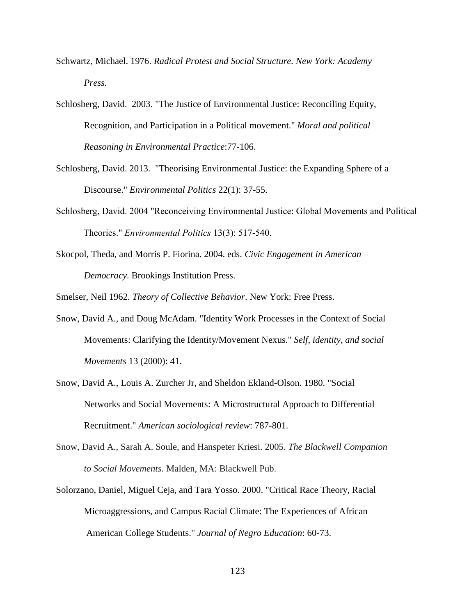- Schwartz, Michael. 1976. *Radical Protest and Social Structure. New York: Academy Press.*
- Schlosberg, David. 2003. "The Justice of Environmental Justice: Reconciling Equity, Recognition, and Participation in a Political movement." *Moral and political Reasoning in Environmental Practice*:77-106.
- Schlosberg, David. 2013. "Theorising Environmental Justice: the Expanding Sphere of a Discourse." *Environmental Politics* 22(1): 37-55.
- Schlosberg, David. 2004 "Reconceiving Environmental Justice: Global Movements and Political Theories." *Environmental Politics* 13(3): 517-540.
- Skocpol, Theda, and Morris P. Fiorina. 2004. eds. *Civic Engagement in American Democracy*. Brookings Institution Press.

Smelser, Neil 1962. *Theory of Collective Behavior*. New York: Free Press.

- Snow, David A., and Doug McAdam. "Identity Work Processes in the Context of Social Movements: Clarifying the Identity/Movement Nexus." *Self, identity, and social Movements* 13 (2000): 41.
- Snow, David A., Louis A. Zurcher Jr, and Sheldon Ekland-Olson. 1980. "Social Networks and Social Movements: A Microstructural Approach to Differential Recruitment." *American sociological review*: 787-801.
- Snow, David A., Sarah A. Soule, and Hanspeter Kriesi. 2005. *The Blackwell Companion to Social Movements*. Malden, MA: Blackwell Pub.
- Solorzano, Daniel, Miguel Ceja, and Tara Yosso. 2000. "Critical Race Theory, Racial Microaggressions, and Campus Racial Climate: The Experiences of African American College Students." *Journal of Negro Education*: 60-73.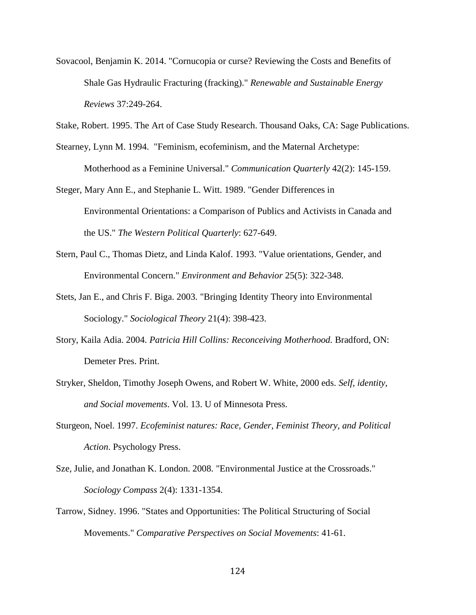- Sovacool, Benjamin K. 2014. "Cornucopia or curse? Reviewing the Costs and Benefits of Shale Gas Hydraulic Fracturing (fracking)." *Renewable and Sustainable Energy Reviews* 37:249-264.
- Stake, Robert. 1995. The Art of Case Study Research. Thousand Oaks, CA: Sage Publications.
- Stearney, Lynn M. 1994. "Feminism, ecofeminism, and the Maternal Archetype: Motherhood as a Feminine Universal." *Communication Quarterly* 42(2): 145-159.
- Steger, Mary Ann E., and Stephanie L. Witt. 1989. "Gender Differences in Environmental Orientations: a Comparison of Publics and Activists in Canada and the US." *The Western Political Quarterly*: 627-649.
- Stern, Paul C., Thomas Dietz, and Linda Kalof. 1993. "Value orientations, Gender, and Environmental Concern." *Environment and Behavior* 25(5): 322-348.
- Stets, Jan E., and Chris F. Biga. 2003. "Bringing Identity Theory into Environmental Sociology." *Sociological Theory* 21(4): 398-423.
- Story, Kaila Adia. 2004. *Patricia Hill Collins: Reconceiving Motherhood.* Bradford, ON: Demeter Pres. Print.
- Stryker, Sheldon, Timothy Joseph Owens, and Robert W. White, 2000 eds. *Self, identity, and Social movements*. Vol. 13. U of Minnesota Press.
- Sturgeon, Noel. 1997. *Ecofeminist natures: Race, Gender, Feminist Theory, and Political Action*. Psychology Press.
- Sze, Julie, and Jonathan K. London. 2008. "Environmental Justice at the Crossroads." *Sociology Compass* 2(4): 1331-1354.
- Tarrow, Sidney. 1996. "States and Opportunities: The Political Structuring of Social Movements." *Comparative Perspectives on Social Movements*: 41-61.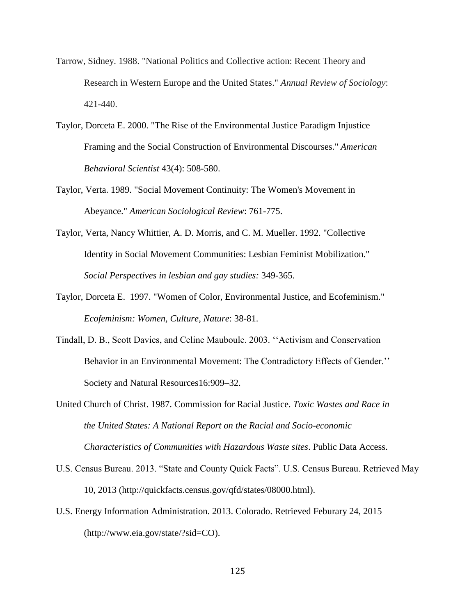- Tarrow, Sidney. 1988. "National Politics and Collective action: Recent Theory and Research in Western Europe and the United States." *Annual Review of Sociology*: 421-440.
- Taylor, Dorceta E. 2000. "The Rise of the Environmental Justice Paradigm Injustice Framing and the Social Construction of Environmental Discourses." *American Behavioral Scientist* 43(4): 508-580.
- Taylor, Verta. 1989. "Social Movement Continuity: The Women's Movement in Abeyance." *American Sociological Review*: 761-775.
- Taylor, Verta, Nancy Whittier, A. D. Morris, and C. M. Mueller. 1992. "Collective Identity in Social Movement Communities: Lesbian Feminist Mobilization." *Social Perspectives in lesbian and gay studies:* 349-365.
- Taylor, Dorceta E. 1997. "Women of Color, Environmental Justice, and Ecofeminism." *Ecofeminism: Women, Culture, Nature*: 38-81.
- Tindall, D. B., Scott Davies, and Celine Mauboule. 2003. ''Activism and Conservation Behavior in an Environmental Movement: The Contradictory Effects of Gender.'' Society and Natural Resources16:909–32.
- United Church of Christ. 1987. Commission for Racial Justice. *Toxic Wastes and Race in the United States: A National Report on the Racial and Socio-economic Characteristics of Communities with Hazardous Waste sites*. Public Data Access.
- U.S. Census Bureau. 2013. "State and County Quick Facts". U.S. Census Bureau. Retrieved May 10, 2013 (http://quickfacts.census.gov/qfd/states/08000.html).
- U.S. Energy Information Administration. 2013. Colorado. Retrieved Feburary 24, 2015 (http://www.eia.gov/state/?sid=CO).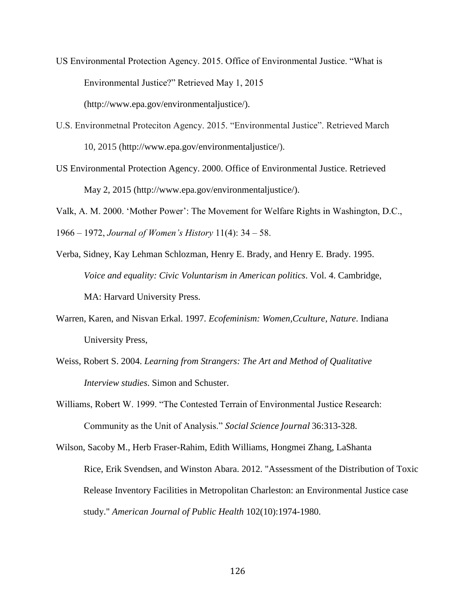- US Environmental Protection Agency. 2015. Office of Environmental Justice. "What is Environmental Justice?" Retrieved May 1, 2015 (http://www.epa.gov/environmentaljustice/).
- U.S. Environmetnal Proteciton Agency. 2015. "Environmental Justice". Retrieved March 10, 2015 (http://www.epa.gov/environmentaljustice/).
- US Environmental Protection Agency. 2000. Office of Environmental Justice. Retrieved May 2, 2015 (http://www.epa.gov/environmentaljustice/).
- Valk, A. M. 2000. 'Mother Power': The Movement for Welfare Rights in Washington, D.C.,

1966 – 1972, *Journal of Women's History* 11(4): 34 – 58.

- Verba, Sidney, Kay Lehman Schlozman, Henry E. Brady, and Henry E. Brady. 1995. *Voice and equality: Civic Voluntarism in American politics*. Vol. 4. Cambridge, MA: Harvard University Press.
- Warren, Karen, and Nisvan Erkal. 1997. *Ecofeminism: Women,Cculture, Nature*. Indiana University Press,
- Weiss, Robert S. 2004. *Learning from Strangers: The Art and Method of Qualitative Interview studies*. Simon and Schuster.
- Williams, Robert W. 1999. "The Contested Terrain of Environmental Justice Research: Community as the Unit of Analysis." *Social Science Journal* 36:313-328.
- Wilson, Sacoby M., Herb Fraser-Rahim, Edith Williams, Hongmei Zhang, LaShanta Rice, Erik Svendsen, and Winston Abara. 2012. "Assessment of the Distribution of Toxic Release Inventory Facilities in Metropolitan Charleston: an Environmental Justice case study." *American Journal of Public Health* 102(10):1974-1980.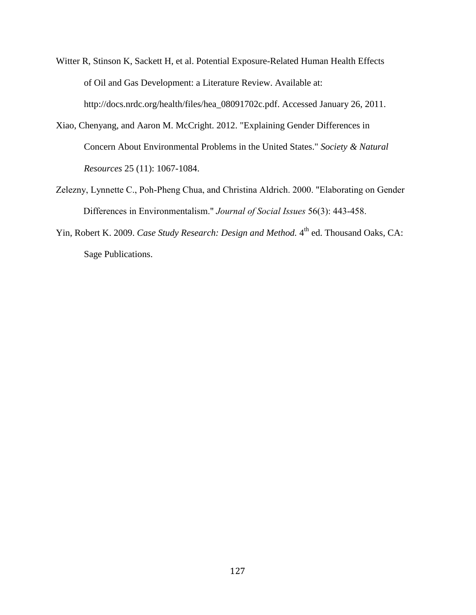- Witter R, Stinson K, Sackett H, et al. Potential Exposure-Related Human Health Effects of Oil and Gas Development: a Literature Review. Available at: http://docs.nrdc.org/health/files/hea\_08091702c.pdf. Accessed January 26, 2011.
- Xiao, Chenyang, and Aaron M. McCright. 2012. "Explaining Gender Differences in Concern About Environmental Problems in the United States." *Society & Natural Resources* 25 (11): 1067-1084.
- Zelezny, Lynnette C., Poh-Pheng Chua, and Christina Aldrich. 2000. "Elaborating on Gender Differences in Environmentalism." *Journal of Social Issues* 56(3): 443-458.
- Yin, Robert K. 2009. *Case Study Research: Design and Method*. 4<sup>th</sup> ed. Thousand Oaks, CA: Sage Publications.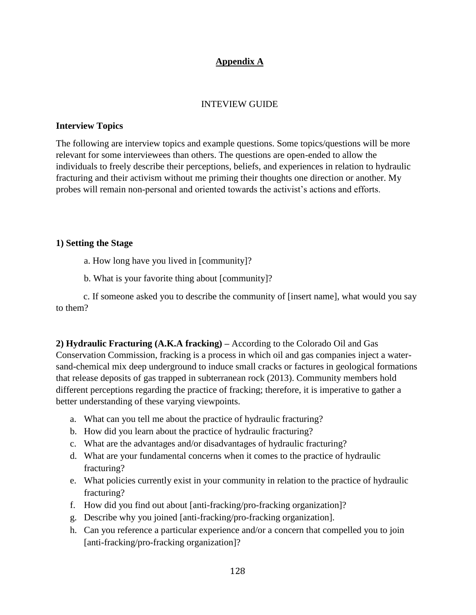# **Appendix A**

### INTEVIEW GUIDE

### **Interview Topics**

The following are interview topics and example questions. Some topics/questions will be more relevant for some interviewees than others. The questions are open-ended to allow the individuals to freely describe their perceptions, beliefs, and experiences in relation to hydraulic fracturing and their activism without me priming their thoughts one direction or another. My probes will remain non-personal and oriented towards the activist's actions and efforts.

### **1) Setting the Stage**

- a. How long have you lived in [community]?
- b. What is your favorite thing about [community]?

 c. If someone asked you to describe the community of [insert name], what would you say to them?

**2) Hydraulic Fracturing (A.K.A fracking) –** According to the Colorado Oil and Gas Conservation Commission, fracking is a process in which oil and gas companies inject a watersand-chemical mix deep underground to induce small cracks or factures in geological formations that release deposits of gas trapped in subterranean rock (2013). Community members hold different perceptions regarding the practice of fracking; therefore, it is imperative to gather a better understanding of these varying viewpoints.

- a. What can you tell me about the practice of hydraulic fracturing?
- b. How did you learn about the practice of hydraulic fracturing?
- c. What are the advantages and/or disadvantages of hydraulic fracturing?
- d. What are your fundamental concerns when it comes to the practice of hydraulic fracturing?
- e. What policies currently exist in your community in relation to the practice of hydraulic fracturing?
- f. How did you find out about [anti-fracking/pro-fracking organization]?
- g. Describe why you joined [anti-fracking/pro-fracking organization].
- h. Can you reference a particular experience and/or a concern that compelled you to join [anti-fracking/pro-fracking organization]?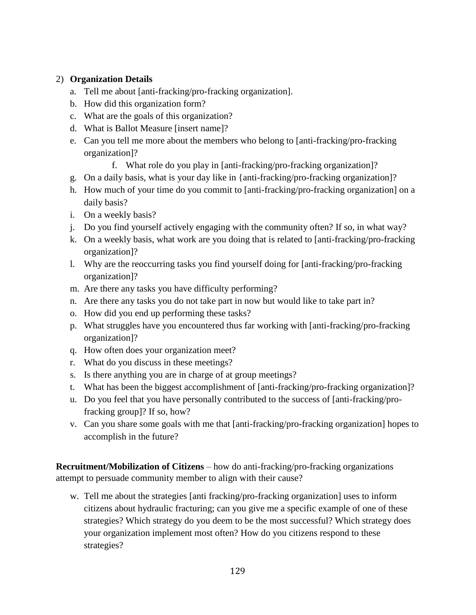# 2) **Organization Details**

- a. Tell me about [anti-fracking/pro-fracking organization].
- b. How did this organization form?
- c. What are the goals of this organization?
- d. What is Ballot Measure [insert name]?
- e. Can you tell me more about the members who belong to [anti-fracking/pro-fracking organization]?
	- f. What role do you play in [anti-fracking/pro-fracking organization]?
- g. On a daily basis, what is your day like in {anti-fracking/pro-fracking organization]?
- h. How much of your time do you commit to [anti-fracking/pro-fracking organization] on a daily basis?
- i. On a weekly basis?
- j. Do you find yourself actively engaging with the community often? If so, in what way?
- k. On a weekly basis, what work are you doing that is related to [anti-fracking/pro-fracking organization]?
- l. Why are the reoccurring tasks you find yourself doing for [anti-fracking/pro-fracking organization]?
- m. Are there any tasks you have difficulty performing?
- n. Are there any tasks you do not take part in now but would like to take part in?
- o. How did you end up performing these tasks?
- p. What struggles have you encountered thus far working with [anti-fracking/pro-fracking organization]?
- q. How often does your organization meet?
- r. What do you discuss in these meetings?
- s. Is there anything you are in charge of at group meetings?
- t. What has been the biggest accomplishment of [anti-fracking/pro-fracking organization]?
- u. Do you feel that you have personally contributed to the success of [anti-fracking/profracking group]? If so, how?
- v. Can you share some goals with me that [anti-fracking/pro-fracking organization] hopes to accomplish in the future?

**Recruitment/Mobilization of Citizens** – how do anti-fracking/pro-fracking organizations attempt to persuade community member to align with their cause?

w. Tell me about the strategies [anti fracking/pro-fracking organization] uses to inform citizens about hydraulic fracturing; can you give me a specific example of one of these strategies? Which strategy do you deem to be the most successful? Which strategy does your organization implement most often? How do you citizens respond to these strategies?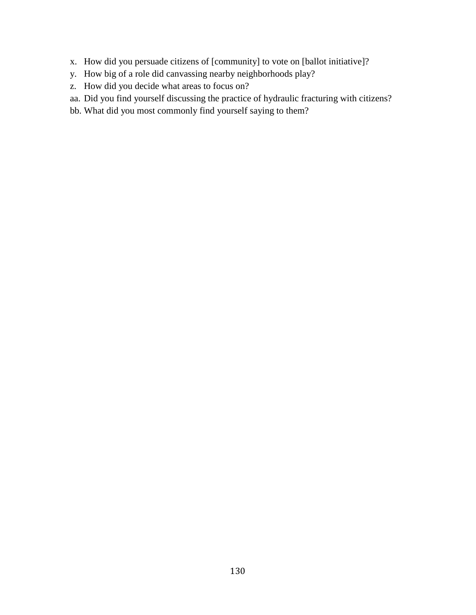- x. How did you persuade citizens of [community] to vote on [ballot initiative]?
- y. How big of a role did canvassing nearby neighborhoods play?
- z. How did you decide what areas to focus on?
- aa. Did you find yourself discussing the practice of hydraulic fracturing with citizens?
- bb. What did you most commonly find yourself saying to them?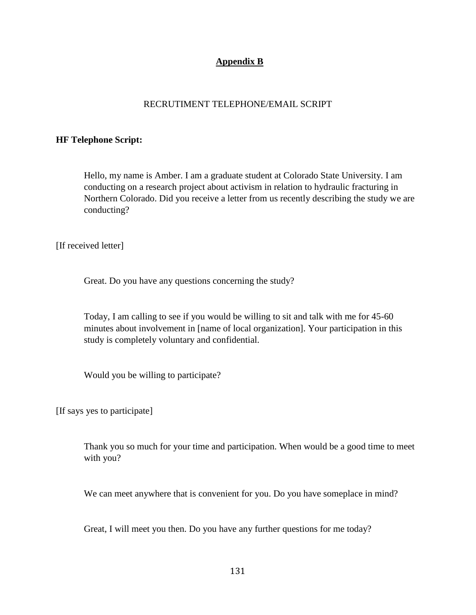## **Appendix B**

### RECRUTIMENT TELEPHONE/EMAIL SCRIPT

#### **HF Telephone Script:**

Hello, my name is Amber. I am a graduate student at Colorado State University. I am conducting on a research project about activism in relation to hydraulic fracturing in Northern Colorado. Did you receive a letter from us recently describing the study we are conducting?

[If received letter]

Great. Do you have any questions concerning the study?

Today, I am calling to see if you would be willing to sit and talk with me for 45-60 minutes about involvement in [name of local organization]. Your participation in this study is completely voluntary and confidential.

Would you be willing to participate?

[If says yes to participate]

Thank you so much for your time and participation. When would be a good time to meet with you?

We can meet anywhere that is convenient for you. Do you have someplace in mind?

Great, I will meet you then. Do you have any further questions for me today?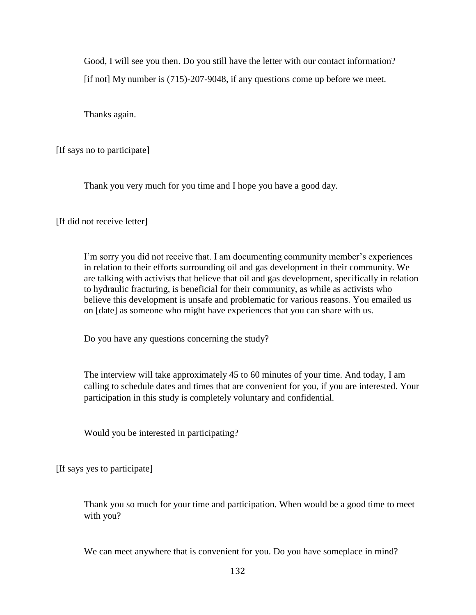Good, I will see you then. Do you still have the letter with our contact information? [if not] My number is (715)-207-9048, if any questions come up before we meet.

Thanks again.

[If says no to participate]

Thank you very much for you time and I hope you have a good day.

[If did not receive letter]

I'm sorry you did not receive that. I am documenting community member's experiences in relation to their efforts surrounding oil and gas development in their community. We are talking with activists that believe that oil and gas development, specifically in relation to hydraulic fracturing, is beneficial for their community, as while as activists who believe this development is unsafe and problematic for various reasons. You emailed us on [date] as someone who might have experiences that you can share with us.

Do you have any questions concerning the study?

The interview will take approximately 45 to 60 minutes of your time. And today, I am calling to schedule dates and times that are convenient for you, if you are interested. Your participation in this study is completely voluntary and confidential.

Would you be interested in participating?

[If says yes to participate]

Thank you so much for your time and participation. When would be a good time to meet with you?

We can meet anywhere that is convenient for you. Do you have someplace in mind?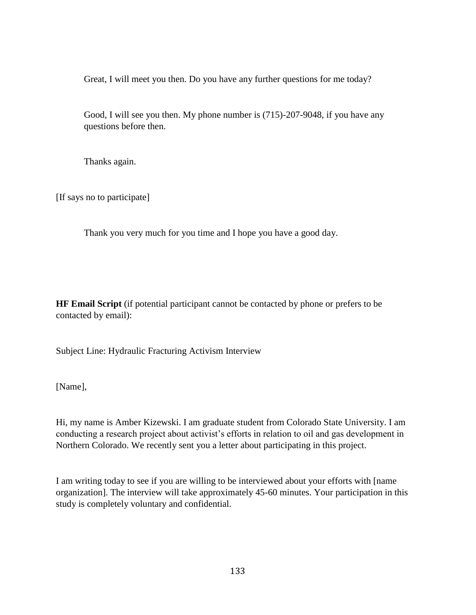Great, I will meet you then. Do you have any further questions for me today?

Good, I will see you then. My phone number is (715)-207-9048, if you have any questions before then.

Thanks again.

[If says no to participate]

Thank you very much for you time and I hope you have a good day.

**HF Email Script** (if potential participant cannot be contacted by phone or prefers to be contacted by email):

Subject Line: Hydraulic Fracturing Activism Interview

[Name],

Hi, my name is Amber Kizewski. I am graduate student from Colorado State University. I am conducting a research project about activist's efforts in relation to oil and gas development in Northern Colorado. We recently sent you a letter about participating in this project.

I am writing today to see if you are willing to be interviewed about your efforts with [name organization]. The interview will take approximately 45-60 minutes. Your participation in this study is completely voluntary and confidential.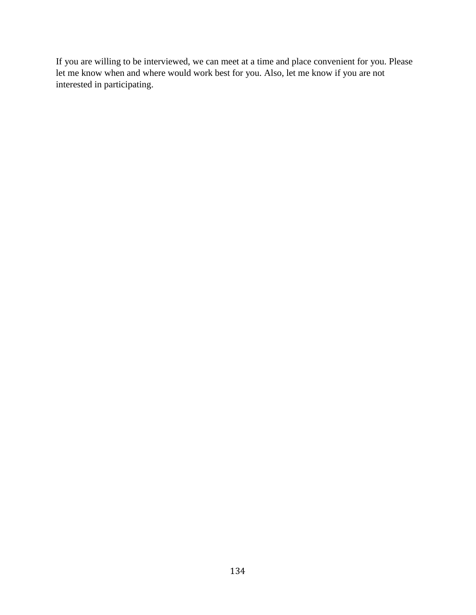If you are willing to be interviewed, we can meet at a time and place convenient for you. Please let me know when and where would work best for you. Also, let me know if you are not interested in participating.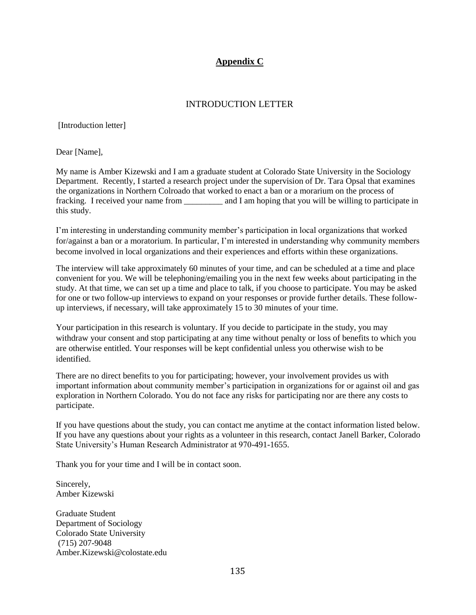# **Appendix C**

## INTRODUCTION LETTER

[Introduction letter]

Dear [Name],

My name is Amber Kizewski and I am a graduate student at Colorado State University in the Sociology Department. Recently, I started a research project under the supervision of Dr. Tara Opsal that examines the organizations in Northern Colroado that worked to enact a ban or a morarium on the process of fracking. I received your name from \_\_\_\_\_\_\_\_\_ and I am hoping that you will be willing to participate in this study.

I'm interesting in understanding community member's participation in local organizations that worked for/against a ban or a moratorium. In particular, I'm interested in understanding why community members become involved in local organizations and their experiences and efforts within these organizations.

The interview will take approximately 60 minutes of your time, and can be scheduled at a time and place convenient for you. We will be telephoning/emailing you in the next few weeks about participating in the study. At that time, we can set up a time and place to talk, if you choose to participate. You may be asked for one or two follow-up interviews to expand on your responses or provide further details. These followup interviews, if necessary, will take approximately 15 to 30 minutes of your time.

Your participation in this research is voluntary. If you decide to participate in the study, you may withdraw your consent and stop participating at any time without penalty or loss of benefits to which you are otherwise entitled. Your responses will be kept confidential unless you otherwise wish to be identified.

There are no direct benefits to you for participating; however, your involvement provides us with important information about community member's participation in organizations for or against oil and gas exploration in Northern Colorado. You do not face any risks for participating nor are there any costs to participate.

If you have questions about the study, you can contact me anytime at the contact information listed below. If you have any questions about your rights as a volunteer in this research, contact Janell Barker, Colorado State University's Human Research Administrator at 970-491-1655.

Thank you for your time and I will be in contact soon.

Sincerely, Amber Kizewski

Graduate Student Department of Sociology Colorado State University (715) 207-9048 Amber.Kizewski@colostate.edu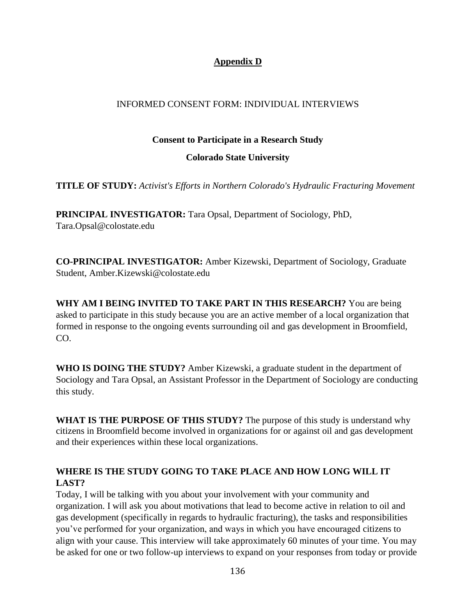# **Appendix D**

## INFORMED CONSENT FORM: INDIVIDUAL INTERVIEWS

### **Consent to Participate in a Research Study**

## **Colorado State University**

**TITLE OF STUDY:** *Activist's Efforts in Northern Colorado's Hydraulic Fracturing Movement*

**PRINCIPAL INVESTIGATOR:** Tara Opsal, Department of Sociology, PhD, Tara.Opsal@colostate.edu

**CO-PRINCIPAL INVESTIGATOR:** Amber Kizewski, Department of Sociology, Graduate Student, Amber.Kizewski@colostate.edu

**WHY AM I BEING INVITED TO TAKE PART IN THIS RESEARCH?** You are being asked to participate in this study because you are an active member of a local organization that formed in response to the ongoing events surrounding oil and gas development in Broomfield, CO.

**WHO IS DOING THE STUDY?** Amber Kizewski, a graduate student in the department of Sociology and Tara Opsal, an Assistant Professor in the Department of Sociology are conducting this study.

**WHAT IS THE PURPOSE OF THIS STUDY?** The purpose of this study is understand why citizens in Broomfield become involved in organizations for or against oil and gas development and their experiences within these local organizations.

# **WHERE IS THE STUDY GOING TO TAKE PLACE AND HOW LONG WILL IT LAST?**

Today, I will be talking with you about your involvement with your community and organization. I will ask you about motivations that lead to become active in relation to oil and gas development (specifically in regards to hydraulic fracturing), the tasks and responsibilities you've performed for your organization, and ways in which you have encouraged citizens to align with your cause. This interview will take approximately 60 minutes of your time. You may be asked for one or two follow-up interviews to expand on your responses from today or provide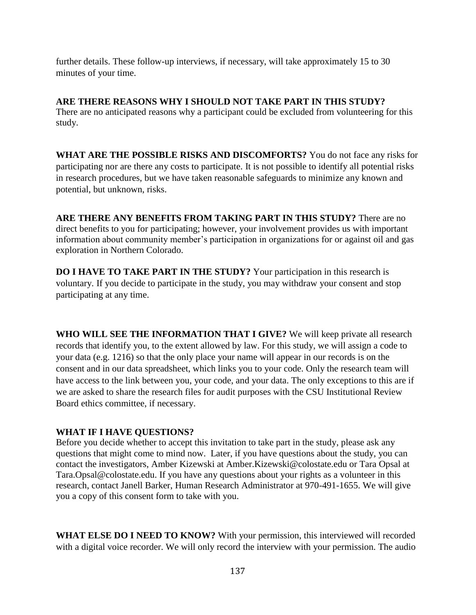further details. These follow-up interviews, if necessary, will take approximately 15 to 30 minutes of your time.

**ARE THERE REASONS WHY I SHOULD NOT TAKE PART IN THIS STUDY?**  There are no anticipated reasons why a participant could be excluded from volunteering for this study.

**WHAT ARE THE POSSIBLE RISKS AND DISCOMFORTS?** You do not face any risks for participating nor are there any costs to participate. It is not possible to identify all potential risks in research procedures, but we have taken reasonable safeguards to minimize any known and potential, but unknown, risks.

**ARE THERE ANY BENEFITS FROM TAKING PART IN THIS STUDY?** There are no direct benefits to you for participating; however, your involvement provides us with important information about community member's participation in organizations for or against oil and gas exploration in Northern Colorado.

**DO I HAVE TO TAKE PART IN THE STUDY?** Your participation in this research is voluntary. If you decide to participate in the study, you may withdraw your consent and stop participating at any time.

**WHO WILL SEE THE INFORMATION THAT I GIVE?** We will keep private all research records that identify you, to the extent allowed by law. For this study, we will assign a code to your data (e.g. 1216) so that the only place your name will appear in our records is on the consent and in our data spreadsheet, which links you to your code. Only the research team will have access to the link between you, your code, and your data. The only exceptions to this are if we are asked to share the research files for audit purposes with the CSU Institutional Review Board ethics committee, if necessary.

## **WHAT IF I HAVE QUESTIONS?**

Before you decide whether to accept this invitation to take part in the study, please ask any questions that might come to mind now. Later, if you have questions about the study, you can contact the investigators, Amber Kizewski at Amber.Kizewski@colostate.edu or Tara Opsal at Tara.Opsal@colostate.edu. If you have any questions about your rights as a volunteer in this research, contact Janell Barker, Human Research Administrator at 970-491-1655. We will give you a copy of this consent form to take with you.

**WHAT ELSE DO I NEED TO KNOW?** With your permission, this interviewed will recorded with a digital voice recorder. We will only record the interview with your permission. The audio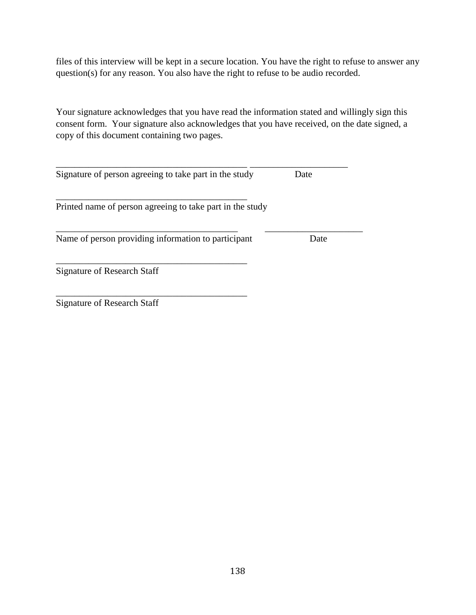files of this interview will be kept in a secure location. You have the right to refuse to answer any question(s) for any reason. You also have the right to refuse to be audio recorded.

Your signature acknowledges that you have read the information stated and willingly sign this consent form. Your signature also acknowledges that you have received, on the date signed, a copy of this document containing two pages.

| Signature of person agreeing to take part in the study    | Date |
|-----------------------------------------------------------|------|
| Printed name of person agreeing to take part in the study |      |
| Name of person providing information to participant       | Date |
| Signature of Research Staff                               |      |
| Signature of Research Staff                               |      |